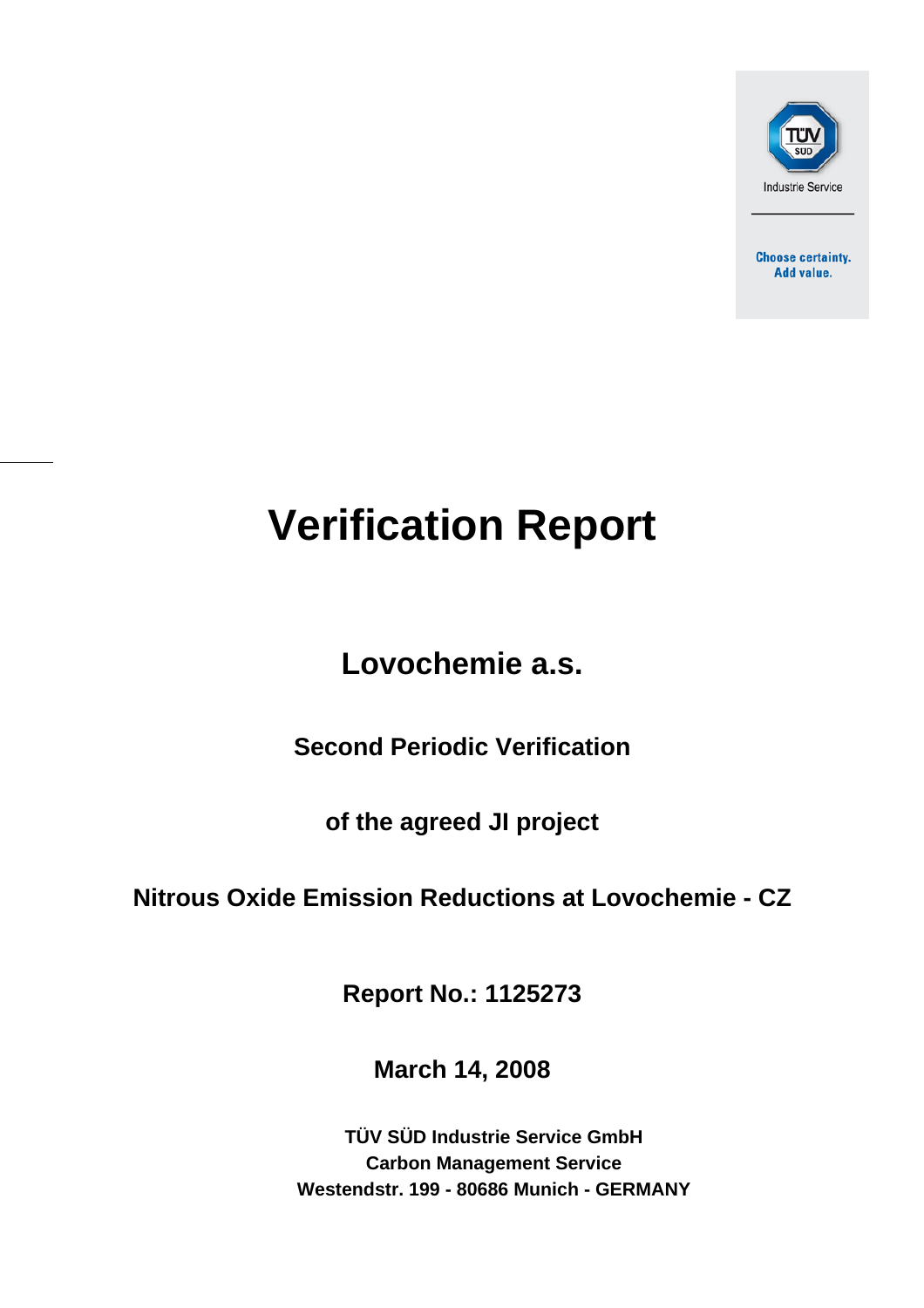

**Choose certainty.** Add value.

# **Verification Report**

## **Lovochemie a.s.**

**Second Periodic Verification** 

**of the agreed JI project** 

## **Nitrous Oxide Emission Reductions at Lovochemie - CZ**

**Report No.: 1125273** 

**March 14, 2008**

**TÜV SÜD Industrie Service GmbH Carbon Management Service Westendstr. 199 - 80686 Munich - GERMANY**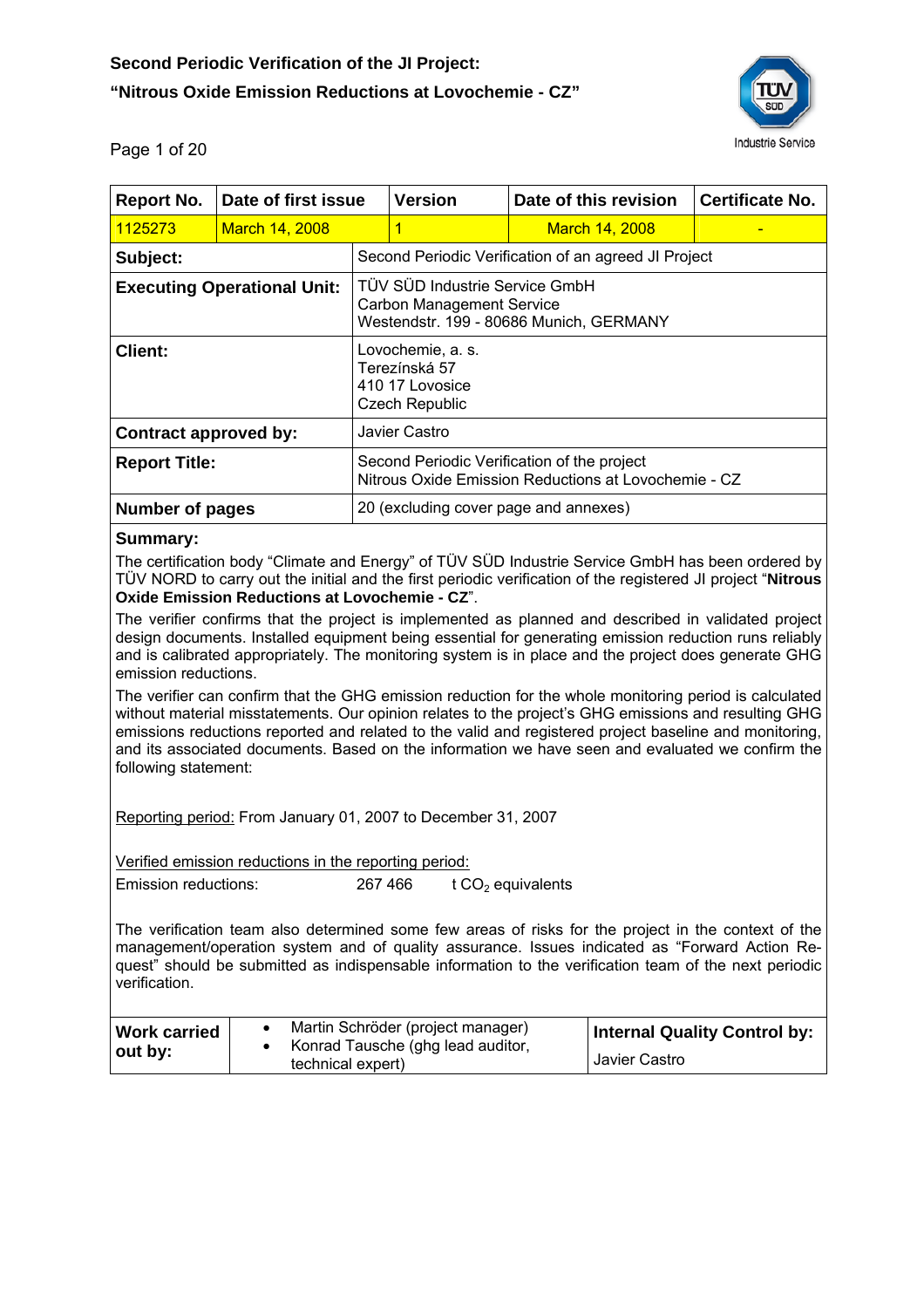

Page 1 of 20

| <b>Report No.</b>                                                                                                                                                                                                             | Date of first issue |  | <b>Version</b>                                                                                                | Date of this revision | <b>Certificate No.</b> |  |  |
|-------------------------------------------------------------------------------------------------------------------------------------------------------------------------------------------------------------------------------|---------------------|--|---------------------------------------------------------------------------------------------------------------|-----------------------|------------------------|--|--|
| 1125273                                                                                                                                                                                                                       | March 14, 2008      |  | 1                                                                                                             | <b>March 14, 2008</b> |                        |  |  |
| Subject:                                                                                                                                                                                                                      |                     |  | Second Periodic Verification of an agreed JI Project                                                          |                       |                        |  |  |
| <b>Executing Operational Unit:</b>                                                                                                                                                                                            |                     |  | TÜV SÜD Industrie Service GmbH<br><b>Carbon Management Service</b><br>Westendstr. 199 - 80686 Munich, GERMANY |                       |                        |  |  |
| <b>Client:</b>                                                                                                                                                                                                                |                     |  | Lovochemie, a. s.<br>Terezínská 57<br>410 17 Lovosice<br>Czech Republic                                       |                       |                        |  |  |
| Contract approved by:                                                                                                                                                                                                         |                     |  | Javier Castro                                                                                                 |                       |                        |  |  |
| <b>Report Title:</b>                                                                                                                                                                                                          |                     |  | Second Periodic Verification of the project<br>Nitrous Oxide Emission Reductions at Lovochemie - CZ           |                       |                        |  |  |
| <b>Number of pages</b>                                                                                                                                                                                                        |                     |  | 20 (excluding cover page and annexes)                                                                         |                       |                        |  |  |
| Summary:<br>The certification body "Climate and Energy" of TÜV SÜD Industrie Service GmbH has been ordered by<br>TÜV NORD to carry out the initial and the first periodic verification of the registered JI project "Nitrous" |                     |  |                                                                                                               |                       |                        |  |  |

**Oxide Emission Reductions at Lovochemie - CZ**".

The verifier confirms that the project is implemented as planned and described in validated project design documents. Installed equipment being essential for generating emission reduction runs reliably and is calibrated appropriately. The monitoring system is in place and the project does generate GHG emission reductions.

The verifier can confirm that the GHG emission reduction for the whole monitoring period is calculated without material misstatements. Our opinion relates to the project's GHG emissions and resulting GHG emissions reductions reported and related to the valid and registered project baseline and monitoring, and its associated documents. Based on the information we have seen and evaluated we confirm the following statement:

Reporting period: From January 01, 2007 to December 31, 2007

Verified emission reductions in the reporting period:

Emission reductions:  $267 466$  t CO<sub>2</sub> equivalents

The verification team also determined some few areas of risks for the project in the context of the management/operation system and of quality assurance. Issues indicated as "Forward Action Request" should be submitted as indispensable information to the verification team of the next periodic verification.

| <b>Work carried</b> | Martin Schröder (project manager)                      | <b>Internal Quality Control by:</b> |  |
|---------------------|--------------------------------------------------------|-------------------------------------|--|
| $\vert$ out by:     | Konrad Tausche (ghg lead auditor,<br>technical expert) | Javier Castro                       |  |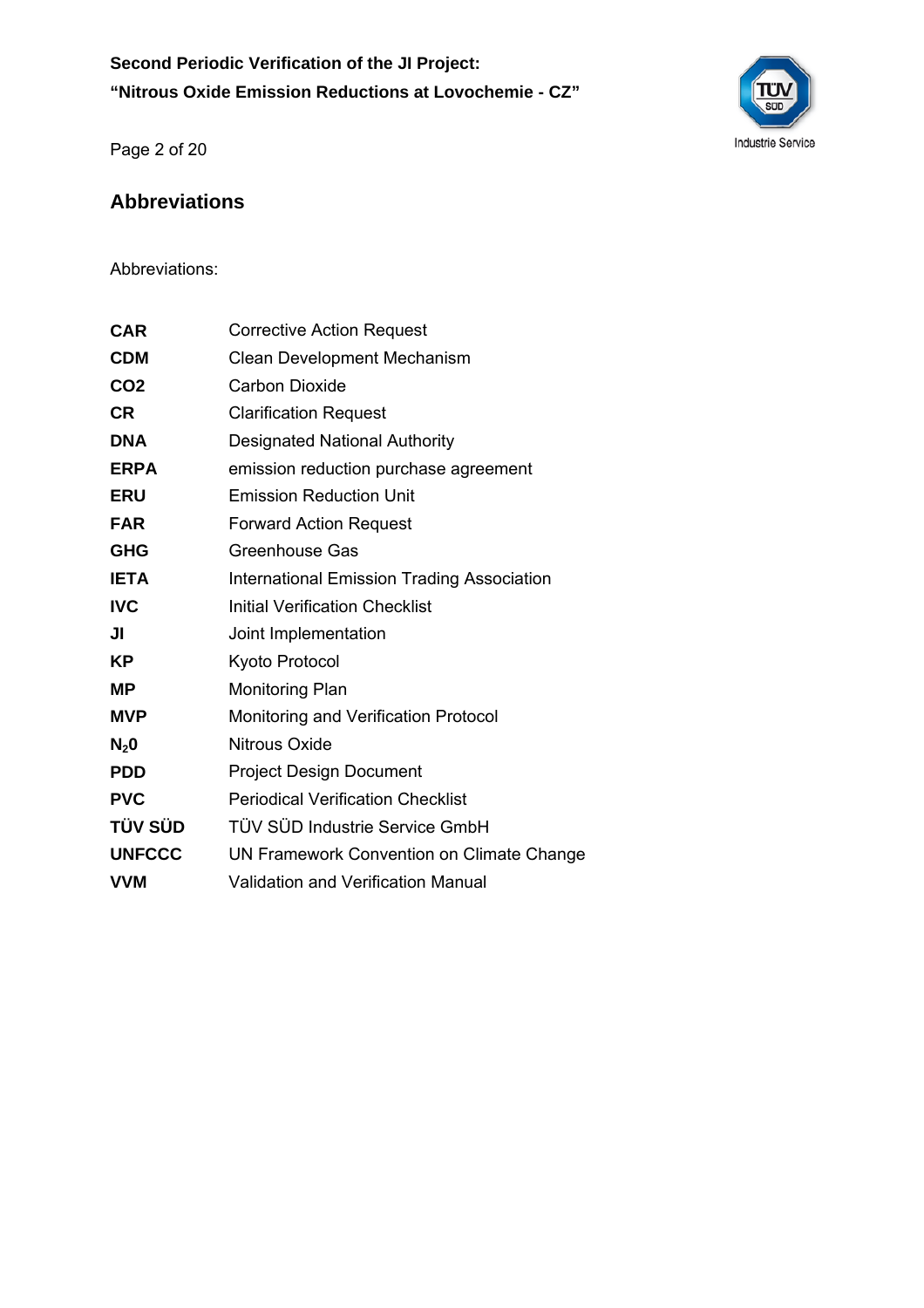**Second Periodic Verification of the JI Project: "Nitrous Oxide Emission Reductions at Lovochemie - CZ"** 



Page 2 of 20

## **Abbreviations**

Abbreviations:

| CAR             | <b>Corrective Action Request</b>                  |
|-----------------|---------------------------------------------------|
| <b>CDM</b>      | <b>Clean Development Mechanism</b>                |
| CO <sub>2</sub> | <b>Carbon Dioxide</b>                             |
| <b>CR</b>       | <b>Clarification Request</b>                      |
| <b>DNA</b>      | <b>Designated National Authority</b>              |
| <b>ERPA</b>     | emission reduction purchase agreement             |
| <b>ERU</b>      | <b>Emission Reduction Unit</b>                    |
| <b>FAR</b>      | <b>Forward Action Request</b>                     |
| <b>GHG</b>      | Greenhouse Gas                                    |
| <b>IETA</b>     | <b>International Emission Trading Association</b> |
| <b>IVC</b>      | <b>Initial Verification Checklist</b>             |
| JI              | Joint Implementation                              |
| ΚP              | Kyoto Protocol                                    |
| <b>MP</b>       | <b>Monitoring Plan</b>                            |
| MVP             | Monitoring and Verification Protocol              |
| $N_2$ 0         | Nitrous Oxide                                     |
| <b>PDD</b>      | <b>Project Design Document</b>                    |
| <b>PVC</b>      | <b>Periodical Verification Checklist</b>          |
| TÜV SÜD         | TÜV SÜD Industrie Service GmbH                    |
| <b>UNFCCC</b>   | UN Framework Convention on Climate Change         |
| VVM             | Validation and Verification Manual                |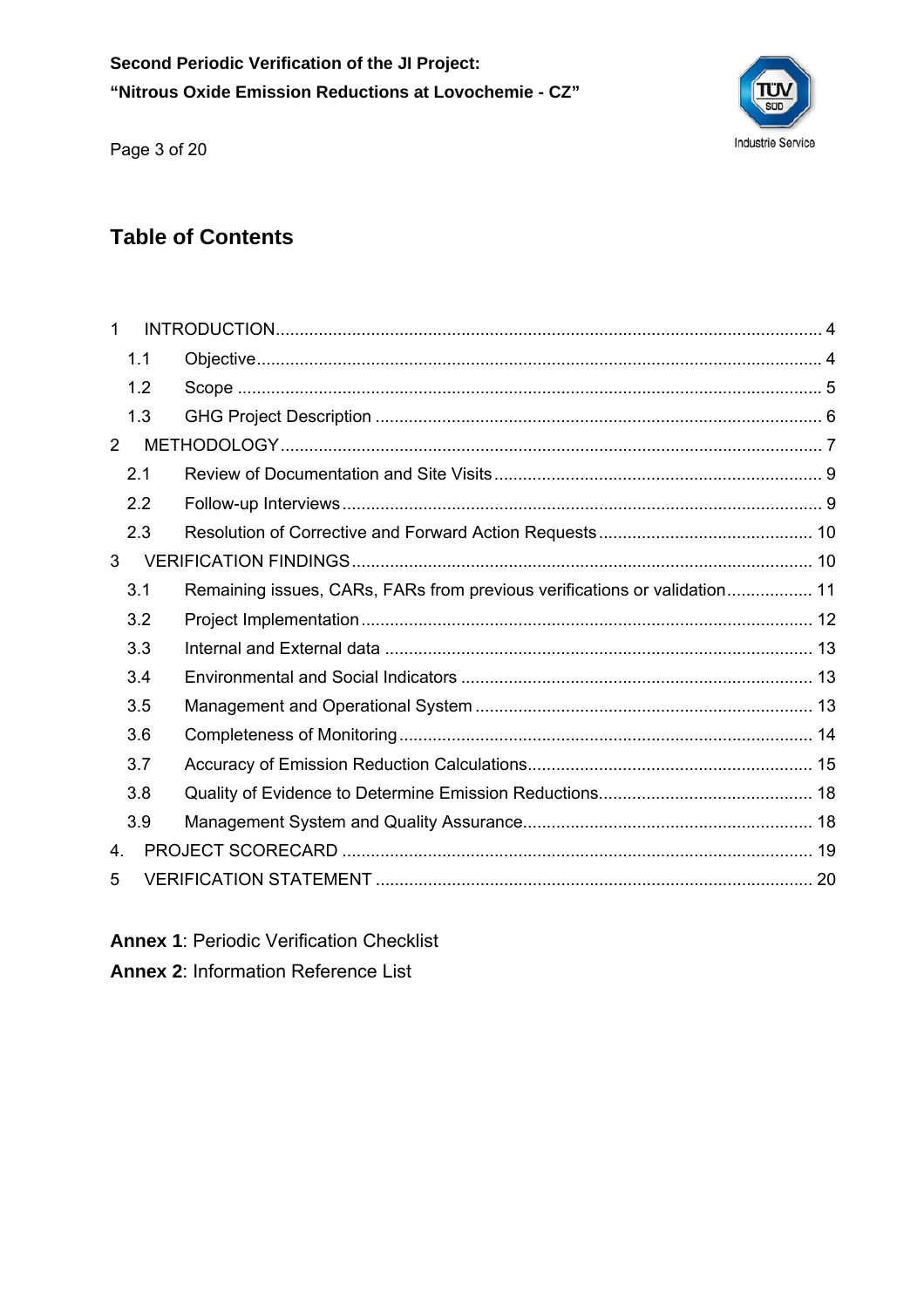

Page 3 of 20

## **Table of Contents**

| 1              |     |                                                                           |  |
|----------------|-----|---------------------------------------------------------------------------|--|
|                | 1.1 |                                                                           |  |
|                | 1.2 |                                                                           |  |
|                | 1.3 |                                                                           |  |
| $\overline{2}$ |     |                                                                           |  |
|                | 2.1 |                                                                           |  |
|                | 2.2 |                                                                           |  |
|                | 2.3 |                                                                           |  |
| 3              |     |                                                                           |  |
|                | 3.1 | Remaining issues, CARs, FARs from previous verifications or validation 11 |  |
|                | 3.2 |                                                                           |  |
|                | 3.3 |                                                                           |  |
|                | 3.4 |                                                                           |  |
|                | 3.5 |                                                                           |  |
|                | 3.6 |                                                                           |  |
|                | 3.7 |                                                                           |  |
|                | 3.8 |                                                                           |  |
|                | 3.9 |                                                                           |  |
| 4.             |     |                                                                           |  |
| 5              |     |                                                                           |  |

**Annex 1**: Periodic Verification Checklist

**Annex 2**: Information Reference List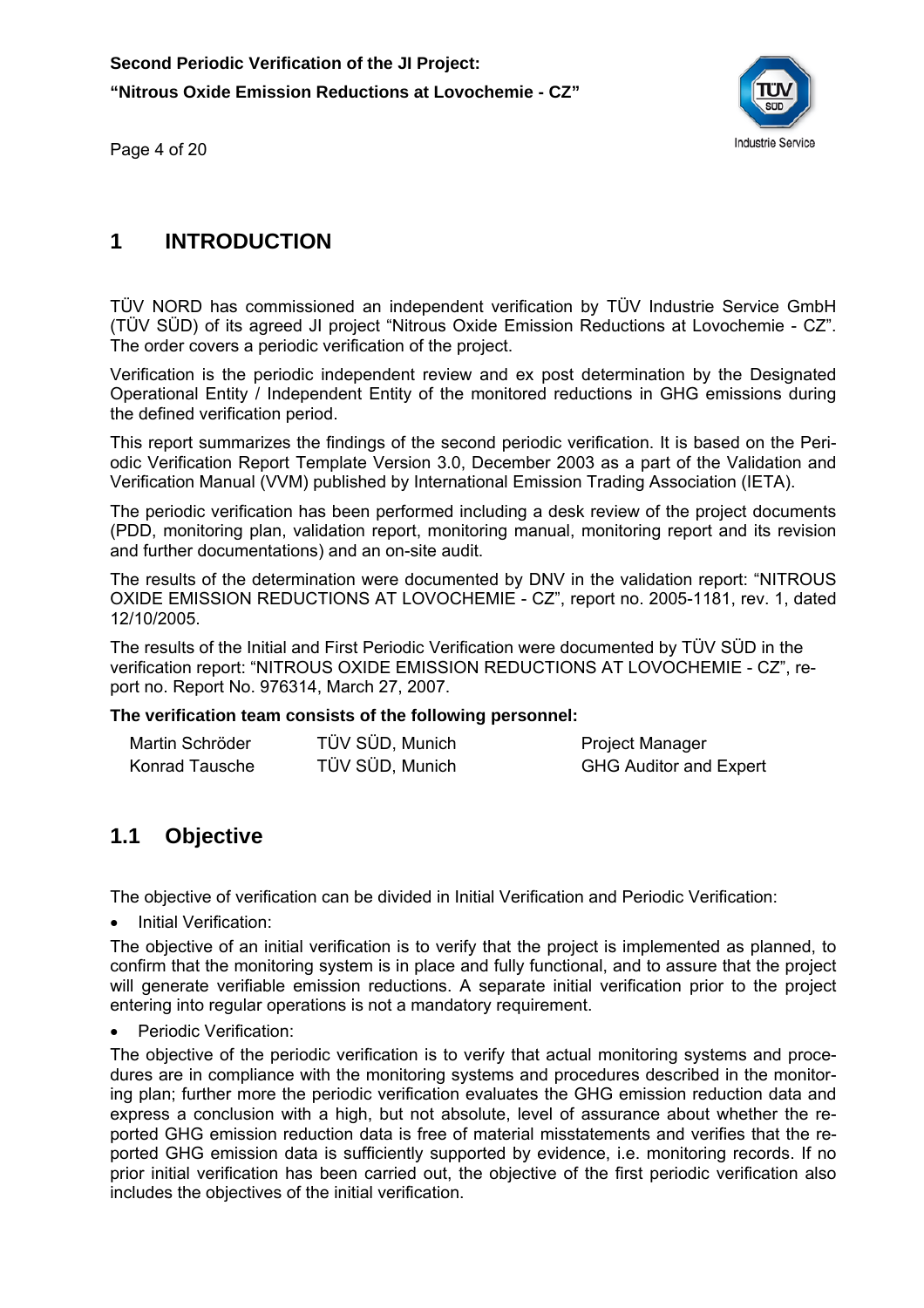

Page 4 of 20

#### **1 INTRODUCTION**

TÜV NORD has commissioned an independent verification by TÜV Industrie Service GmbH (TÜV SÜD) of its agreed JI project "Nitrous Oxide Emission Reductions at Lovochemie - CZ". The order covers a periodic verification of the project.

Verification is the periodic independent review and ex post determination by the Designated Operational Entity / Independent Entity of the monitored reductions in GHG emissions during the defined verification period.

This report summarizes the findings of the second periodic verification. It is based on the Periodic Verification Report Template Version 3.0, December 2003 as a part of the Validation and Verification Manual (VVM) published by International Emission Trading Association (IETA).

The periodic verification has been performed including a desk review of the project documents (PDD, monitoring plan, validation report, monitoring manual, monitoring report and its revision and further documentations) and an on-site audit.

The results of the determination were documented by DNV in the validation report: "NITROUS OXIDE EMISSION REDUCTIONS AT LOVOCHEMIE - CZ", report no. 2005-1181, rev. 1, dated 12/10/2005.

The results of the Initial and First Periodic Verification were documented by TÜV SÜD in the verification report: "NITROUS OXIDE EMISSION REDUCTIONS AT LOVOCHEMIE - CZ", report no. Report No. 976314, March 27, 2007.

#### **The verification team consists of the following personnel:**

| Martin Schröder | TÜV SÜD, Munich | <b>Project Manager</b>        |
|-----------------|-----------------|-------------------------------|
| Konrad Tausche  | TÜV SÜD, Munich | <b>GHG Auditor and Expert</b> |

#### **1.1 Objective**

The objective of verification can be divided in Initial Verification and Periodic Verification:

• Initial Verification:

The objective of an initial verification is to verify that the project is implemented as planned, to confirm that the monitoring system is in place and fully functional, and to assure that the project will generate verifiable emission reductions. A separate initial verification prior to the project entering into regular operations is not a mandatory requirement.

Periodic Verification:

The objective of the periodic verification is to verify that actual monitoring systems and procedures are in compliance with the monitoring systems and procedures described in the monitoring plan; further more the periodic verification evaluates the GHG emission reduction data and express a conclusion with a high, but not absolute, level of assurance about whether the reported GHG emission reduction data is free of material misstatements and verifies that the reported GHG emission data is sufficiently supported by evidence, i.e. monitoring records. If no prior initial verification has been carried out, the objective of the first periodic verification also includes the objectives of the initial verification.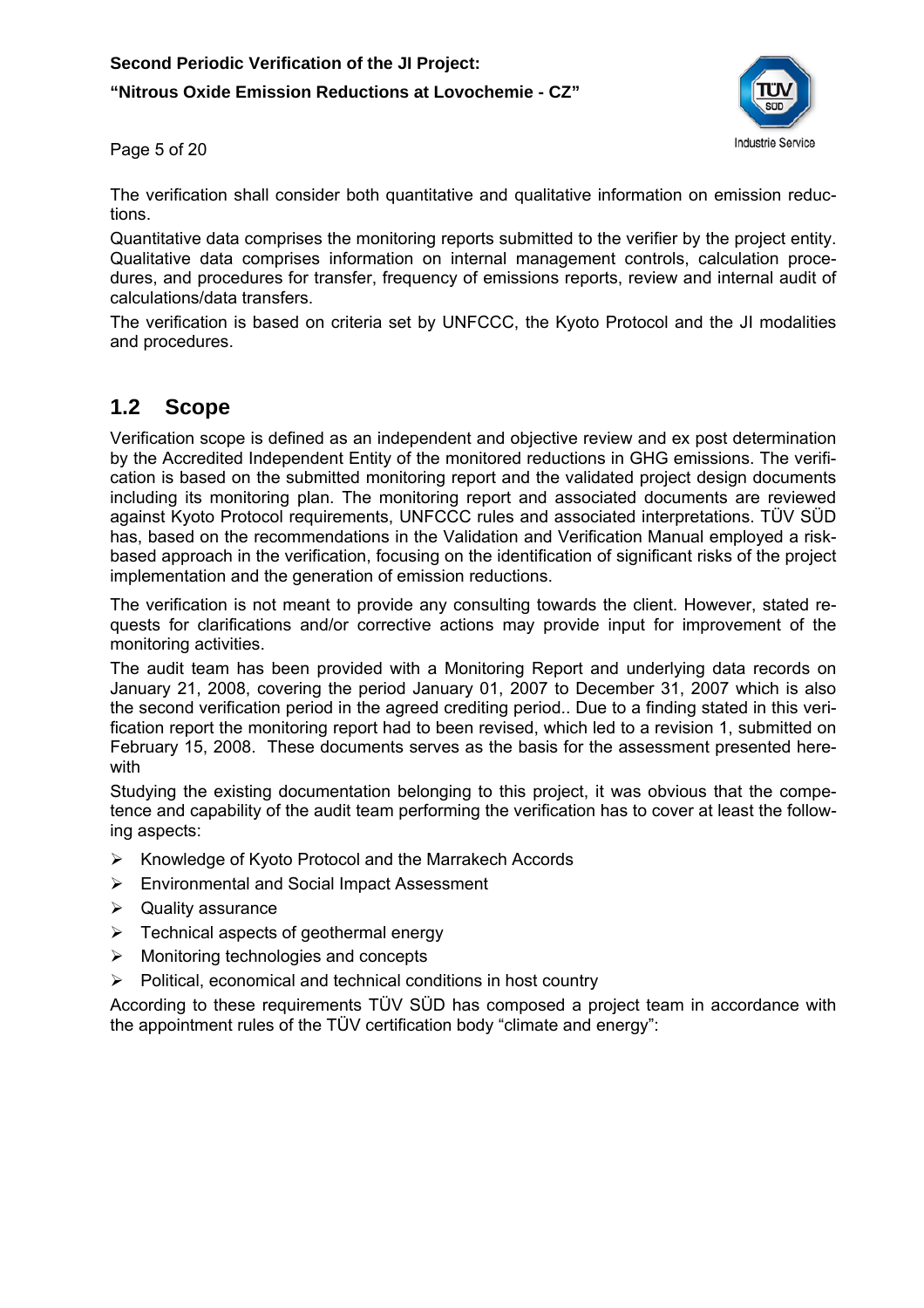#### **Second Periodic Verification of the JI Project:**

#### **"Nitrous Oxide Emission Reductions at Lovochemie - CZ"**



Page 5 of 20

The verification shall consider both quantitative and qualitative information on emission reductions.

Quantitative data comprises the monitoring reports submitted to the verifier by the project entity. Qualitative data comprises information on internal management controls, calculation procedures, and procedures for transfer, frequency of emissions reports, review and internal audit of calculations/data transfers.

The verification is based on criteria set by UNFCCC, the Kyoto Protocol and the JI modalities and procedures.

#### **1.2 Scope**

Verification scope is defined as an independent and objective review and ex post determination by the Accredited Independent Entity of the monitored reductions in GHG emissions. The verification is based on the submitted monitoring report and the validated project design documents including its monitoring plan. The monitoring report and associated documents are reviewed against Kyoto Protocol requirements, UNFCCC rules and associated interpretations. TÜV SÜD has, based on the recommendations in the Validation and Verification Manual employed a riskbased approach in the verification, focusing on the identification of significant risks of the project implementation and the generation of emission reductions.

The verification is not meant to provide any consulting towards the client. However, stated requests for clarifications and/or corrective actions may provide input for improvement of the monitoring activities.

The audit team has been provided with a Monitoring Report and underlying data records on January 21, 2008, covering the period January 01, 2007 to December 31, 2007 which is also the second verification period in the agreed crediting period.. Due to a finding stated in this verification report the monitoring report had to been revised, which led to a revision 1, submitted on February 15, 2008. These documents serves as the basis for the assessment presented herewith

Studying the existing documentation belonging to this project, it was obvious that the competence and capability of the audit team performing the verification has to cover at least the following aspects:

- ¾ Knowledge of Kyoto Protocol and the Marrakech Accords
- ¾ Environmental and Social Impact Assessment
- $\triangleright$  Quality assurance
- $\triangleright$  Technical aspects of geothermal energy
- $\triangleright$  Monitoring technologies and concepts
- $\triangleright$  Political, economical and technical conditions in host country

According to these requirements TÜV SÜD has composed a project team in accordance with the appointment rules of the TÜV certification body "climate and energy":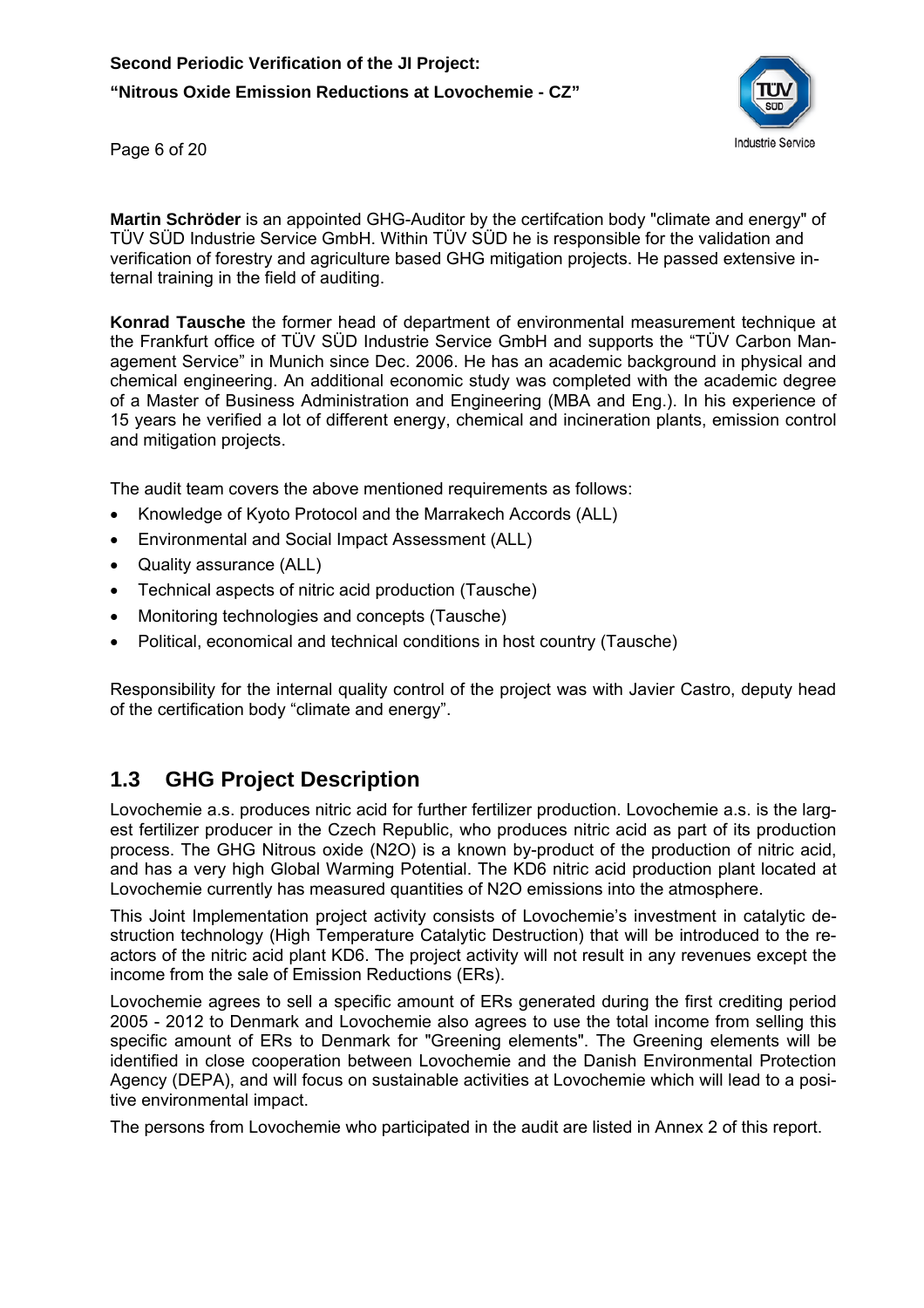

Page 6 of 20

**Martin Schröder** is an appointed GHG-Auditor by the certifcation body "climate and energy" of TÜV SÜD Industrie Service GmbH. Within TÜV SÜD he is responsible for the validation and verification of forestry and agriculture based GHG mitigation projects. He passed extensive internal training in the field of auditing.

**Konrad Tausche** the former head of department of environmental measurement technique at the Frankfurt office of TÜV SÜD Industrie Service GmbH and supports the "TÜV Carbon Management Service" in Munich since Dec. 2006. He has an academic background in physical and chemical engineering. An additional economic study was completed with the academic degree of a Master of Business Administration and Engineering (MBA and Eng.). In his experience of 15 years he verified a lot of different energy, chemical and incineration plants, emission control and mitigation projects.

The audit team covers the above mentioned requirements as follows:

- Knowledge of Kyoto Protocol and the Marrakech Accords (ALL)
- Environmental and Social Impact Assessment (ALL)
- Quality assurance (ALL)
- Technical aspects of nitric acid production (Tausche)
- Monitoring technologies and concepts (Tausche)
- Political, economical and technical conditions in host country (Tausche)

Responsibility for the internal quality control of the project was with Javier Castro, deputy head of the certification body "climate and energy".

## **1.3 GHG Project Description**

Lovochemie a.s. produces nitric acid for further fertilizer production. Lovochemie a.s. is the largest fertilizer producer in the Czech Republic, who produces nitric acid as part of its production process. The GHG Nitrous oxide (N2O) is a known by-product of the production of nitric acid, and has a very high Global Warming Potential. The KD6 nitric acid production plant located at Lovochemie currently has measured quantities of N2O emissions into the atmosphere.

This Joint Implementation project activity consists of Lovochemie's investment in catalytic destruction technology (High Temperature Catalytic Destruction) that will be introduced to the reactors of the nitric acid plant KD6. The project activity will not result in any revenues except the income from the sale of Emission Reductions (ERs).

Lovochemie agrees to sell a specific amount of ERs generated during the first crediting period 2005 - 2012 to Denmark and Lovochemie also agrees to use the total income from selling this specific amount of ERs to Denmark for "Greening elements". The Greening elements will be identified in close cooperation between Lovochemie and the Danish Environmental Protection Agency (DEPA), and will focus on sustainable activities at Lovochemie which will lead to a positive environmental impact.

The persons from Lovochemie who participated in the audit are listed in Annex 2 of this report.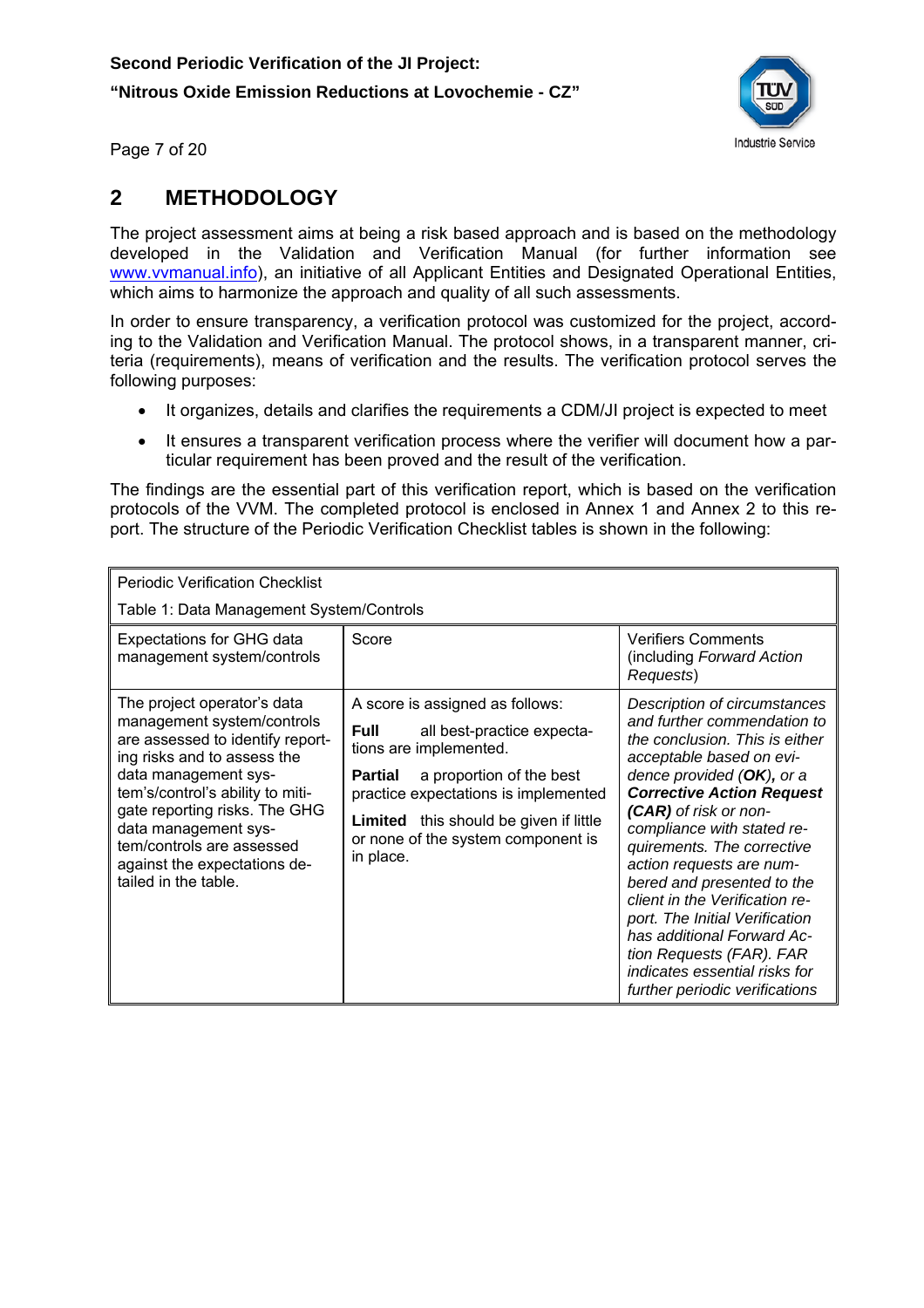

Page 7 of 20

## **2 METHODOLOGY**

The project assessment aims at being a risk based approach and is based on the methodology developed in the Validation and Verification Manual (for further information see www.vvmanual.info), an initiative of all Applicant Entities and Designated Operational Entities, which aims to harmonize the approach and quality of all such assessments.

In order to ensure transparency, a verification protocol was customized for the project, according to the Validation and Verification Manual. The protocol shows, in a transparent manner, criteria (requirements), means of verification and the results. The verification protocol serves the following purposes:

- It organizes, details and clarifies the requirements a CDM/JI project is expected to meet
- It ensures a transparent verification process where the verifier will document how a particular requirement has been proved and the result of the verification.

The findings are the essential part of this verification report, which is based on the verification protocols of the VVM. The completed protocol is enclosed in Annex 1 and Annex 2 to this report. The structure of the Periodic Verification Checklist tables is shown in the following:

| <b>Periodic Verification Checklist</b>                                                                                                                                                                                                                                                                                                 |                                                                                                                                                                                                                                                                                           |                                                                                                                                                                                                                                                                                                                                                                                                                                                                                                                                               |
|----------------------------------------------------------------------------------------------------------------------------------------------------------------------------------------------------------------------------------------------------------------------------------------------------------------------------------------|-------------------------------------------------------------------------------------------------------------------------------------------------------------------------------------------------------------------------------------------------------------------------------------------|-----------------------------------------------------------------------------------------------------------------------------------------------------------------------------------------------------------------------------------------------------------------------------------------------------------------------------------------------------------------------------------------------------------------------------------------------------------------------------------------------------------------------------------------------|
| Table 1: Data Management System/Controls                                                                                                                                                                                                                                                                                               |                                                                                                                                                                                                                                                                                           |                                                                                                                                                                                                                                                                                                                                                                                                                                                                                                                                               |
| <b>Expectations for GHG data</b><br>management system/controls                                                                                                                                                                                                                                                                         | Score                                                                                                                                                                                                                                                                                     | <b>Verifiers Comments</b><br>(including Forward Action<br>Requests)                                                                                                                                                                                                                                                                                                                                                                                                                                                                           |
| The project operator's data<br>management system/controls<br>are assessed to identify report-<br>ing risks and to assess the<br>data management sys-<br>tem's/control's ability to miti-<br>gate reporting risks. The GHG<br>data management sys-<br>tem/controls are assessed<br>against the expectations de-<br>tailed in the table. | A score is assigned as follows:<br><b>Full</b><br>all best-practice expecta-<br>tions are implemented.<br>a proportion of the best<br>Partial<br>practice expectations is implemented<br><b>Limited</b> this should be given if little<br>or none of the system component is<br>in place. | Description of circumstances<br>and further commendation to<br>the conclusion. This is either<br>acceptable based on evi-<br>dence provided $(OK)$ , or a<br><b>Corrective Action Request</b><br>(CAR) of risk or non-<br>compliance with stated re-<br>quirements. The corrective<br>action requests are num-<br>bered and presented to the<br>client in the Verification re-<br>port. The Initial Verification<br>has additional Forward Ac-<br>tion Requests (FAR). FAR<br>indicates essential risks for<br>further periodic verifications |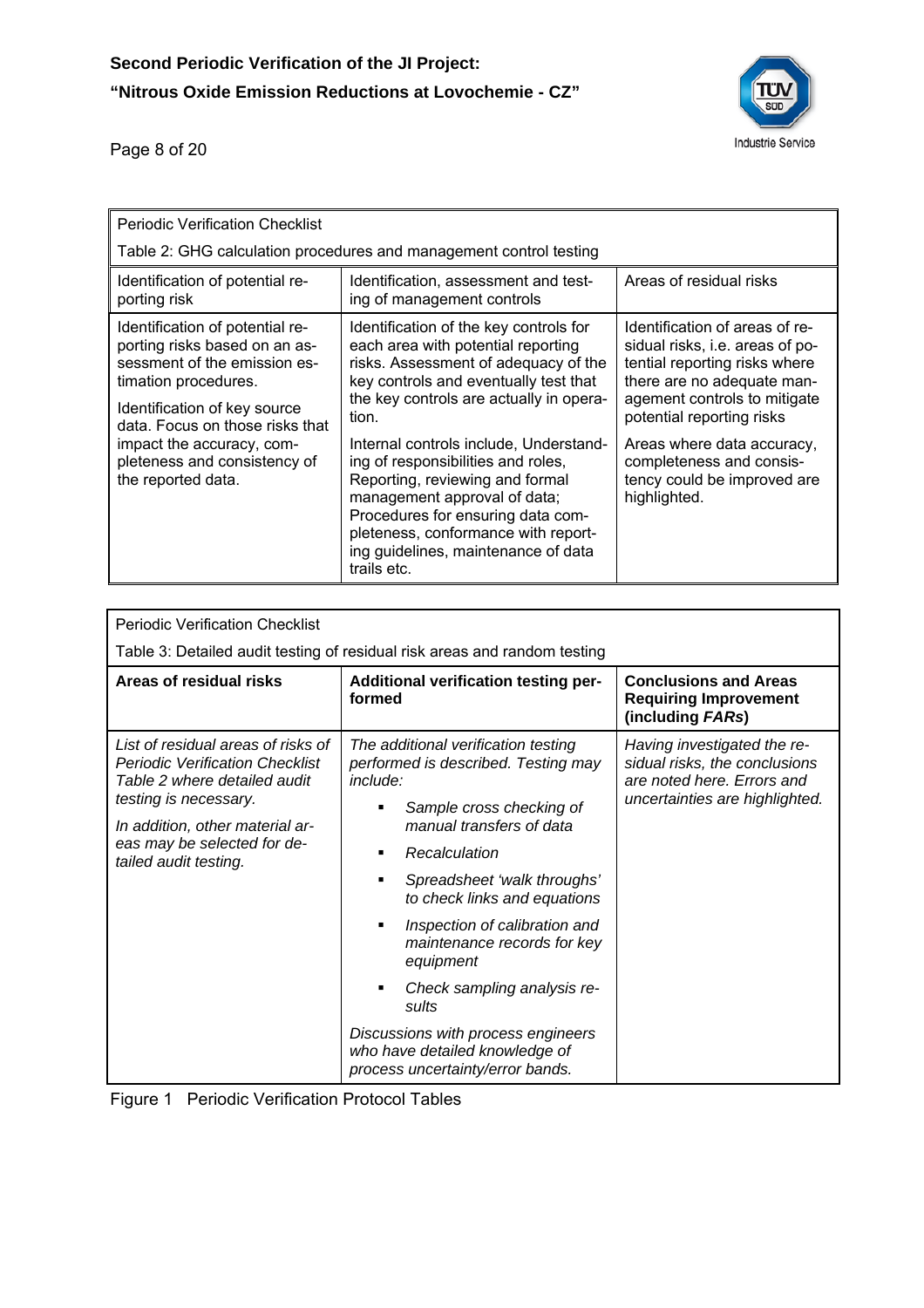

Page 8 of 20

| <b>Periodic Verification Checklist</b>                                                                                                                   |                                                                                                                                                                                                                                                                                   |                                                                                                                                                                                               |  |  |  |
|----------------------------------------------------------------------------------------------------------------------------------------------------------|-----------------------------------------------------------------------------------------------------------------------------------------------------------------------------------------------------------------------------------------------------------------------------------|-----------------------------------------------------------------------------------------------------------------------------------------------------------------------------------------------|--|--|--|
|                                                                                                                                                          | Table 2: GHG calculation procedures and management control testing                                                                                                                                                                                                                |                                                                                                                                                                                               |  |  |  |
| Identification of potential re-<br>porting risk                                                                                                          | Identification, assessment and test-<br>ing of management controls                                                                                                                                                                                                                | Areas of residual risks                                                                                                                                                                       |  |  |  |
| Identification of potential re-<br>porting risks based on an as-<br>sessment of the emission es-<br>timation procedures.<br>Identification of key source | Identification of the key controls for<br>each area with potential reporting<br>risks. Assessment of adequacy of the<br>key controls and eventually test that<br>the key controls are actually in opera-<br>tion.                                                                 | Identification of areas of re-<br>sidual risks, i.e. areas of po-<br>tential reporting risks where<br>there are no adequate man-<br>agement controls to mitigate<br>potential reporting risks |  |  |  |
| data. Focus on those risks that<br>impact the accuracy, com-<br>pleteness and consistency of<br>the reported data.                                       | Internal controls include, Understand-<br>ing of responsibilities and roles,<br>Reporting, reviewing and formal<br>management approval of data;<br>Procedures for ensuring data com-<br>pleteness, conformance with report-<br>ing guidelines, maintenance of data<br>trails etc. | Areas where data accuracy,<br>completeness and consis-<br>tency could be improved are<br>highlighted.                                                                                         |  |  |  |

| <b>Periodic Verification Checklist</b>                                                                                                                                                                                           |                                                                                                                                                                                                                                                                                                                                                                                                                                                                      |                                                                                                                              |
|----------------------------------------------------------------------------------------------------------------------------------------------------------------------------------------------------------------------------------|----------------------------------------------------------------------------------------------------------------------------------------------------------------------------------------------------------------------------------------------------------------------------------------------------------------------------------------------------------------------------------------------------------------------------------------------------------------------|------------------------------------------------------------------------------------------------------------------------------|
|                                                                                                                                                                                                                                  | Table 3: Detailed audit testing of residual risk areas and random testing                                                                                                                                                                                                                                                                                                                                                                                            |                                                                                                                              |
| Areas of residual risks                                                                                                                                                                                                          | Additional verification testing per-<br>formed                                                                                                                                                                                                                                                                                                                                                                                                                       | <b>Conclusions and Areas</b><br><b>Requiring Improvement</b><br>(including FARs)                                             |
| List of residual areas of risks of<br><b>Periodic Verification Checklist</b><br>Table 2 where detailed audit<br>testing is necessary.<br>In addition, other material ar-<br>eas may be selected for de-<br>tailed audit testing. | The additional verification testing<br>performed is described. Testing may<br>include:<br>Sample cross checking of<br>manual transfers of data<br>Recalculation<br>Spreadsheet 'walk throughs'<br>to check links and equations<br>Inspection of calibration and<br>٠<br>maintenance records for key<br>equipment<br>Check sampling analysis re-<br>sults<br>Discussions with process engineers<br>who have detailed knowledge of<br>process uncertainty/error bands. | Having investigated the re-<br>sidual risks, the conclusions<br>are noted here. Errors and<br>uncertainties are highlighted. |

|  | Figure 1 Periodic Verification Protocol Tables |
|--|------------------------------------------------|
|--|------------------------------------------------|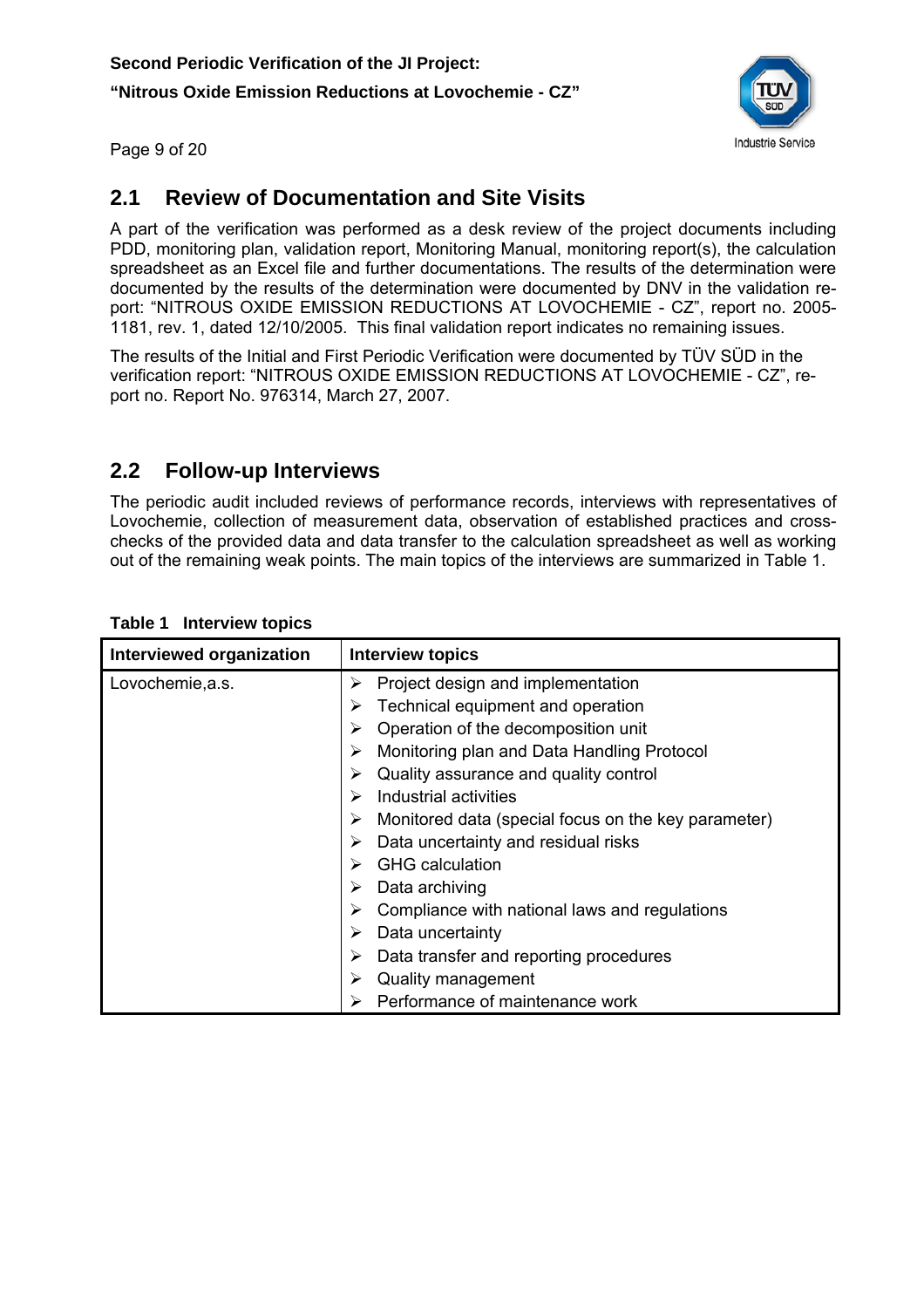

Page 9 of 20

## **2.1 Review of Documentation and Site Visits**

A part of the verification was performed as a desk review of the project documents including PDD, monitoring plan, validation report, Monitoring Manual, monitoring report(s), the calculation spreadsheet as an Excel file and further documentations. The results of the determination were documented by the results of the determination were documented by DNV in the validation report: "NITROUS OXIDE EMISSION REDUCTIONS AT LOVOCHEMIE - CZ", report no. 2005- 1181, rev. 1, dated 12/10/2005. This final validation report indicates no remaining issues.

The results of the Initial and First Periodic Verification were documented by TÜV SÜD in the verification report: "NITROUS OXIDE EMISSION REDUCTIONS AT LOVOCHEMIE - CZ", report no. Report No. 976314, March 27, 2007.

#### **2.2 Follow-up Interviews**

The periodic audit included reviews of performance records, interviews with representatives of Lovochemie, collection of measurement data, observation of established practices and crosschecks of the provided data and data transfer to the calculation spreadsheet as well as working out of the remaining weak points. The main topics of the interviews are summarized in Table 1.

| Interviewed organization | <b>Interview topics</b>                                  |
|--------------------------|----------------------------------------------------------|
| Lovochemie, a.s.         | Project design and implementation<br>➤                   |
|                          | Technical equipment and operation<br>➤                   |
|                          | Operation of the decomposition unit<br>⋗                 |
|                          | Monitoring plan and Data Handling Protocol<br>⋗          |
|                          | Quality assurance and quality control                    |
|                          | Industrial activities<br>⋗                               |
|                          | Monitored data (special focus on the key parameter)<br>➤ |
|                          | Data uncertainty and residual risks                      |
|                          | <b>GHG</b> calculation                                   |
|                          | Data archiving<br>➤                                      |
|                          | Compliance with national laws and regulations<br>➤       |
|                          | Data uncertainty<br>➤                                    |
|                          | Data transfer and reporting procedures<br>➤              |
|                          | Quality management                                       |
|                          | Performance of maintenance work                          |

#### **Table 1 Interview topics**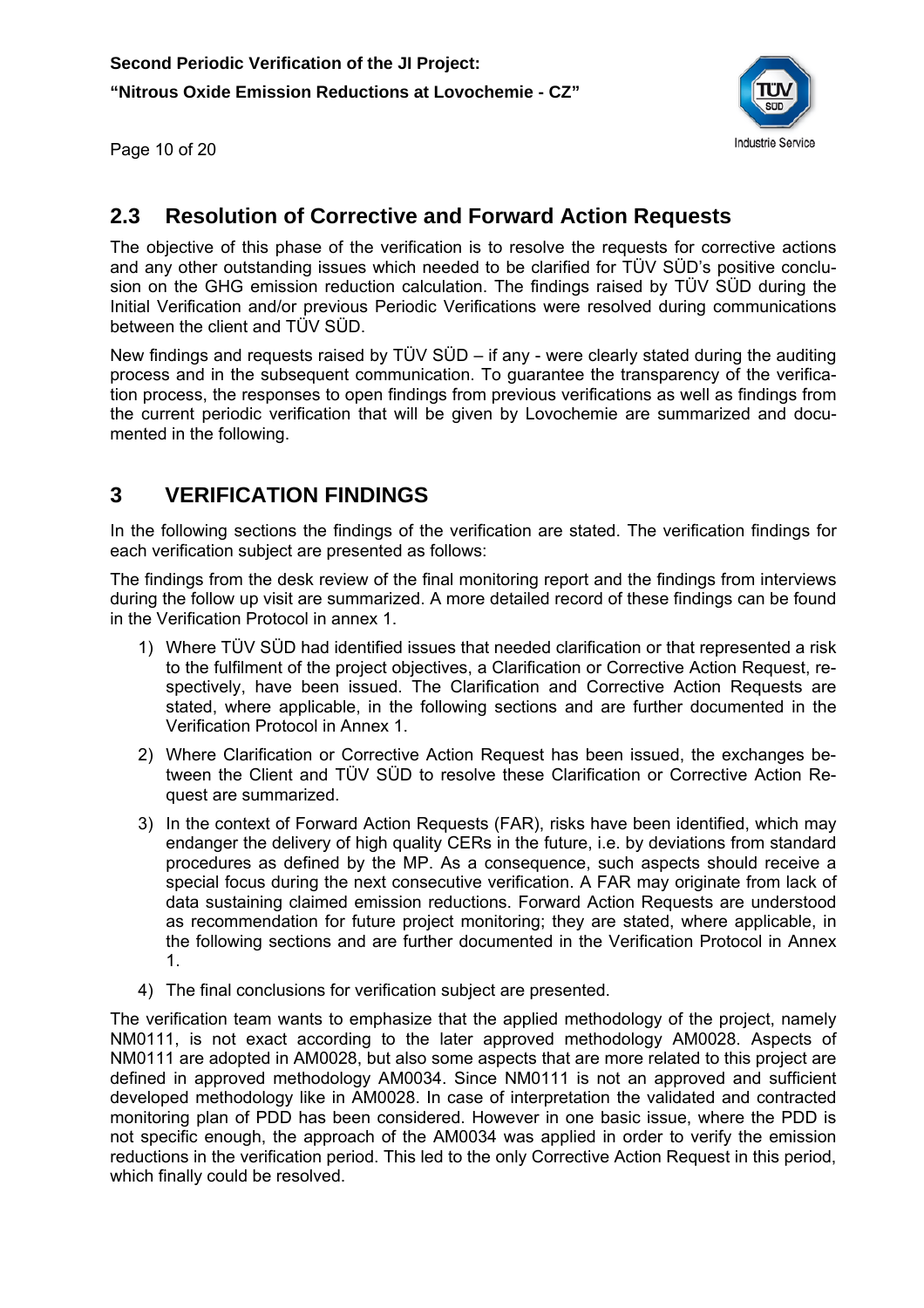

Page 10 of 20

## **2.3 Resolution of Corrective and Forward Action Requests**

The objective of this phase of the verification is to resolve the requests for corrective actions and any other outstanding issues which needed to be clarified for TÜV SÜD's positive conclusion on the GHG emission reduction calculation. The findings raised by TÜV SÜD during the Initial Verification and/or previous Periodic Verifications were resolved during communications between the client and TÜV SÜD.

New findings and requests raised by TÜV SÜD – if any - were clearly stated during the auditing process and in the subsequent communication. To guarantee the transparency of the verification process, the responses to open findings from previous verifications as well as findings from the current periodic verification that will be given by Lovochemie are summarized and documented in the following.

## **3 VERIFICATION FINDINGS**

In the following sections the findings of the verification are stated. The verification findings for each verification subject are presented as follows:

The findings from the desk review of the final monitoring report and the findings from interviews during the follow up visit are summarized. A more detailed record of these findings can be found in the Verification Protocol in annex 1.

- 1) Where TÜV SÜD had identified issues that needed clarification or that represented a risk to the fulfilment of the project objectives, a Clarification or Corrective Action Request, respectively, have been issued. The Clarification and Corrective Action Requests are stated, where applicable, in the following sections and are further documented in the Verification Protocol in Annex 1.
- 2) Where Clarification or Corrective Action Request has been issued, the exchanges between the Client and TÜV SÜD to resolve these Clarification or Corrective Action Request are summarized.
- 3) In the context of Forward Action Requests (FAR), risks have been identified, which may endanger the delivery of high quality CERs in the future, i.e. by deviations from standard procedures as defined by the MP. As a consequence, such aspects should receive a special focus during the next consecutive verification. A FAR may originate from lack of data sustaining claimed emission reductions. Forward Action Requests are understood as recommendation for future project monitoring; they are stated, where applicable, in the following sections and are further documented in the Verification Protocol in Annex 1.
- 4) The final conclusions for verification subject are presented.

The verification team wants to emphasize that the applied methodology of the project, namely NM0111, is not exact according to the later approved methodology AM0028. Aspects of NM0111 are adopted in AM0028, but also some aspects that are more related to this project are defined in approved methodology AM0034. Since NM0111 is not an approved and sufficient developed methodology like in AM0028. In case of interpretation the validated and contracted monitoring plan of PDD has been considered. However in one basic issue, where the PDD is not specific enough, the approach of the AM0034 was applied in order to verify the emission reductions in the verification period. This led to the only Corrective Action Request in this period, which finally could be resolved.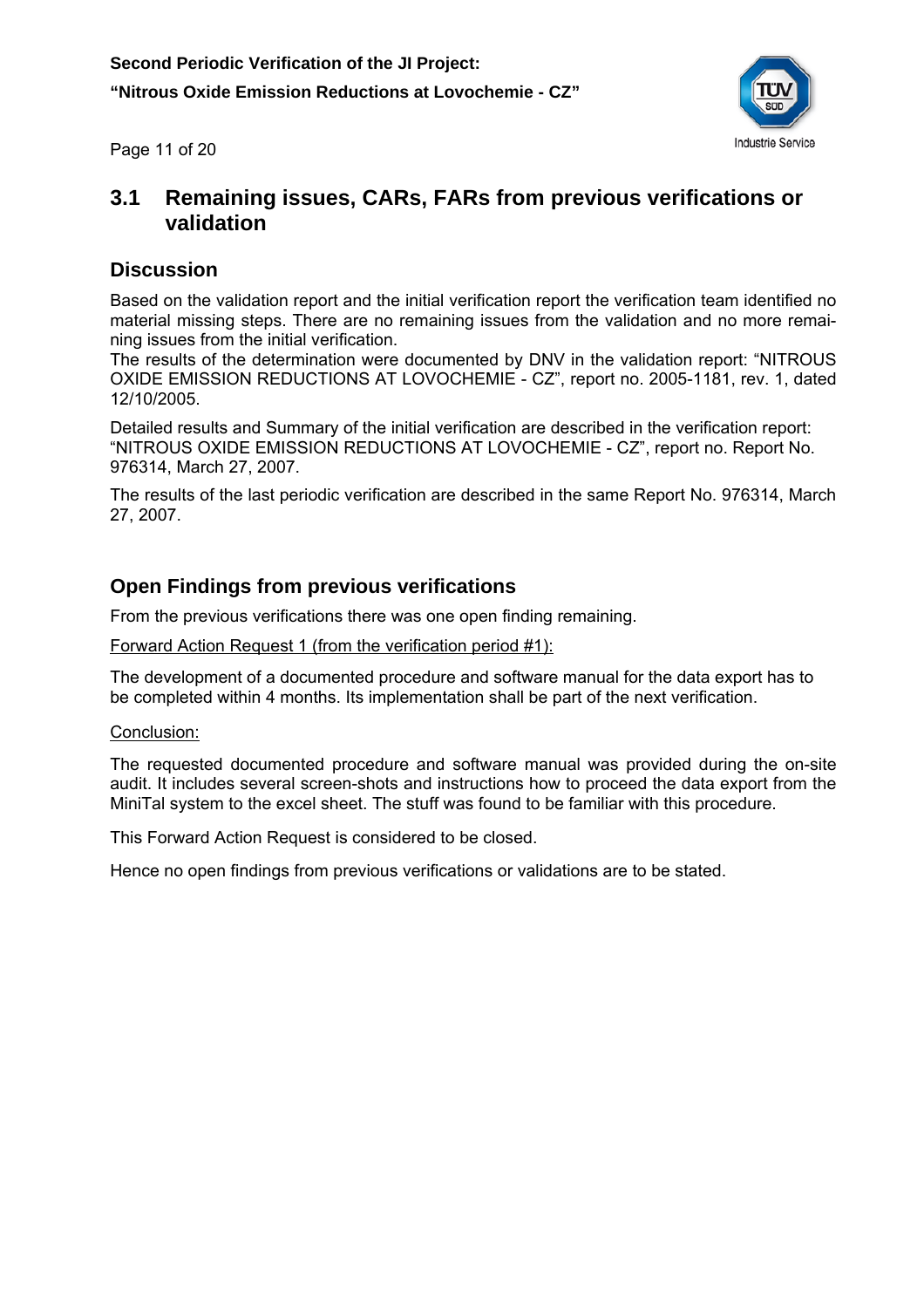

Page 11 of 20

#### **3.1 Remaining issues, CARs, FARs from previous verifications or validation**

#### **Discussion**

Based on the validation report and the initial verification report the verification team identified no material missing steps. There are no remaining issues from the validation and no more remaining issues from the initial verification.

The results of the determination were documented by DNV in the validation report: "NITROUS OXIDE EMISSION REDUCTIONS AT LOVOCHEMIE - CZ", report no. 2005-1181, rev. 1, dated 12/10/2005.

Detailed results and Summary of the initial verification are described in the verification report: "NITROUS OXIDE EMISSION REDUCTIONS AT LOVOCHEMIE - CZ", report no. Report No. 976314, March 27, 2007.

The results of the last periodic verification are described in the same Report No. 976314, March 27, 2007.

#### **Open Findings from previous verifications**

From the previous verifications there was one open finding remaining.

Forward Action Request 1 (from the verification period #1):

The development of a documented procedure and software manual for the data export has to be completed within 4 months. Its implementation shall be part of the next verification.

#### Conclusion:

The requested documented procedure and software manual was provided during the on-site audit. It includes several screen-shots and instructions how to proceed the data export from the MiniTal system to the excel sheet. The stuff was found to be familiar with this procedure.

This Forward Action Request is considered to be closed.

Hence no open findings from previous verifications or validations are to be stated.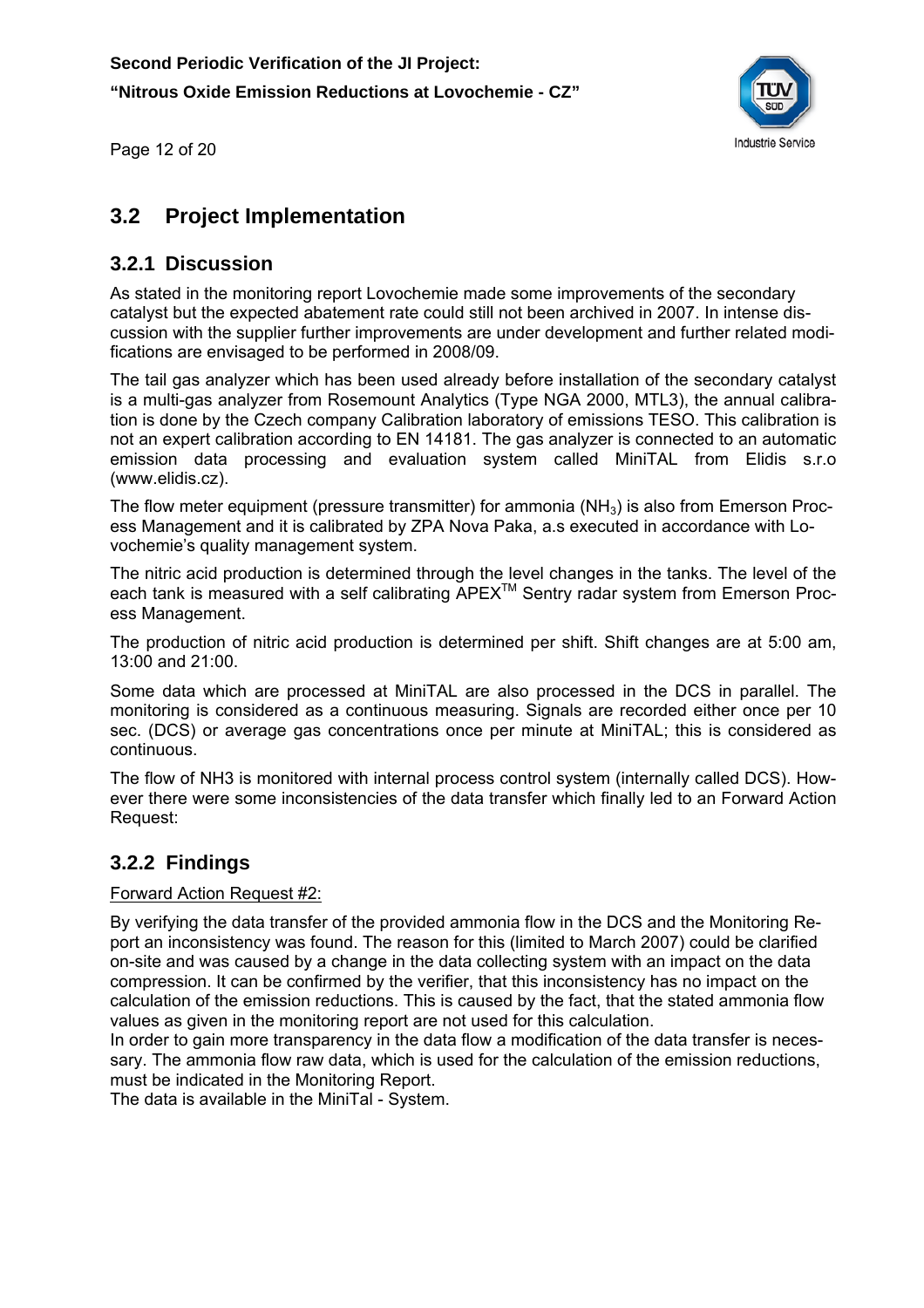

Page 12 of 20

#### **3.2 Project Implementation**

#### **3.2.1 Discussion**

As stated in the monitoring report Lovochemie made some improvements of the secondary catalyst but the expected abatement rate could still not been archived in 2007. In intense discussion with the supplier further improvements are under development and further related modifications are envisaged to be performed in 2008/09.

The tail gas analyzer which has been used already before installation of the secondary catalyst is a multi-gas analyzer from Rosemount Analytics (Type NGA 2000, MTL3), the annual calibration is done by the Czech company Calibration laboratory of emissions TESO. This calibration is not an expert calibration according to EN 14181. The gas analyzer is connected to an automatic emission data processing and evaluation system called MiniTAL from Elidis s.r.o (www.elidis.cz).

The flow meter equipment (pressure transmitter) for ammonia  $(NH<sub>3</sub>)$  is also from Emerson Process Management and it is calibrated by ZPA Nova Paka, a.s executed in accordance with Lovochemie's quality management system.

The nitric acid production is determined through the level changes in the tanks. The level of the each tank is measured with a self calibrating APEXTM Sentry radar system from Emerson Process Management.

The production of nitric acid production is determined per shift. Shift changes are at 5:00 am, 13:00 and 21:00.

Some data which are processed at MiniTAL are also processed in the DCS in parallel. The monitoring is considered as a continuous measuring. Signals are recorded either once per 10 sec. (DCS) or average gas concentrations once per minute at MiniTAL; this is considered as continuous.

The flow of NH3 is monitored with internal process control system (internally called DCS). However there were some inconsistencies of the data transfer which finally led to an Forward Action Request:

#### **3.2.2 Findings**

#### Forward Action Request #2:

By verifying the data transfer of the provided ammonia flow in the DCS and the Monitoring Report an inconsistency was found. The reason for this (limited to March 2007) could be clarified on-site and was caused by a change in the data collecting system with an impact on the data compression. It can be confirmed by the verifier, that this inconsistency has no impact on the calculation of the emission reductions. This is caused by the fact, that the stated ammonia flow values as given in the monitoring report are not used for this calculation.

In order to gain more transparency in the data flow a modification of the data transfer is necessary. The ammonia flow raw data, which is used for the calculation of the emission reductions, must be indicated in the Monitoring Report.

The data is available in the MiniTal - System.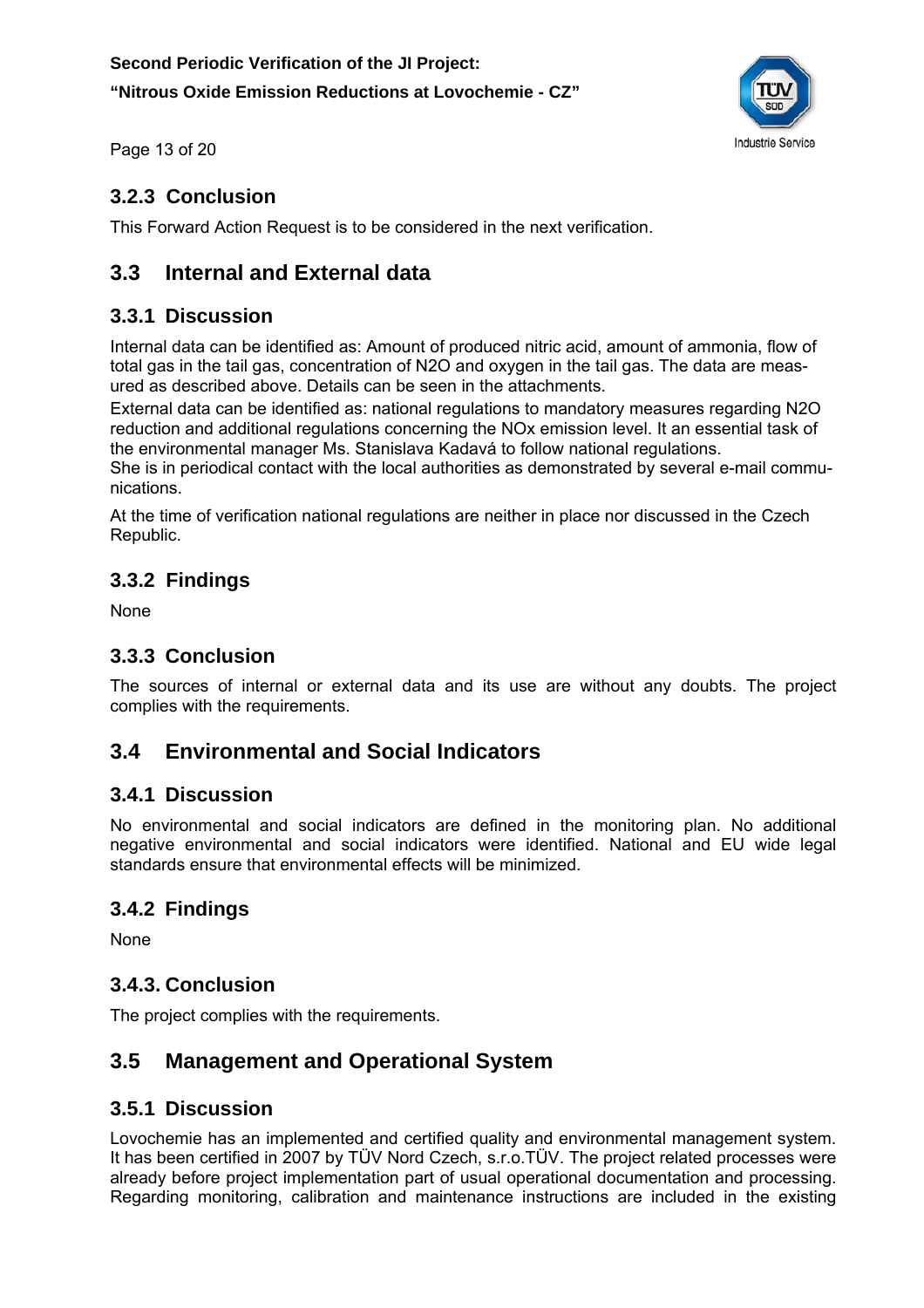

Page 13 of 20

## **3.2.3 Conclusion**

This Forward Action Request is to be considered in the next verification.

## **3.3 Internal and External data**

#### **3.3.1 Discussion**

Internal data can be identified as: Amount of produced nitric acid, amount of ammonia, flow of total gas in the tail gas, concentration of N2O and oxygen in the tail gas. The data are measured as described above. Details can be seen in the attachments.

External data can be identified as: national regulations to mandatory measures regarding N2O reduction and additional regulations concerning the NOx emission level. It an essential task of the environmental manager Ms. Stanislava Kadavá to follow national regulations.

She is in periodical contact with the local authorities as demonstrated by several e-mail communications.

At the time of verification national regulations are neither in place nor discussed in the Czech Republic.

## **3.3.2 Findings**

None

#### **3.3.3 Conclusion**

The sources of internal or external data and its use are without any doubts. The project complies with the requirements.

## **3.4 Environmental and Social Indicators**

#### **3.4.1 Discussion**

No environmental and social indicators are defined in the monitoring plan. No additional negative environmental and social indicators were identified. National and EU wide legal standards ensure that environmental effects will be minimized.

## **3.4.2 Findings**

None

#### **3.4.3. Conclusion**

The project complies with the requirements.

## **3.5 Management and Operational System**

#### **3.5.1 Discussion**

Lovochemie has an implemented and certified quality and environmental management system. It has been certified in 2007 by TÜV Nord Czech, s.r.o.TÜV. The project related processes were already before project implementation part of usual operational documentation and processing. Regarding monitoring, calibration and maintenance instructions are included in the existing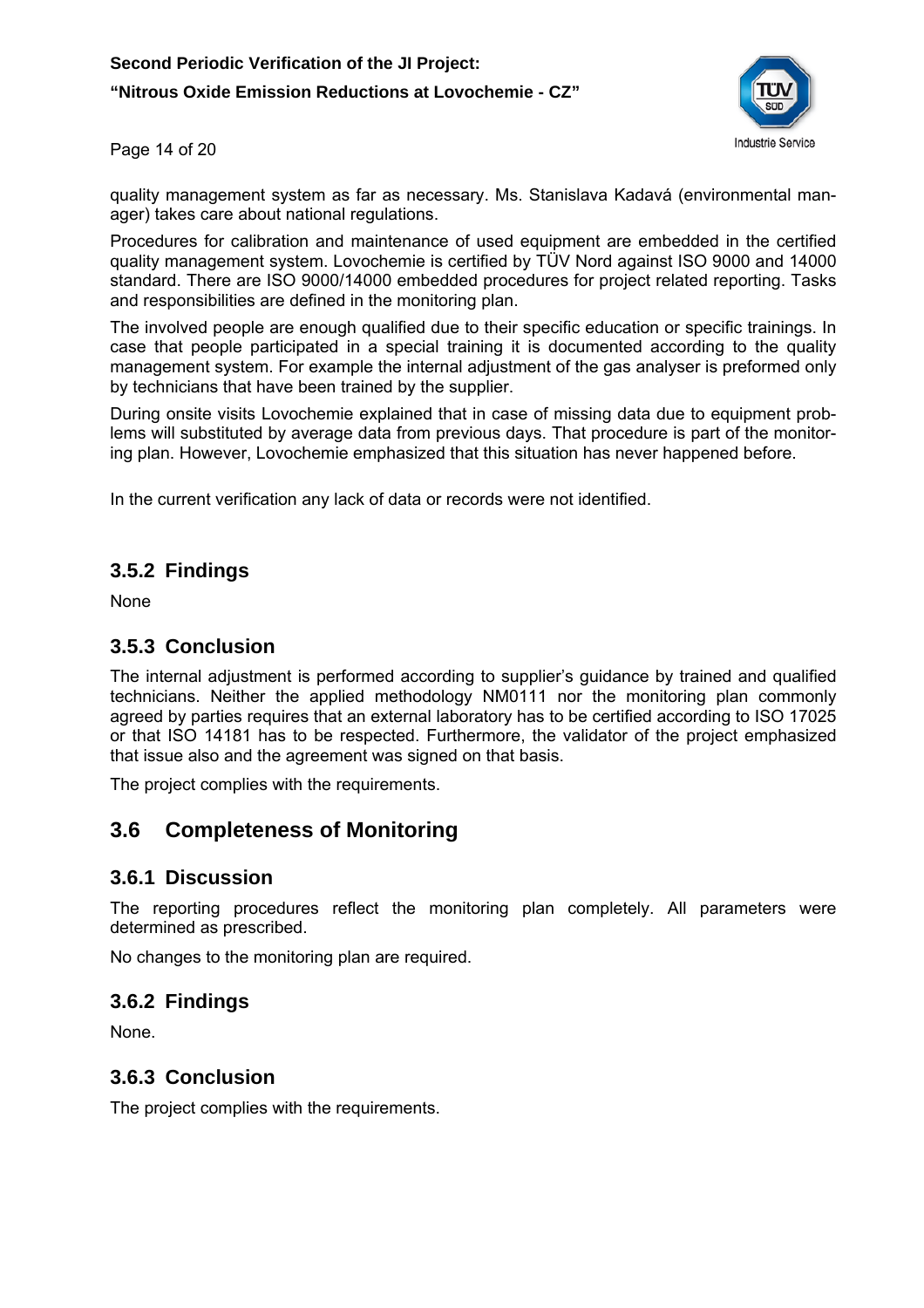**"Nitrous Oxide Emission Reductions at Lovochemie - CZ"** 



Page 14 of 20

quality management system as far as necessary. Ms. Stanislava Kadavá (environmental manager) takes care about national regulations.

Procedures for calibration and maintenance of used equipment are embedded in the certified quality management system. Lovochemie is certified by TÜV Nord against ISO 9000 and 14000 standard. There are ISO 9000/14000 embedded procedures for project related reporting. Tasks and responsibilities are defined in the monitoring plan.

The involved people are enough qualified due to their specific education or specific trainings. In case that people participated in a special training it is documented according to the quality management system. For example the internal adjustment of the gas analyser is preformed only by technicians that have been trained by the supplier.

During onsite visits Lovochemie explained that in case of missing data due to equipment problems will substituted by average data from previous days. That procedure is part of the monitoring plan. However, Lovochemie emphasized that this situation has never happened before.

In the current verification any lack of data or records were not identified.

#### **3.5.2 Findings**

None

#### **3.5.3 Conclusion**

The internal adjustment is performed according to supplier's guidance by trained and qualified technicians. Neither the applied methodology NM0111 nor the monitoring plan commonly agreed by parties requires that an external laboratory has to be certified according to ISO 17025 or that ISO 14181 has to be respected. Furthermore, the validator of the project emphasized that issue also and the agreement was signed on that basis.

The project complies with the requirements.

#### **3.6 Completeness of Monitoring**

#### **3.6.1 Discussion**

The reporting procedures reflect the monitoring plan completely. All parameters were determined as prescribed.

No changes to the monitoring plan are required.

#### **3.6.2 Findings**

None.

#### **3.6.3 Conclusion**

The project complies with the requirements.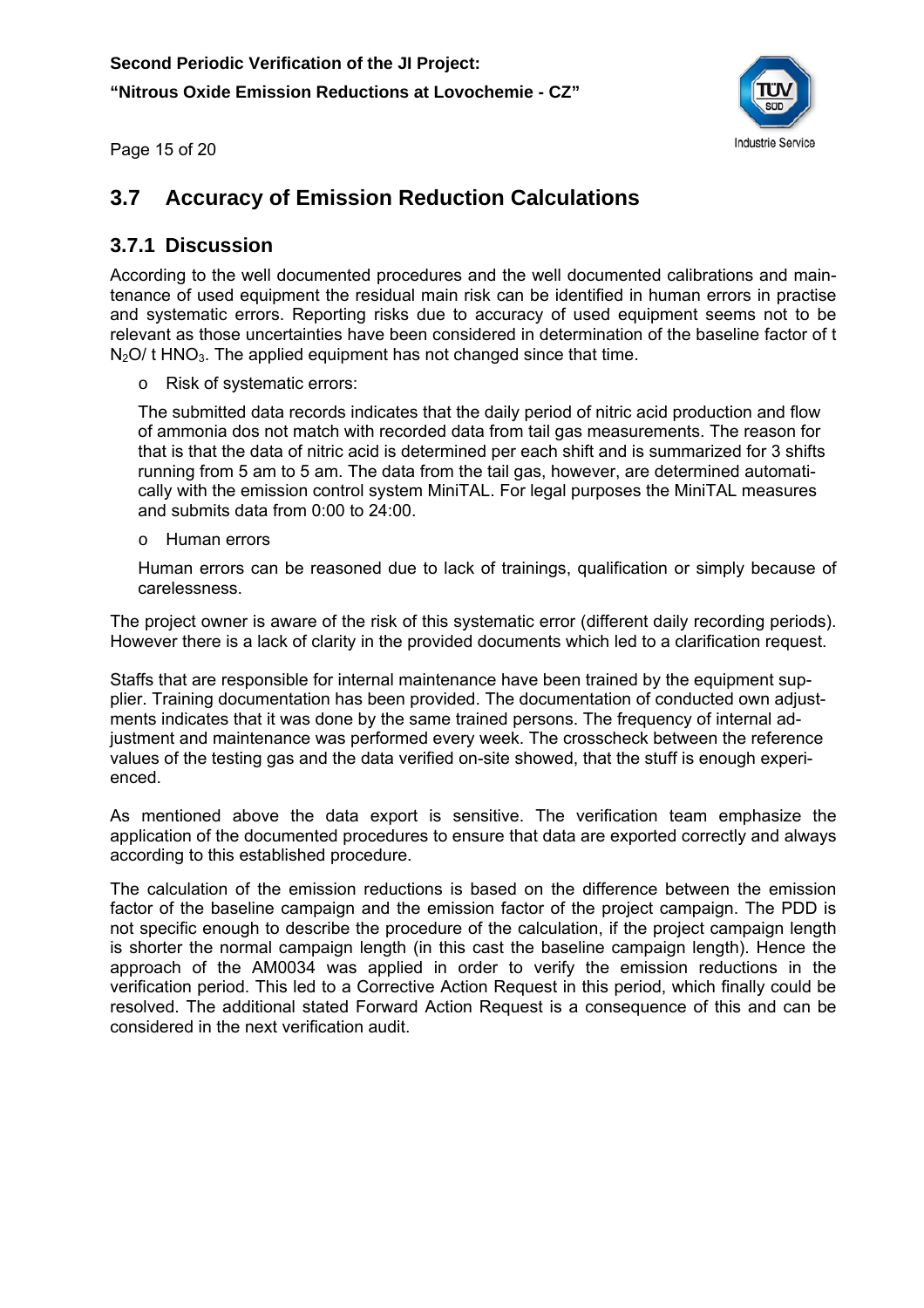

Page 15 of 20

## **3.7 Accuracy of Emission Reduction Calculations**

#### **3.7.1 Discussion**

According to the well documented procedures and the well documented calibrations and maintenance of used equipment the residual main risk can be identified in human errors in practise and systematic errors. Reporting risks due to accuracy of used equipment seems not to be relevant as those uncertainties have been considered in determination of the baseline factor of t  $N<sub>2</sub>O$  t HNO<sub>3</sub>. The applied equipment has not changed since that time.

o Risk of systematic errors:

The submitted data records indicates that the daily period of nitric acid production and flow of ammonia dos not match with recorded data from tail gas measurements. The reason for that is that the data of nitric acid is determined per each shift and is summarized for 3 shifts running from 5 am to 5 am. The data from the tail gas, however, are determined automatically with the emission control system MiniTAL. For legal purposes the MiniTAL measures and submits data from 0:00 to 24:00.

o Human errors

Human errors can be reasoned due to lack of trainings, qualification or simply because of carelessness.

The project owner is aware of the risk of this systematic error (different daily recording periods). However there is a lack of clarity in the provided documents which led to a clarification request.

Staffs that are responsible for internal maintenance have been trained by the equipment supplier. Training documentation has been provided. The documentation of conducted own adjustments indicates that it was done by the same trained persons. The frequency of internal adjustment and maintenance was performed every week. The crosscheck between the reference values of the testing gas and the data verified on-site showed, that the stuff is enough experienced.

As mentioned above the data export is sensitive. The verification team emphasize the application of the documented procedures to ensure that data are exported correctly and always according to this established procedure.

The calculation of the emission reductions is based on the difference between the emission factor of the baseline campaign and the emission factor of the project campaign. The PDD is not specific enough to describe the procedure of the calculation, if the project campaign length is shorter the normal campaign length (in this cast the baseline campaign length). Hence the approach of the AM0034 was applied in order to verify the emission reductions in the verification period. This led to a Corrective Action Request in this period, which finally could be resolved. The additional stated Forward Action Request is a consequence of this and can be considered in the next verification audit.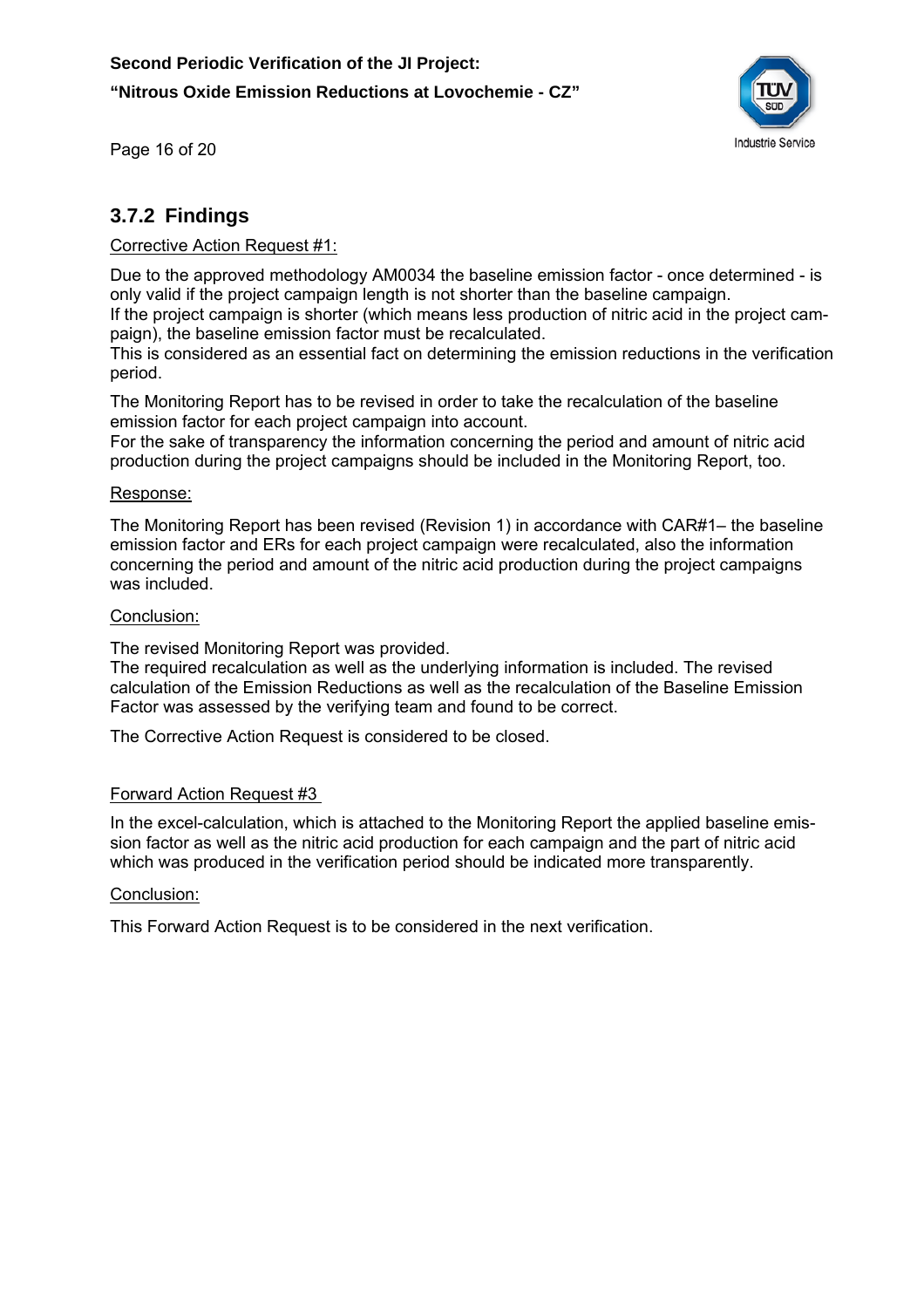![](_page_16_Picture_1.jpeg)

Page 16 of 20

#### **3.7.2 Findings**

#### Corrective Action Request #1:

Due to the approved methodology AM0034 the baseline emission factor - once determined - is only valid if the project campaign length is not shorter than the baseline campaign. If the project campaign is shorter (which means less production of nitric acid in the project campaign), the baseline emission factor must be recalculated.

This is considered as an essential fact on determining the emission reductions in the verification period.

The Monitoring Report has to be revised in order to take the recalculation of the baseline emission factor for each project campaign into account.

For the sake of transparency the information concerning the period and amount of nitric acid production during the project campaigns should be included in the Monitoring Report, too.

#### Response:

The Monitoring Report has been revised (Revision 1) in accordance with CAR#1– the baseline emission factor and ERs for each project campaign were recalculated, also the information concerning the period and amount of the nitric acid production during the project campaigns was included.

#### Conclusion:

The revised Monitoring Report was provided.

The required recalculation as well as the underlying information is included. The revised calculation of the Emission Reductions as well as the recalculation of the Baseline Emission Factor was assessed by the verifying team and found to be correct.

The Corrective Action Request is considered to be closed.

#### Forward Action Request #3

In the excel-calculation, which is attached to the Monitoring Report the applied baseline emission factor as well as the nitric acid production for each campaign and the part of nitric acid which was produced in the verification period should be indicated more transparently.

#### Conclusion:

This Forward Action Request is to be considered in the next verification.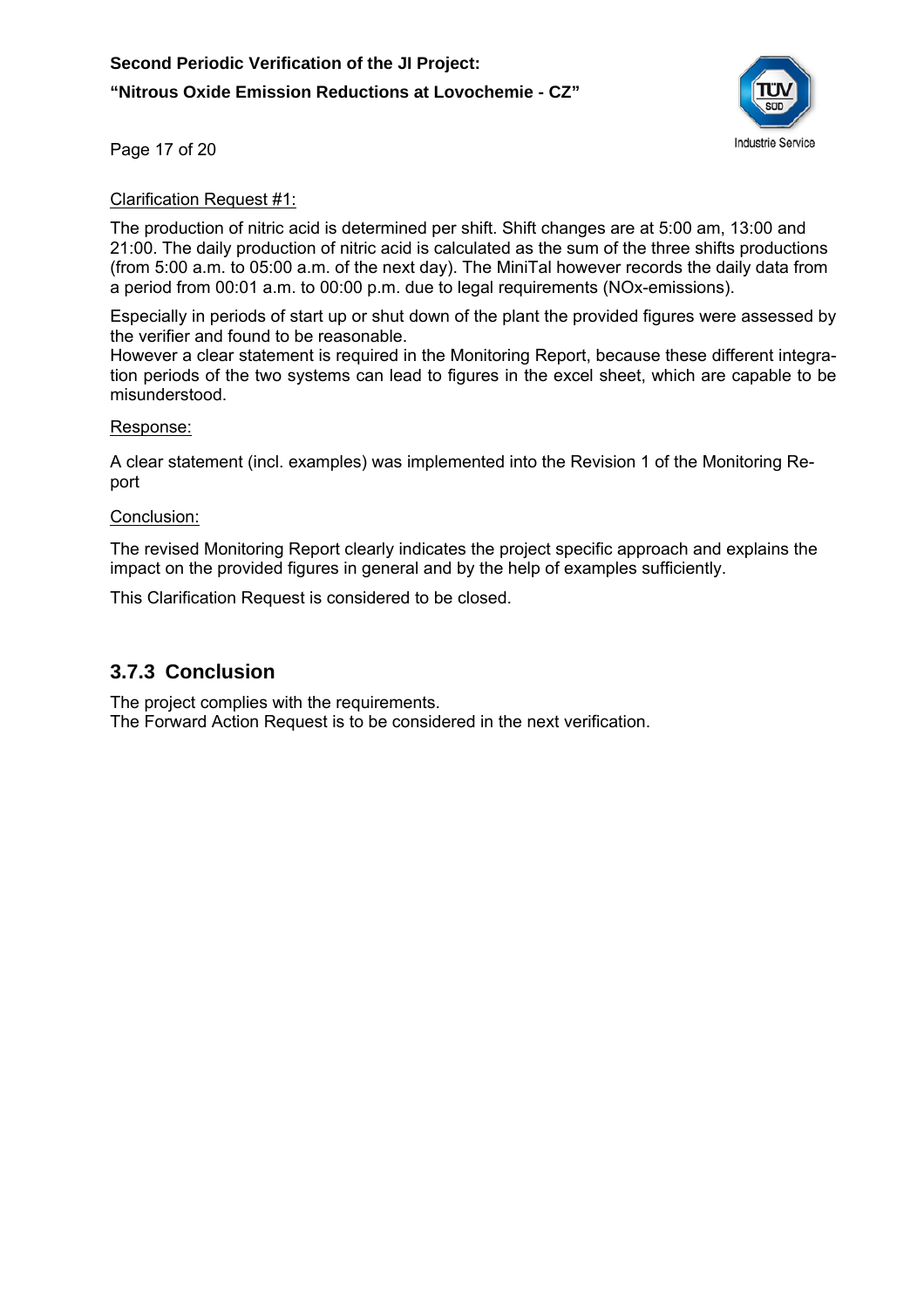![](_page_17_Picture_1.jpeg)

Page 17 of 20

#### Clarification Request #1:

The production of nitric acid is determined per shift. Shift changes are at 5:00 am, 13:00 and 21:00. The daily production of nitric acid is calculated as the sum of the three shifts productions (from 5:00 a.m. to 05:00 a.m. of the next day). The MiniTal however records the daily data from a period from 00:01 a.m. to 00:00 p.m. due to legal requirements (NOx-emissions).

Especially in periods of start up or shut down of the plant the provided figures were assessed by the verifier and found to be reasonable.

However a clear statement is required in the Monitoring Report, because these different integration periods of the two systems can lead to figures in the excel sheet, which are capable to be misunderstood.

#### Response:

A clear statement (incl. examples) was implemented into the Revision 1 of the Monitoring Report

#### Conclusion:

The revised Monitoring Report clearly indicates the project specific approach and explains the impact on the provided figures in general and by the help of examples sufficiently.

This Clarification Request is considered to be closed.

#### **3.7.3 Conclusion**

The project complies with the requirements.

The Forward Action Request is to be considered in the next verification.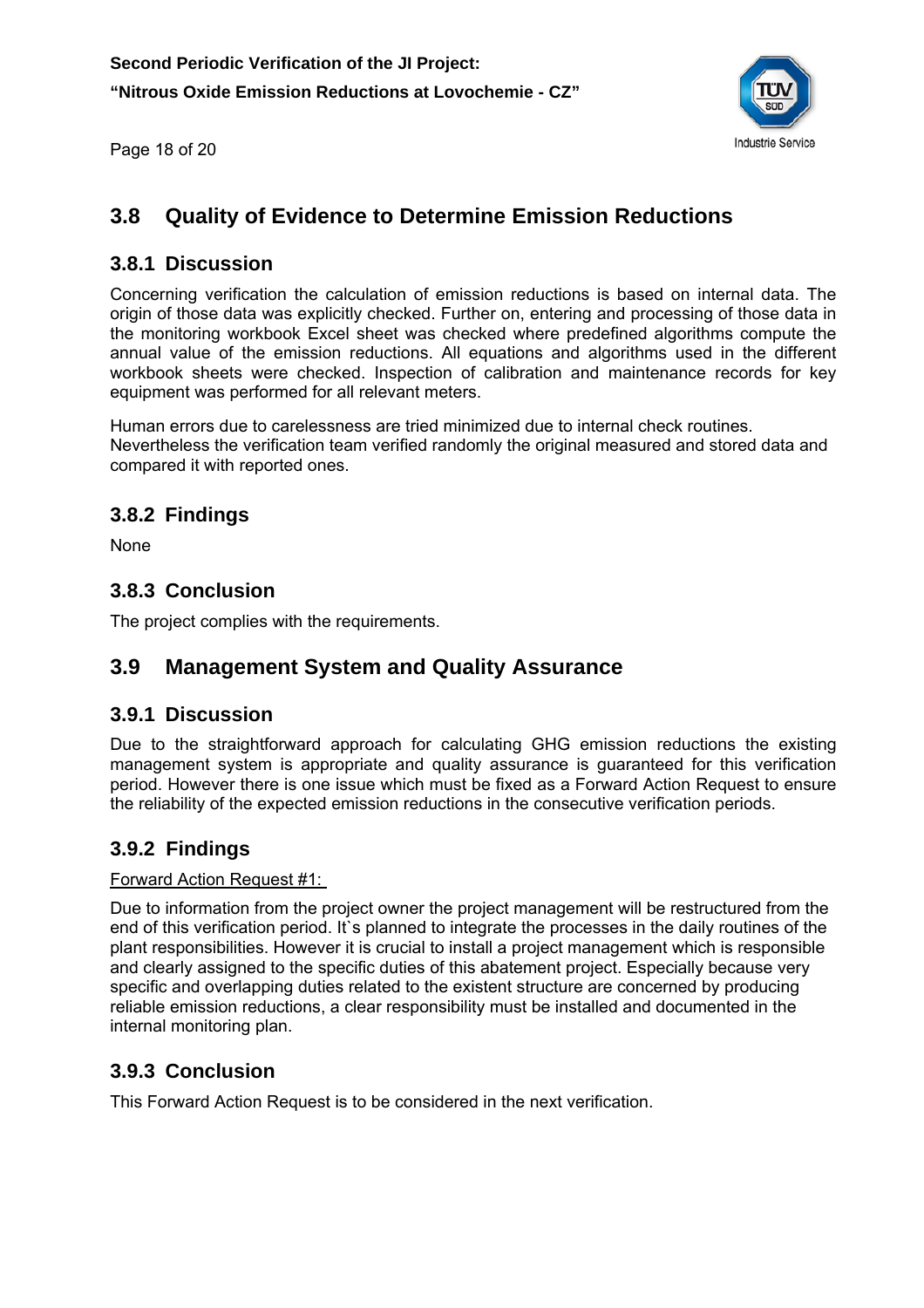![](_page_18_Picture_1.jpeg)

Page 18 of 20

## **3.8 Quality of Evidence to Determine Emission Reductions**

#### **3.8.1 Discussion**

Concerning verification the calculation of emission reductions is based on internal data. The origin of those data was explicitly checked. Further on, entering and processing of those data in the monitoring workbook Excel sheet was checked where predefined algorithms compute the annual value of the emission reductions. All equations and algorithms used in the different workbook sheets were checked. Inspection of calibration and maintenance records for key equipment was performed for all relevant meters.

Human errors due to carelessness are tried minimized due to internal check routines. Nevertheless the verification team verified randomly the original measured and stored data and compared it with reported ones.

#### **3.8.2 Findings**

None

#### **3.8.3 Conclusion**

The project complies with the requirements.

#### **3.9 Management System and Quality Assurance**

#### **3.9.1 Discussion**

Due to the straightforward approach for calculating GHG emission reductions the existing management system is appropriate and quality assurance is guaranteed for this verification period. However there is one issue which must be fixed as a Forward Action Request to ensure the reliability of the expected emission reductions in the consecutive verification periods.

#### **3.9.2 Findings**

#### Forward Action Request #1:

Due to information from the project owner the project management will be restructured from the end of this verification period. It`s planned to integrate the processes in the daily routines of the plant responsibilities. However it is crucial to install a project management which is responsible and clearly assigned to the specific duties of this abatement project. Especially because very specific and overlapping duties related to the existent structure are concerned by producing reliable emission reductions, a clear responsibility must be installed and documented in the internal monitoring plan.

#### **3.9.3 Conclusion**

This Forward Action Request is to be considered in the next verification.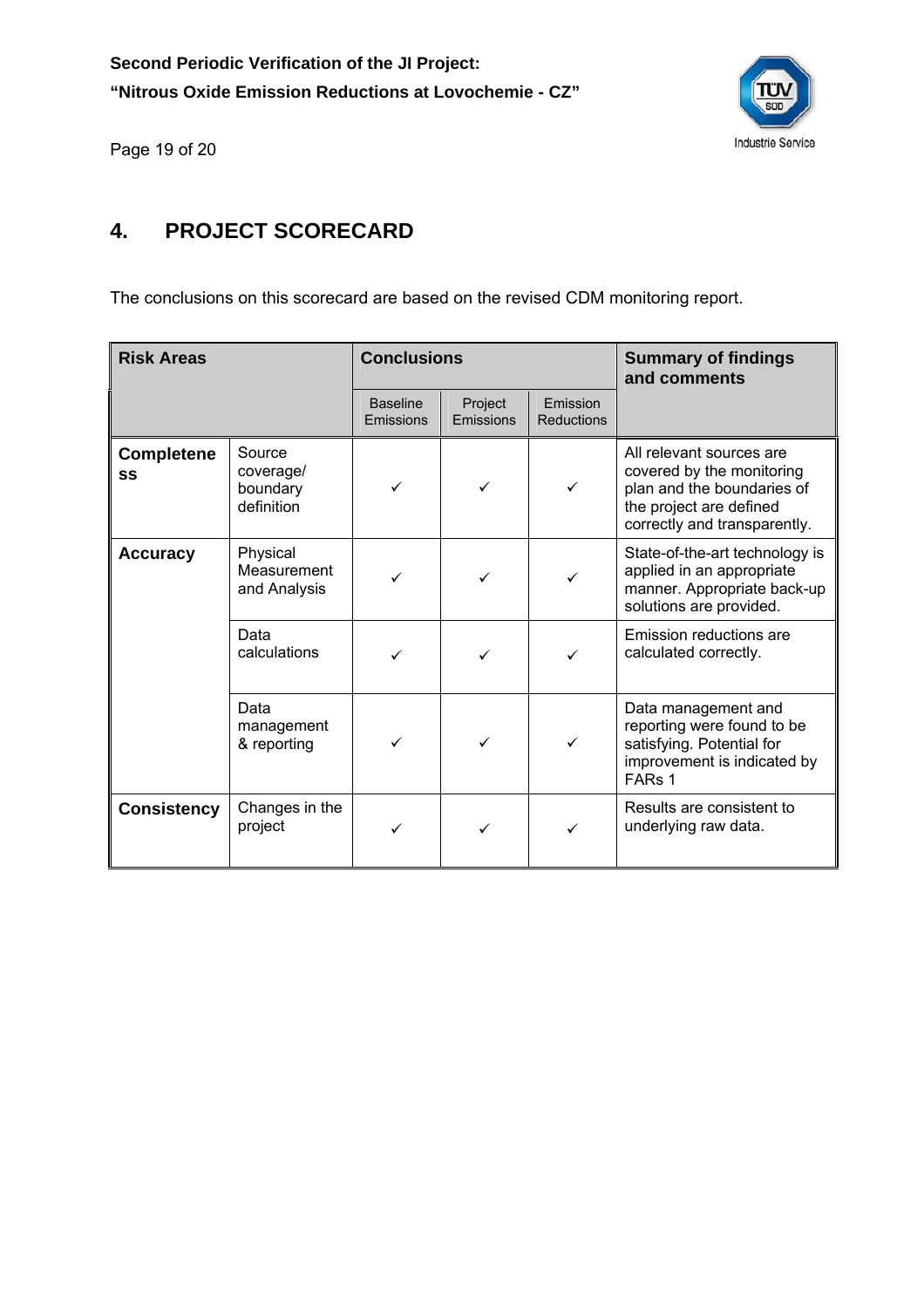![](_page_19_Picture_1.jpeg)

Page 19 of 20

## **4. PROJECT SCORECARD**

The conclusions on this scorecard are based on the revised CDM monitoring report.

| <b>Risk Areas</b>       |                                               | <b>Conclusions</b>           |                      | <b>Summary of findings</b><br>and comments |                                                                                                                                                |
|-------------------------|-----------------------------------------------|------------------------------|----------------------|--------------------------------------------|------------------------------------------------------------------------------------------------------------------------------------------------|
|                         |                                               | <b>Baseline</b><br>Emissions | Project<br>Emissions | Emission<br>Reductions                     |                                                                                                                                                |
| <b>Completene</b><br>SS | Source<br>coverage/<br>boundary<br>definition | ✓                            | ✓                    | $\checkmark$                               | All relevant sources are<br>covered by the monitoring<br>plan and the boundaries of<br>the project are defined<br>correctly and transparently. |
| <b>Accuracy</b>         | Physical<br>Measurement<br>and Analysis       | ✓                            | ✓                    |                                            | State-of-the-art technology is<br>applied in an appropriate<br>manner. Appropriate back-up<br>solutions are provided.                          |
|                         | Data<br>calculations                          |                              | ✓                    | ✓                                          | Emission reductions are<br>calculated correctly.                                                                                               |
|                         | Data<br>management<br>& reporting             |                              | ✓                    | ✓                                          | Data management and<br>reporting were found to be<br>satisfying. Potential for<br>improvement is indicated by<br>FAR <sub>s</sub> 1            |
| <b>Consistency</b>      | Changes in the<br>project                     |                              | ✓                    |                                            | Results are consistent to<br>underlying raw data.                                                                                              |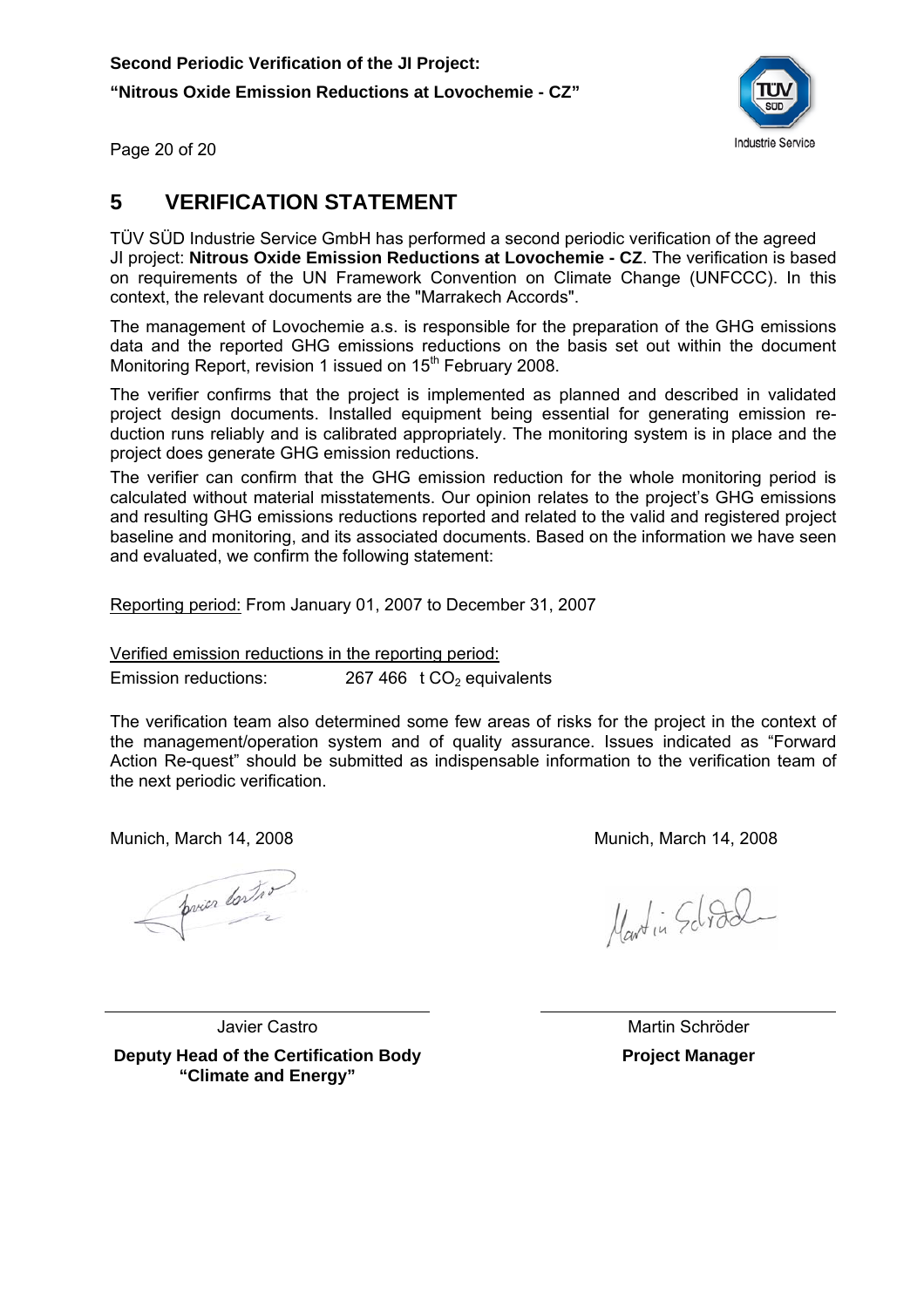**Second Periodic Verification of the JI Project: "Nitrous Oxide Emission Reductions at Lovochemie - CZ"** 

![](_page_20_Picture_1.jpeg)

Page 20 of 20

#### **5 VERIFICATION STATEMENT**

TÜV SÜD Industrie Service GmbH has performed a second periodic verification of the agreed JI project: **Nitrous Oxide Emission Reductions at Lovochemie - CZ**. The verification is based on requirements of the UN Framework Convention on Climate Change (UNFCCC). In this context, the relevant documents are the "Marrakech Accords".

The management of Lovochemie a.s. is responsible for the preparation of the GHG emissions data and the reported GHG emissions reductions on the basis set out within the document Monitoring Report, revision 1 issued on 15<sup>th</sup> February 2008.

The verifier confirms that the project is implemented as planned and described in validated project design documents. Installed equipment being essential for generating emission reduction runs reliably and is calibrated appropriately. The monitoring system is in place and the project does generate GHG emission reductions.

The verifier can confirm that the GHG emission reduction for the whole monitoring period is calculated without material misstatements. Our opinion relates to the project's GHG emissions and resulting GHG emissions reductions reported and related to the valid and registered project baseline and monitoring, and its associated documents. Based on the information we have seen and evaluated, we confirm the following statement:

Reporting period: From January 01, 2007 to December 31, 2007

Verified emission reductions in the reporting period:

Emission reductions:  $267 466$  t CO<sub>2</sub> equivalents

The verification team also determined some few areas of risks for the project in the context of the management/operation system and of quality assurance. Issues indicated as "Forward Action Re-quest" should be submitted as indispensable information to the verification team of the next periodic verification.

Munich, March 14, 2008 Munich, March 14, 2008

pries contro

Martin School

Javier Castro **Deputy Head of the Certification Body "Climate and Energy"**

 Martin Schröder **Project Manager**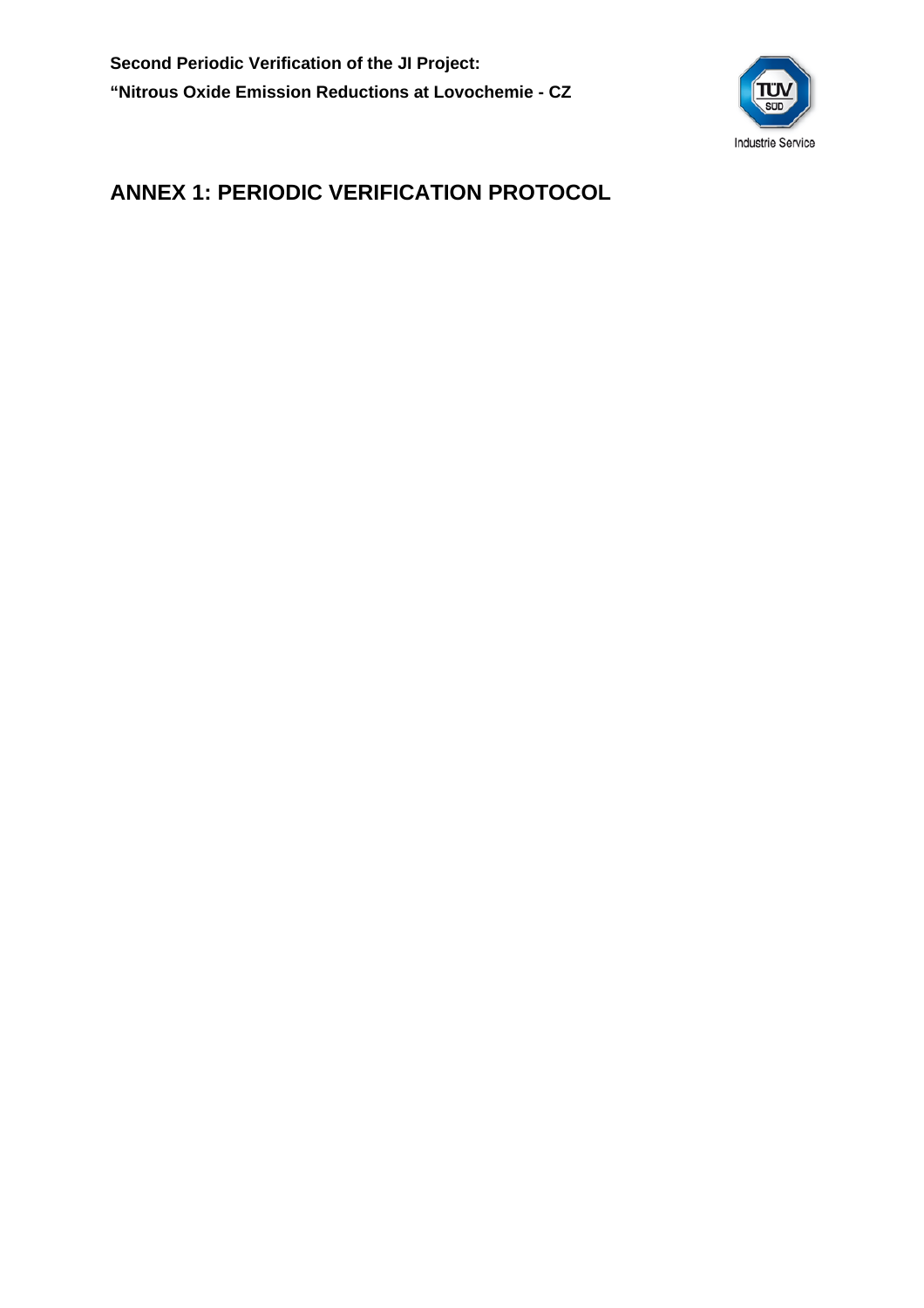![](_page_21_Picture_1.jpeg)

## **ANNEX 1: PERIODIC VERIFICATION PROTOCOL**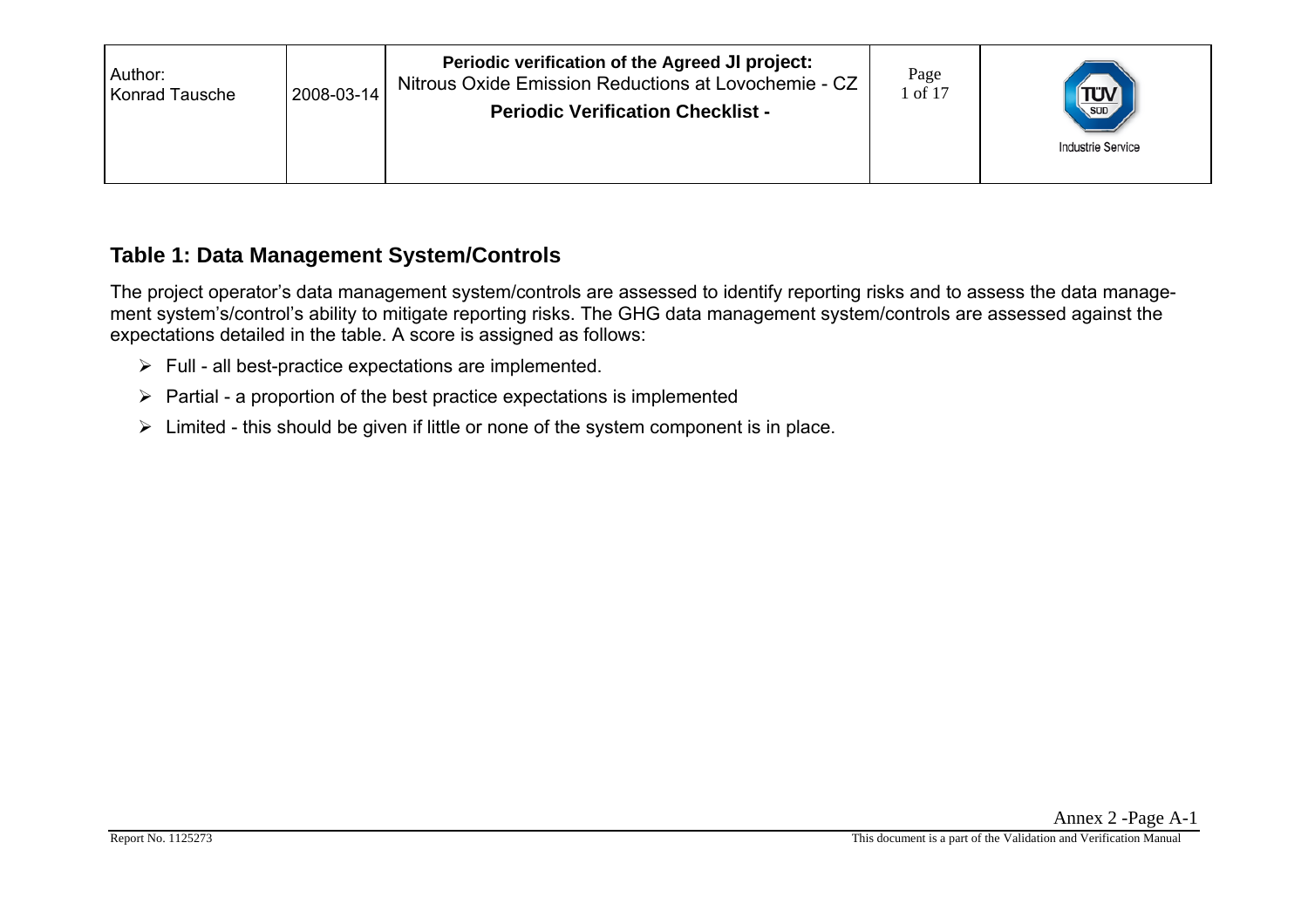| Author:<br><b>Konrad Tausche</b> | 2008-03-14 | Periodic verification of the Agreed JI project:<br>Nitrous Oxide Emission Reductions at Lovochemie - CZ<br><b>Periodic Verification Checklist -</b> | Page<br>1 of 17 | $T_{\text{sub}}$<br><b>Industrie Service</b> |
|----------------------------------|------------|-----------------------------------------------------------------------------------------------------------------------------------------------------|-----------------|----------------------------------------------|
|                                  |            |                                                                                                                                                     |                 |                                              |

#### **Table 1: Data Management System/Controls**

The project operator's data management system/controls are assessed to identify reporting risks and to assess the data management system's/control's ability to mitigate reporting risks. The GHG data management system/controls are assessed against the expectations detailed in the table. A score is assigned as follows:

- $\triangleright$  Full all best-practice expectations are implemented.
- $\triangleright$  Partial a proportion of the best practice expectations is implemented
- $\triangleright$  Limited this should be given if little or none of the system component is in place.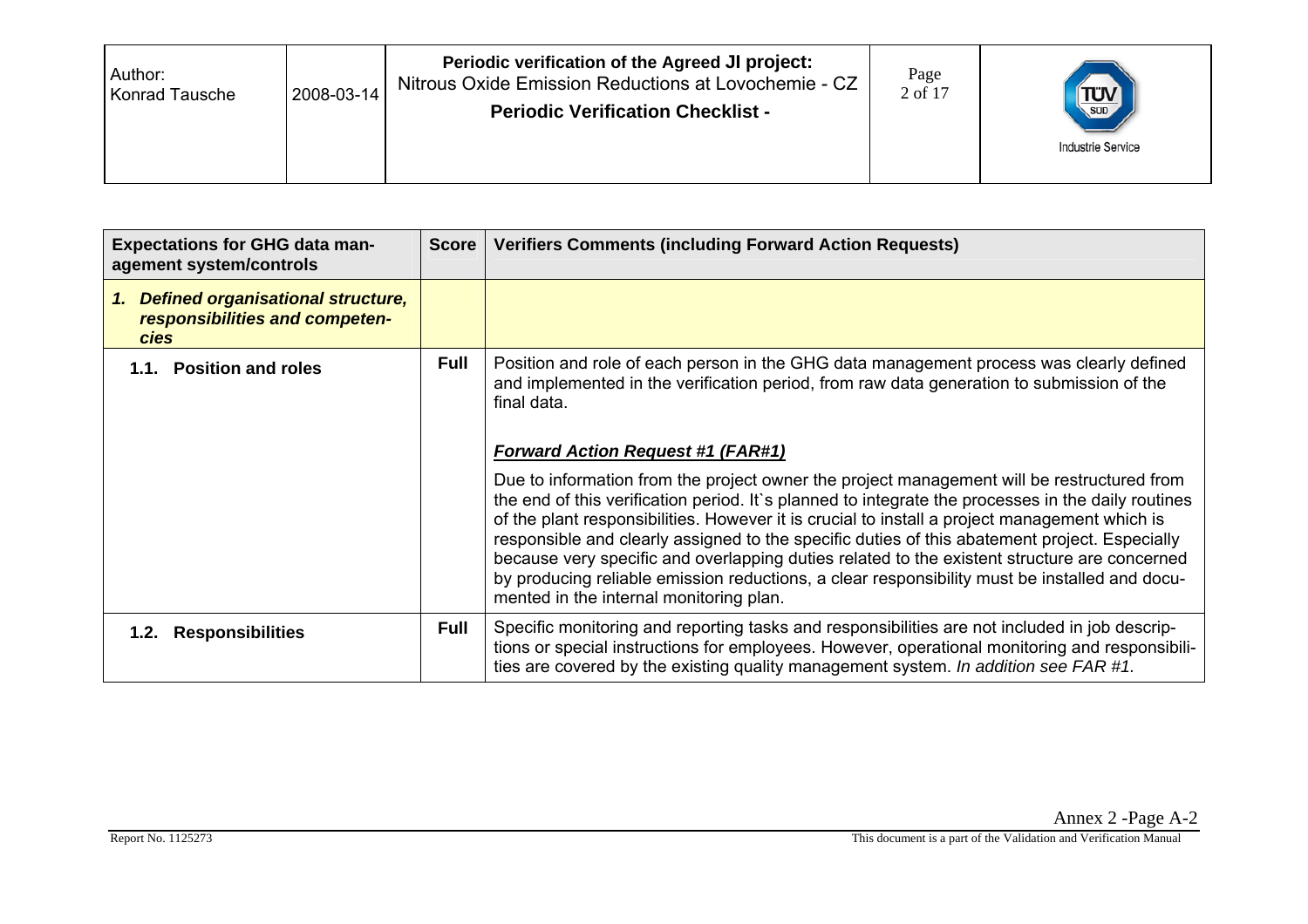| Author:<br>2008-03-14<br><b>Konrad Tausche</b> | Periodic verification of the Agreed JI project:<br>Nitrous Oxide Emission Reductions at Lovochemie - CZ<br><b>Periodic Verification Checklist -</b> | Page<br>2 of 17 | $T_{\text{sub}}$<br><b>Industrie Service</b> |
|------------------------------------------------|-----------------------------------------------------------------------------------------------------------------------------------------------------|-----------------|----------------------------------------------|
|------------------------------------------------|-----------------------------------------------------------------------------------------------------------------------------------------------------|-----------------|----------------------------------------------|

| <b>Expectations for GHG data man-</b><br>agement system/controls                      | <b>Score</b> | <b>Verifiers Comments (including Forward Action Requests)</b>                                                                                                                                                                                                                                                                                                                                                                                                                                                                                                                                                                                  |
|---------------------------------------------------------------------------------------|--------------|------------------------------------------------------------------------------------------------------------------------------------------------------------------------------------------------------------------------------------------------------------------------------------------------------------------------------------------------------------------------------------------------------------------------------------------------------------------------------------------------------------------------------------------------------------------------------------------------------------------------------------------------|
| 1. Defined organisational structure,<br>responsibilities and competen-<br><b>cies</b> |              |                                                                                                                                                                                                                                                                                                                                                                                                                                                                                                                                                                                                                                                |
| 1.1. Position and roles                                                               | <b>Full</b>  | Position and role of each person in the GHG data management process was clearly defined<br>and implemented in the verification period, from raw data generation to submission of the<br>final data.                                                                                                                                                                                                                                                                                                                                                                                                                                            |
|                                                                                       |              | <b>Forward Action Request #1 (FAR#1)</b>                                                                                                                                                                                                                                                                                                                                                                                                                                                                                                                                                                                                       |
|                                                                                       |              | Due to information from the project owner the project management will be restructured from<br>the end of this verification period. It's planned to integrate the processes in the daily routines<br>of the plant responsibilities. However it is crucial to install a project management which is<br>responsible and clearly assigned to the specific duties of this abatement project. Especially<br>because very specific and overlapping duties related to the existent structure are concerned<br>by producing reliable emission reductions, a clear responsibility must be installed and docu-<br>mented in the internal monitoring plan. |
| 1.2. Responsibilities                                                                 | <b>Full</b>  | Specific monitoring and reporting tasks and responsibilities are not included in job descrip-<br>tions or special instructions for employees. However, operational monitoring and responsibili-<br>ties are covered by the existing quality management system. In addition see FAR #1.                                                                                                                                                                                                                                                                                                                                                         |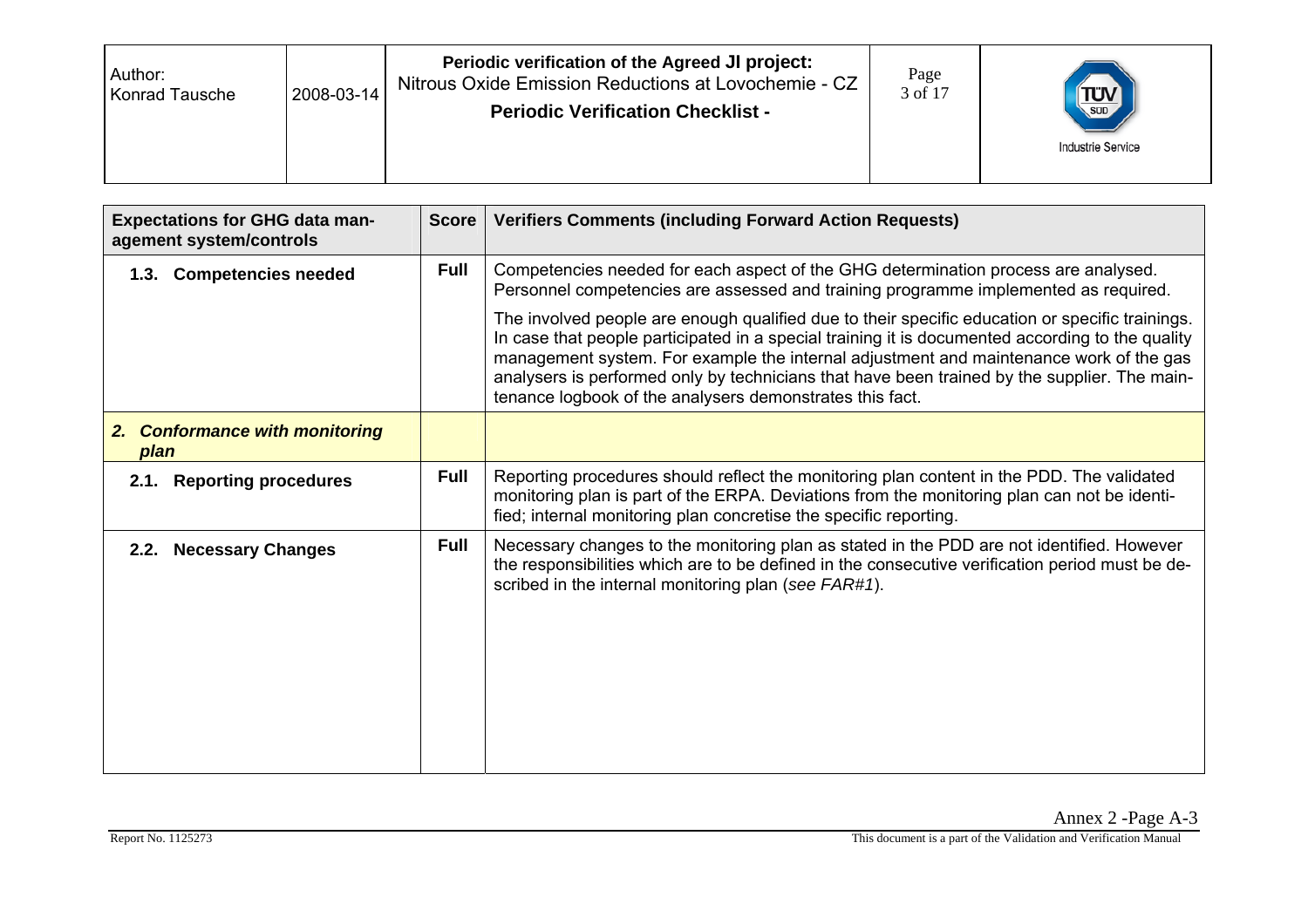| Author:<br>2008-03-14<br>Konrad Tausche | Periodic verification of the Agreed JI project:<br>Nitrous Oxide Emission Reductions at Lovochemie - CZ<br><b>Periodic Verification Checklist -</b> | Page<br>3 of 17 | $\left(\frac{1}{\sqrt{2}}\right)$<br><b>Industrie Service</b> |
|-----------------------------------------|-----------------------------------------------------------------------------------------------------------------------------------------------------|-----------------|---------------------------------------------------------------|
|-----------------------------------------|-----------------------------------------------------------------------------------------------------------------------------------------------------|-----------------|---------------------------------------------------------------|

| <b>Expectations for GHG data man-</b><br>agement system/controls | <b>Score</b> | <b>Verifiers Comments (including Forward Action Requests)</b>                                                                                                                                                                                                                                                                                                                                                                                             |
|------------------------------------------------------------------|--------------|-----------------------------------------------------------------------------------------------------------------------------------------------------------------------------------------------------------------------------------------------------------------------------------------------------------------------------------------------------------------------------------------------------------------------------------------------------------|
| 1.3. Competencies needed                                         | <b>Full</b>  | Competencies needed for each aspect of the GHG determination process are analysed.<br>Personnel competencies are assessed and training programme implemented as required.                                                                                                                                                                                                                                                                                 |
|                                                                  |              | The involved people are enough qualified due to their specific education or specific trainings.<br>In case that people participated in a special training it is documented according to the quality<br>management system. For example the internal adjustment and maintenance work of the gas<br>analysers is performed only by technicians that have been trained by the supplier. The main-<br>tenance logbook of the analysers demonstrates this fact. |
| <b>Conformance with monitoring</b><br>2.<br>plan                 |              |                                                                                                                                                                                                                                                                                                                                                                                                                                                           |
| <b>Reporting procedures</b><br>2.1.                              | <b>Full</b>  | Reporting procedures should reflect the monitoring plan content in the PDD. The validated<br>monitoring plan is part of the ERPA. Deviations from the monitoring plan can not be identi-<br>fied; internal monitoring plan concretise the specific reporting.                                                                                                                                                                                             |
| <b>Necessary Changes</b><br>2.2.                                 | <b>Full</b>  | Necessary changes to the monitoring plan as stated in the PDD are not identified. However<br>the responsibilities which are to be defined in the consecutive verification period must be de-<br>scribed in the internal monitoring plan (see FAR#1).                                                                                                                                                                                                      |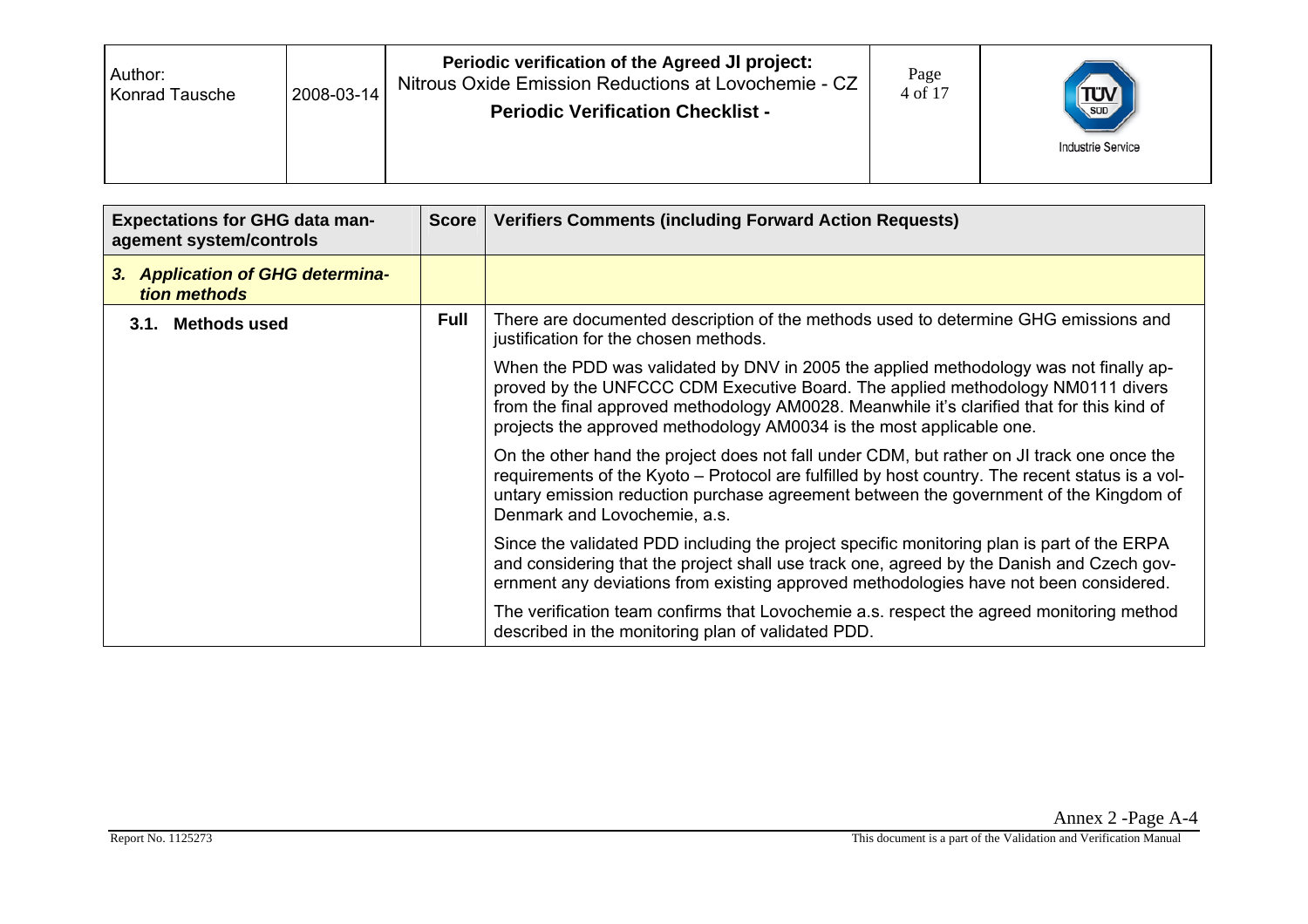| Author:<br>Konrad Tausche | 2008-03-14 | Periodic verification of the Agreed JI project:<br>Nitrous Oxide Emission Reductions at Lovochemie - CZ<br><b>Periodic Verification Checklist -</b> | Page<br>4 of 17 | TUV<br><b>Industrie Service</b> |
|---------------------------|------------|-----------------------------------------------------------------------------------------------------------------------------------------------------|-----------------|---------------------------------|
|---------------------------|------------|-----------------------------------------------------------------------------------------------------------------------------------------------------|-----------------|---------------------------------|

| <b>Expectations for GHG data man-</b><br>agement system/controls | Score       | <b>Verifiers Comments (including Forward Action Requests)</b>                                                                                                                                                                                                                                                                                  |
|------------------------------------------------------------------|-------------|------------------------------------------------------------------------------------------------------------------------------------------------------------------------------------------------------------------------------------------------------------------------------------------------------------------------------------------------|
| <b>Application of GHG determina-</b><br>3.<br>tion methods       |             |                                                                                                                                                                                                                                                                                                                                                |
| 3.1. Methods used                                                | <b>Full</b> | There are documented description of the methods used to determine GHG emissions and<br>justification for the chosen methods.                                                                                                                                                                                                                   |
|                                                                  |             | When the PDD was validated by DNV in 2005 the applied methodology was not finally ap-<br>proved by the UNFCCC CDM Executive Board. The applied methodology NM0111 divers<br>from the final approved methodology AM0028. Meanwhile it's clarified that for this kind of<br>projects the approved methodology AM0034 is the most applicable one. |
|                                                                  |             | On the other hand the project does not fall under CDM, but rather on JI track one once the<br>requirements of the Kyoto – Protocol are fulfilled by host country. The recent status is a vol-<br>untary emission reduction purchase agreement between the government of the Kingdom of<br>Denmark and Lovochemie, a.s.                         |
|                                                                  |             | Since the validated PDD including the project specific monitoring plan is part of the ERPA<br>and considering that the project shall use track one, agreed by the Danish and Czech gov-<br>ernment any deviations from existing approved methodologies have not been considered.                                                               |
|                                                                  |             | The verification team confirms that Lovochemie a.s. respect the agreed monitoring method<br>described in the monitoring plan of validated PDD.                                                                                                                                                                                                 |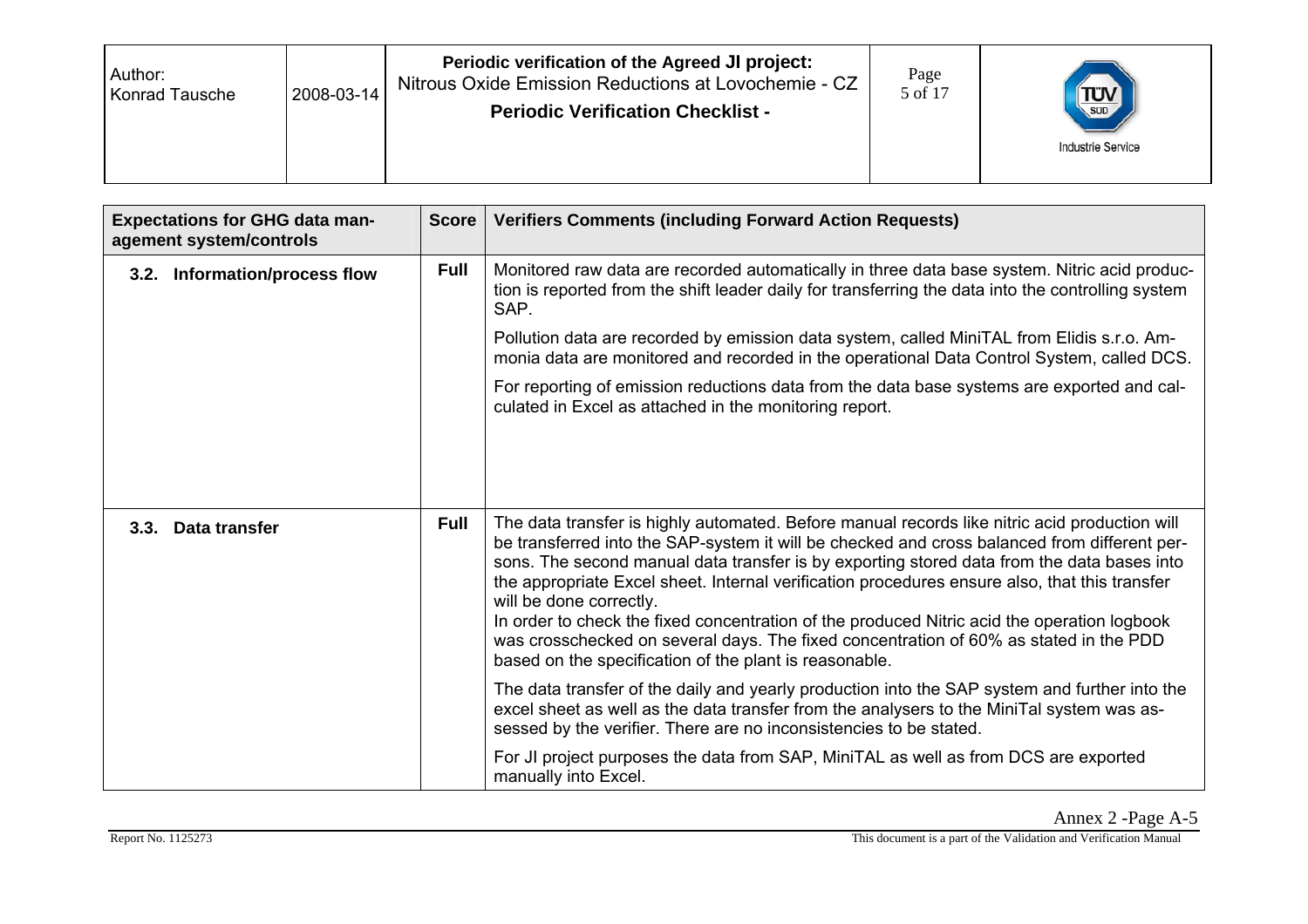| Author:<br>2008-03-14<br><b>Konrad Tausche</b> | Periodic verification of the Agreed JI project:<br>Nitrous Oxide Emission Reductions at Lovochemie - CZ<br><b>Periodic Verification Checklist -</b> | Page<br>5 of 17 | $T_{\text{sub}}$<br><b>Industrie Service</b> |
|------------------------------------------------|-----------------------------------------------------------------------------------------------------------------------------------------------------|-----------------|----------------------------------------------|
|------------------------------------------------|-----------------------------------------------------------------------------------------------------------------------------------------------------|-----------------|----------------------------------------------|

| <b>Expectations for GHG data man-</b><br>agement system/controls | <b>Score</b> | <b>Verifiers Comments (including Forward Action Requests)</b>                                                                                                                                                                                                                                                                                                                                                                                                                                                                                                                                                                                                             |
|------------------------------------------------------------------|--------------|---------------------------------------------------------------------------------------------------------------------------------------------------------------------------------------------------------------------------------------------------------------------------------------------------------------------------------------------------------------------------------------------------------------------------------------------------------------------------------------------------------------------------------------------------------------------------------------------------------------------------------------------------------------------------|
| 3.2. Information/process flow                                    | <b>Full</b>  | Monitored raw data are recorded automatically in three data base system. Nitric acid produc-<br>tion is reported from the shift leader daily for transferring the data into the controlling system<br>SAP.                                                                                                                                                                                                                                                                                                                                                                                                                                                                |
|                                                                  |              | Pollution data are recorded by emission data system, called MiniTAL from Elidis s.r.o. Am-<br>monia data are monitored and recorded in the operational Data Control System, called DCS.                                                                                                                                                                                                                                                                                                                                                                                                                                                                                   |
|                                                                  |              | For reporting of emission reductions data from the data base systems are exported and cal-<br>culated in Excel as attached in the monitoring report.                                                                                                                                                                                                                                                                                                                                                                                                                                                                                                                      |
|                                                                  |              |                                                                                                                                                                                                                                                                                                                                                                                                                                                                                                                                                                                                                                                                           |
| 3.3. Data transfer                                               | <b>Full</b>  | The data transfer is highly automated. Before manual records like nitric acid production will<br>be transferred into the SAP-system it will be checked and cross balanced from different per-<br>sons. The second manual data transfer is by exporting stored data from the data bases into<br>the appropriate Excel sheet. Internal verification procedures ensure also, that this transfer<br>will be done correctly.<br>In order to check the fixed concentration of the produced Nitric acid the operation logbook<br>was crosschecked on several days. The fixed concentration of 60% as stated in the PDD<br>based on the specification of the plant is reasonable. |
|                                                                  |              | The data transfer of the daily and yearly production into the SAP system and further into the<br>excel sheet as well as the data transfer from the analysers to the MiniTal system was as-<br>sessed by the verifier. There are no inconsistencies to be stated.                                                                                                                                                                                                                                                                                                                                                                                                          |
|                                                                  |              | For JI project purposes the data from SAP, MiniTAL as well as from DCS are exported<br>manually into Excel.                                                                                                                                                                                                                                                                                                                                                                                                                                                                                                                                                               |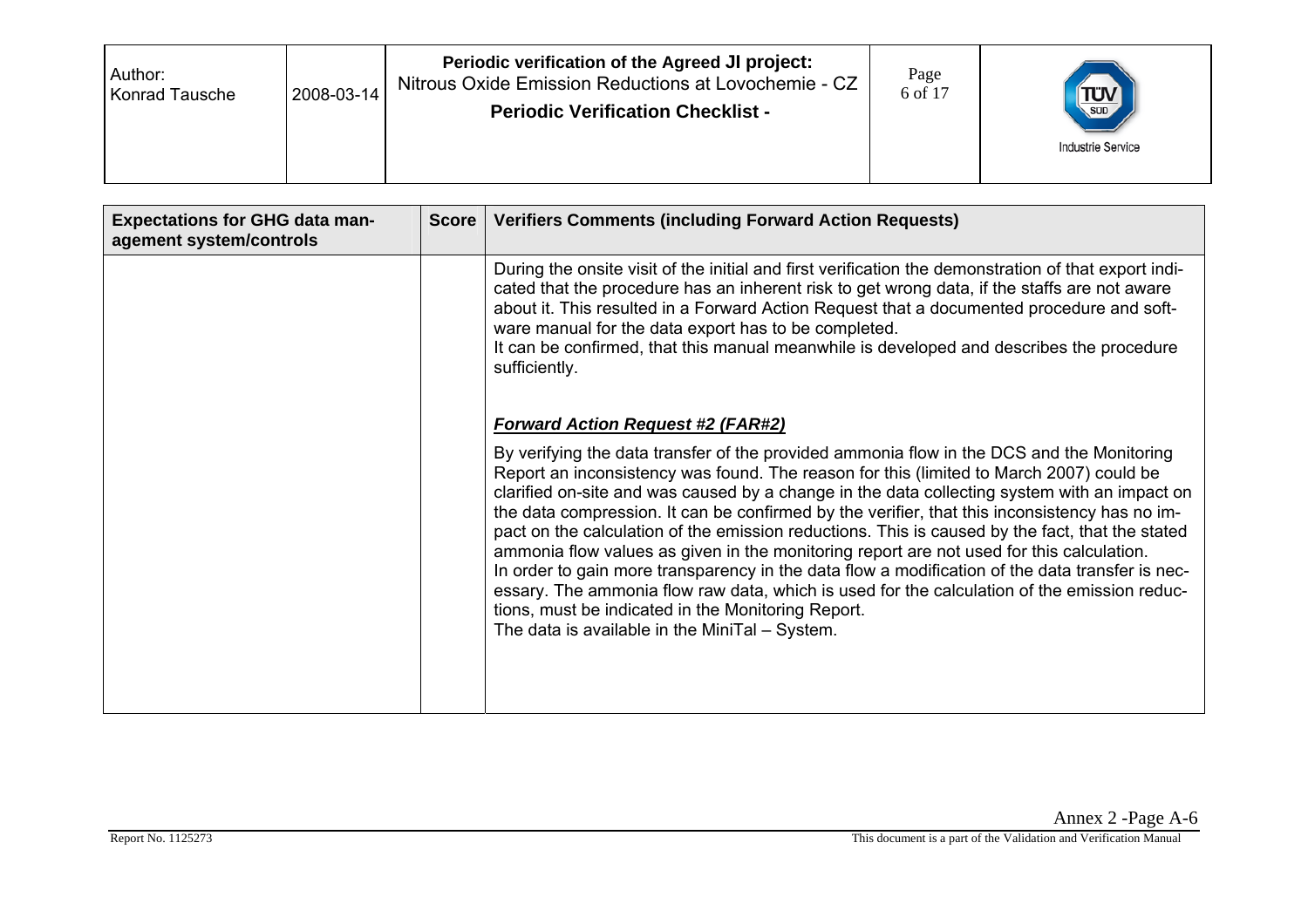| Author:<br>2008-03-14<br>Konrad Tausche | Periodic verification of the Agreed JI project:<br>Nitrous Oxide Emission Reductions at Lovochemie - CZ<br><b>Periodic Verification Checklist -</b> | Page<br>6 of 17 | $T_{\text{SUD}}$<br><b>Industrie Service</b> |
|-----------------------------------------|-----------------------------------------------------------------------------------------------------------------------------------------------------|-----------------|----------------------------------------------|
|-----------------------------------------|-----------------------------------------------------------------------------------------------------------------------------------------------------|-----------------|----------------------------------------------|

| <b>Expectations for GHG data man-</b><br>agement system/controls | <b>Score</b> | <b>Verifiers Comments (including Forward Action Requests)</b>                                                                                                                                                                                                                                                                                                                                                                                                                                                                                                                                                                                                                                                                                                                                                                                                                                                                              |
|------------------------------------------------------------------|--------------|--------------------------------------------------------------------------------------------------------------------------------------------------------------------------------------------------------------------------------------------------------------------------------------------------------------------------------------------------------------------------------------------------------------------------------------------------------------------------------------------------------------------------------------------------------------------------------------------------------------------------------------------------------------------------------------------------------------------------------------------------------------------------------------------------------------------------------------------------------------------------------------------------------------------------------------------|
|                                                                  |              | During the onsite visit of the initial and first verification the demonstration of that export indi-<br>cated that the procedure has an inherent risk to get wrong data, if the staffs are not aware<br>about it. This resulted in a Forward Action Request that a documented procedure and soft-<br>ware manual for the data export has to be completed.<br>It can be confirmed, that this manual meanwhile is developed and describes the procedure<br>sufficiently.                                                                                                                                                                                                                                                                                                                                                                                                                                                                     |
|                                                                  |              | <b>Forward Action Request #2 (FAR#2)</b><br>By verifying the data transfer of the provided ammonia flow in the DCS and the Monitoring<br>Report an inconsistency was found. The reason for this (limited to March 2007) could be<br>clarified on-site and was caused by a change in the data collecting system with an impact on<br>the data compression. It can be confirmed by the verifier, that this inconsistency has no im-<br>pact on the calculation of the emission reductions. This is caused by the fact, that the stated<br>ammonia flow values as given in the monitoring report are not used for this calculation.<br>In order to gain more transparency in the data flow a modification of the data transfer is nec-<br>essary. The ammonia flow raw data, which is used for the calculation of the emission reduc-<br>tions, must be indicated in the Monitoring Report.<br>The data is available in the MiniTal - System. |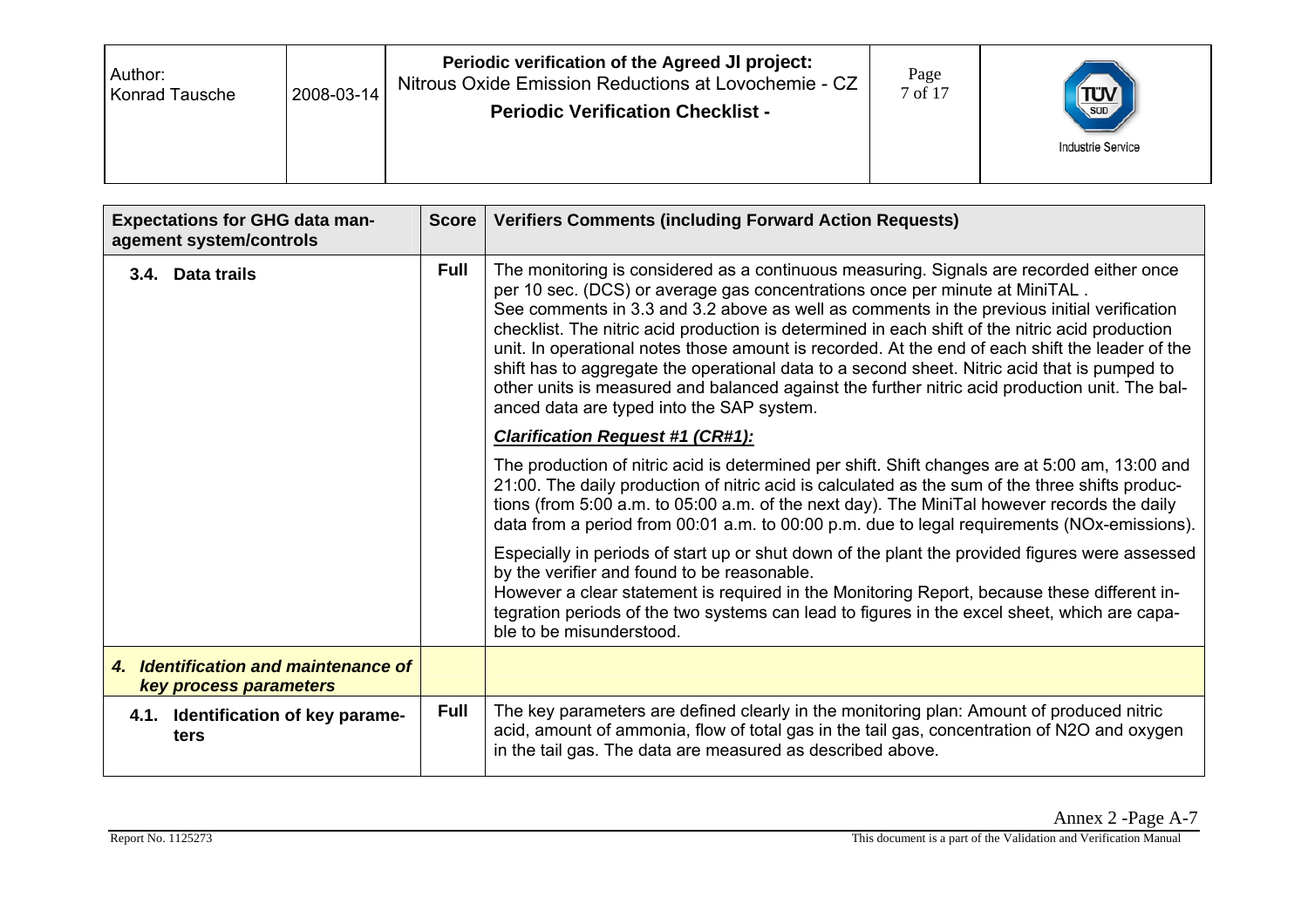| Author:<br>Konrad Tausche | 2008-03-14 | Periodic verification of the Agreed JI project:<br>Nitrous Oxide Emission Reductions at Lovochemie - CZ<br><b>Periodic Verification Checklist -</b> | Page<br>7 of 17 | $\left(\frac{\text{TLU}}{\text{SUD}}\right)$<br><b>Industrie Service</b> |
|---------------------------|------------|-----------------------------------------------------------------------------------------------------------------------------------------------------|-----------------|--------------------------------------------------------------------------|
|---------------------------|------------|-----------------------------------------------------------------------------------------------------------------------------------------------------|-----------------|--------------------------------------------------------------------------|

| <b>Expectations for GHG data man-</b><br>agement system/controls | <b>Score</b> | <b>Verifiers Comments (including Forward Action Requests)</b>                                                                                                                                                                                                                                                                                                                                                                                                                                                                                                                                                                                                                                                              |
|------------------------------------------------------------------|--------------|----------------------------------------------------------------------------------------------------------------------------------------------------------------------------------------------------------------------------------------------------------------------------------------------------------------------------------------------------------------------------------------------------------------------------------------------------------------------------------------------------------------------------------------------------------------------------------------------------------------------------------------------------------------------------------------------------------------------------|
| 3.4. Data trails                                                 | <b>Full</b>  | The monitoring is considered as a continuous measuring. Signals are recorded either once<br>per 10 sec. (DCS) or average gas concentrations once per minute at MiniTAL.<br>See comments in 3.3 and 3.2 above as well as comments in the previous initial verification<br>checklist. The nitric acid production is determined in each shift of the nitric acid production<br>unit. In operational notes those amount is recorded. At the end of each shift the leader of the<br>shift has to aggregate the operational data to a second sheet. Nitric acid that is pumped to<br>other units is measured and balanced against the further nitric acid production unit. The bal-<br>anced data are typed into the SAP system. |
|                                                                  |              | <b>Clarification Request #1 (CR#1):</b>                                                                                                                                                                                                                                                                                                                                                                                                                                                                                                                                                                                                                                                                                    |
|                                                                  |              | The production of nitric acid is determined per shift. Shift changes are at 5:00 am, 13:00 and<br>21:00. The daily production of nitric acid is calculated as the sum of the three shifts produc-<br>tions (from 5:00 a.m. to 05:00 a.m. of the next day). The MiniTal however records the daily<br>data from a period from 00:01 a.m. to 00:00 p.m. due to legal requirements (NOx-emissions).                                                                                                                                                                                                                                                                                                                            |
|                                                                  |              | Especially in periods of start up or shut down of the plant the provided figures were assessed<br>by the verifier and found to be reasonable.<br>However a clear statement is required in the Monitoring Report, because these different in-<br>tegration periods of the two systems can lead to figures in the excel sheet, which are capa-<br>ble to be misunderstood.                                                                                                                                                                                                                                                                                                                                                   |
| 4. Identification and maintenance of<br>key process parameters   |              |                                                                                                                                                                                                                                                                                                                                                                                                                                                                                                                                                                                                                                                                                                                            |
| 4.1. Identification of key parame-<br>ters                       | <b>Full</b>  | The key parameters are defined clearly in the monitoring plan: Amount of produced nitric<br>acid, amount of ammonia, flow of total gas in the tail gas, concentration of N2O and oxygen<br>in the tail gas. The data are measured as described above.                                                                                                                                                                                                                                                                                                                                                                                                                                                                      |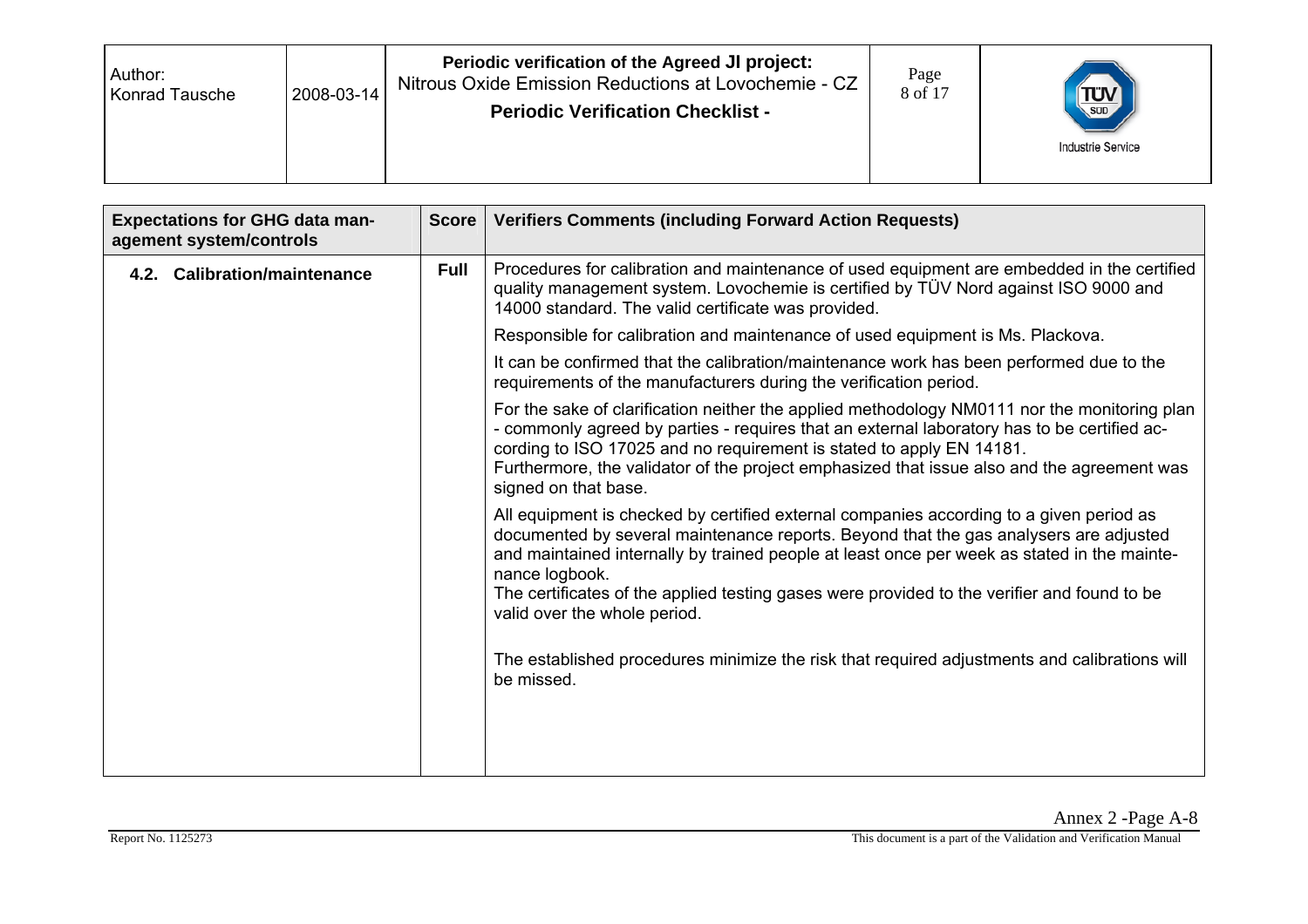| Author:<br><b>Konrad Tausche</b> | 2008-03-14 | Periodic verification of the Agreed JI project:<br>Nitrous Oxide Emission Reductions at Lovochemie - CZ<br><b>Periodic Verification Checklist -</b> | Page<br>8 of 17 | $T_{\text{SUD}}$<br><b>Industrie Service</b> |
|----------------------------------|------------|-----------------------------------------------------------------------------------------------------------------------------------------------------|-----------------|----------------------------------------------|
|----------------------------------|------------|-----------------------------------------------------------------------------------------------------------------------------------------------------|-----------------|----------------------------------------------|

| <b>Expectations for GHG data man-</b><br>agement system/controls | <b>Score</b> | <b>Verifiers Comments (including Forward Action Requests)</b>                                                                                                                                                                                                                                                                                                                                                                    |
|------------------------------------------------------------------|--------------|----------------------------------------------------------------------------------------------------------------------------------------------------------------------------------------------------------------------------------------------------------------------------------------------------------------------------------------------------------------------------------------------------------------------------------|
| 4.2. Calibration/maintenance                                     | <b>Full</b>  | Procedures for calibration and maintenance of used equipment are embedded in the certified<br>quality management system. Lovochemie is certified by TÜV Nord against ISO 9000 and<br>14000 standard. The valid certificate was provided.                                                                                                                                                                                         |
|                                                                  |              | Responsible for calibration and maintenance of used equipment is Ms. Plackova.                                                                                                                                                                                                                                                                                                                                                   |
|                                                                  |              | It can be confirmed that the calibration/maintenance work has been performed due to the<br>requirements of the manufacturers during the verification period.                                                                                                                                                                                                                                                                     |
|                                                                  |              | For the sake of clarification neither the applied methodology NM0111 nor the monitoring plan<br>- commonly agreed by parties - requires that an external laboratory has to be certified ac-<br>cording to ISO 17025 and no requirement is stated to apply EN 14181.<br>Furthermore, the validator of the project emphasized that issue also and the agreement was<br>signed on that base.                                        |
|                                                                  |              | All equipment is checked by certified external companies according to a given period as<br>documented by several maintenance reports. Beyond that the gas analysers are adjusted<br>and maintained internally by trained people at least once per week as stated in the mainte-<br>nance logbook.<br>The certificates of the applied testing gases were provided to the verifier and found to be<br>valid over the whole period. |
|                                                                  |              | The established procedures minimize the risk that required adjustments and calibrations will<br>be missed.                                                                                                                                                                                                                                                                                                                       |
|                                                                  |              |                                                                                                                                                                                                                                                                                                                                                                                                                                  |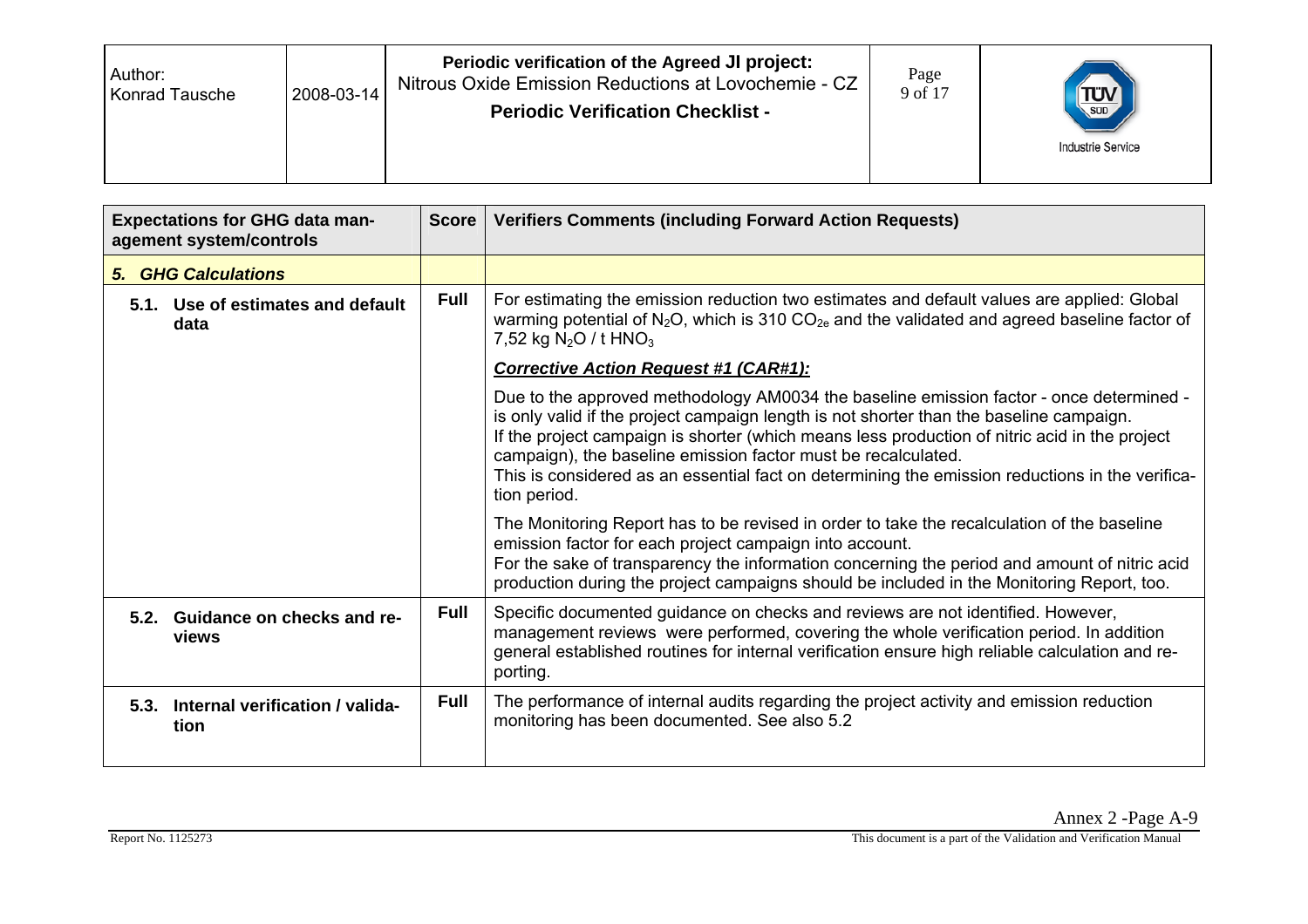| Author:<br>Konrad Tausche | 2008-03-14 | Periodic verification of the Agreed JI project:<br>Nitrous Oxide Emission Reductions at Lovochemie - CZ<br><b>Periodic Verification Checklist -</b> | Page<br>9 of 17 | TUV<br><b>Industrie Service</b> |
|---------------------------|------------|-----------------------------------------------------------------------------------------------------------------------------------------------------|-----------------|---------------------------------|
|---------------------------|------------|-----------------------------------------------------------------------------------------------------------------------------------------------------|-----------------|---------------------------------|

| <b>Expectations for GHG data man-</b><br>agement system/controls | <b>Score</b> | <b>Verifiers Comments (including Forward Action Requests)</b>                                                                                                                                                                                                                                                                                                                                                                                                           |  |  |
|------------------------------------------------------------------|--------------|-------------------------------------------------------------------------------------------------------------------------------------------------------------------------------------------------------------------------------------------------------------------------------------------------------------------------------------------------------------------------------------------------------------------------------------------------------------------------|--|--|
| <b>5. GHG Calculations</b>                                       |              |                                                                                                                                                                                                                                                                                                                                                                                                                                                                         |  |  |
| 5.1. Use of estimates and default<br>data                        | <b>Full</b>  | For estimating the emission reduction two estimates and default values are applied: Global<br>warming potential of $N_2O$ , which is 310 $CO_{2e}$ and the validated and agreed baseline factor of<br>7,52 kg $N_2O / t$ HNO <sub>3</sub>                                                                                                                                                                                                                               |  |  |
|                                                                  |              | <b>Corrective Action Request #1 (CAR#1):</b>                                                                                                                                                                                                                                                                                                                                                                                                                            |  |  |
|                                                                  |              | Due to the approved methodology AM0034 the baseline emission factor - once determined -<br>is only valid if the project campaign length is not shorter than the baseline campaign.<br>If the project campaign is shorter (which means less production of nitric acid in the project<br>campaign), the baseline emission factor must be recalculated.<br>This is considered as an essential fact on determining the emission reductions in the verifica-<br>tion period. |  |  |
|                                                                  |              | The Monitoring Report has to be revised in order to take the recalculation of the baseline<br>emission factor for each project campaign into account.<br>For the sake of transparency the information concerning the period and amount of nitric acid<br>production during the project campaigns should be included in the Monitoring Report, too.                                                                                                                      |  |  |
| 5.2. Guidance on checks and re-<br>views                         | <b>Full</b>  | Specific documented guidance on checks and reviews are not identified. However,<br>management reviews were performed, covering the whole verification period. In addition<br>general established routines for internal verification ensure high reliable calculation and re-<br>porting.                                                                                                                                                                                |  |  |
| 5.3. Internal verification / valida-<br>tion                     | <b>Full</b>  | The performance of internal audits regarding the project activity and emission reduction<br>monitoring has been documented. See also 5.2                                                                                                                                                                                                                                                                                                                                |  |  |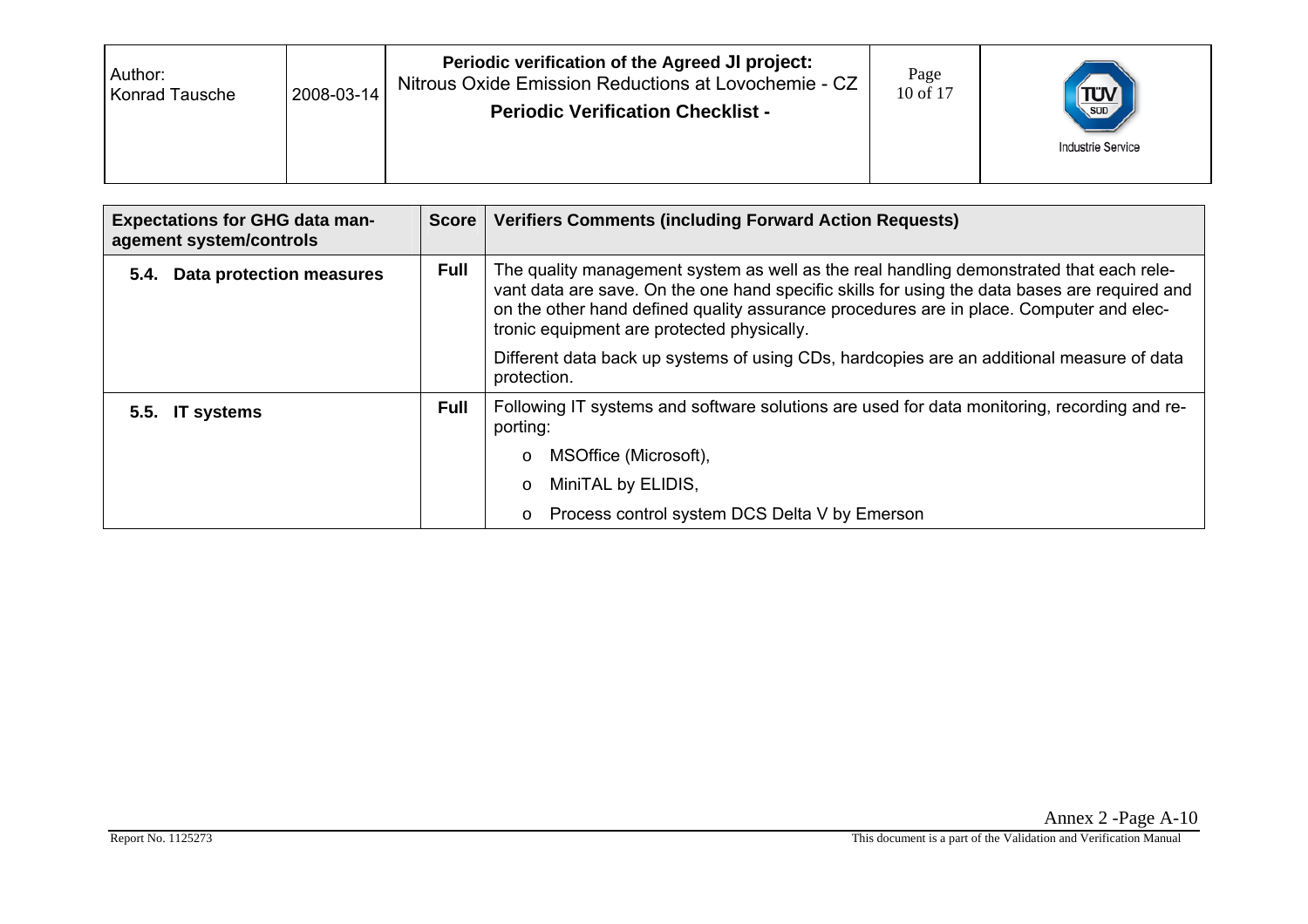| Author:<br>2008-03-14<br>Konrad Tausche | Periodic verification of the Agreed JI project:<br>Nitrous Oxide Emission Reductions at Lovochemie - CZ<br><b>Periodic Verification Checklist -</b> | Page<br>10 of 17 | $T_{\text{SUD}}$<br><b>Industrie Service</b> |
|-----------------------------------------|-----------------------------------------------------------------------------------------------------------------------------------------------------|------------------|----------------------------------------------|
|-----------------------------------------|-----------------------------------------------------------------------------------------------------------------------------------------------------|------------------|----------------------------------------------|

| <b>Expectations for GHG data man-</b><br>agement system/controls | <b>Score</b> | <b>Verifiers Comments (including Forward Action Requests)</b>                                                                                                                                                                                                                                                                     |  |  |  |
|------------------------------------------------------------------|--------------|-----------------------------------------------------------------------------------------------------------------------------------------------------------------------------------------------------------------------------------------------------------------------------------------------------------------------------------|--|--|--|
| <b>Data protection measures</b><br>5.4.                          | <b>Full</b>  | The quality management system as well as the real handling demonstrated that each rele-<br>vant data are save. On the one hand specific skills for using the data bases are required and<br>on the other hand defined quality assurance procedures are in place. Computer and elec-<br>tronic equipment are protected physically. |  |  |  |
|                                                                  |              | Different data back up systems of using CDs, hardcopies are an additional measure of data<br>protection.                                                                                                                                                                                                                          |  |  |  |
| 5.5. IT systems                                                  | <b>Full</b>  | Following IT systems and software solutions are used for data monitoring, recording and re-<br>porting:                                                                                                                                                                                                                           |  |  |  |
|                                                                  |              | MSOffice (Microsoft),<br>$\circ$                                                                                                                                                                                                                                                                                                  |  |  |  |
|                                                                  |              | MiniTAL by ELIDIS,<br>$\circ$                                                                                                                                                                                                                                                                                                     |  |  |  |
|                                                                  |              | Process control system DCS Delta V by Emerson<br>$\circ$                                                                                                                                                                                                                                                                          |  |  |  |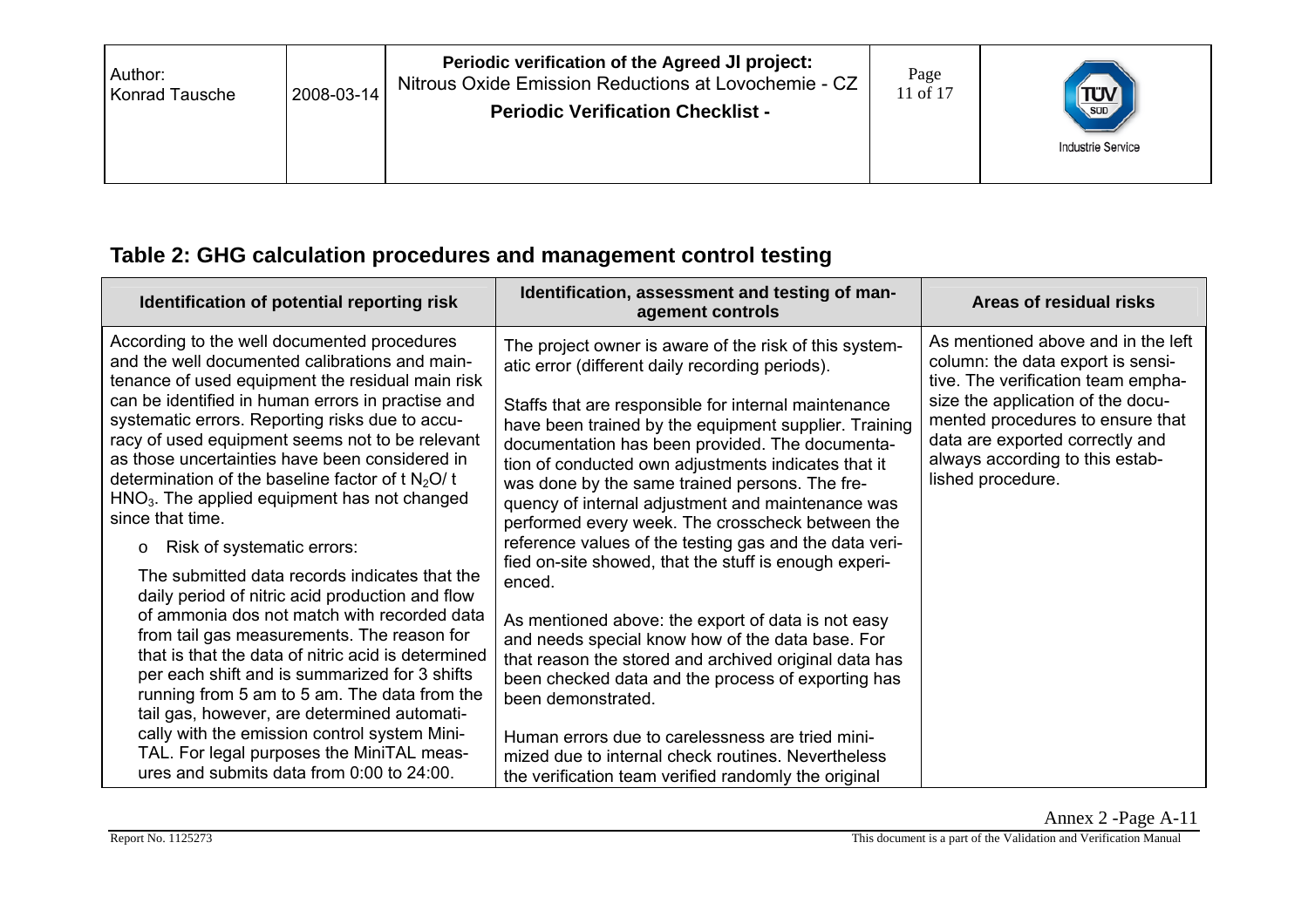| Author:<br>2008-03-14<br>Konrad Tausche | Periodic verification of the Agreed JI project:<br>Nitrous Oxide Emission Reductions at Lovochemie - CZ<br><b>Periodic Verification Checklist -</b> | Page<br>11 of 17 | $T_{\text{sub}}$<br><b>Industrie Service</b> |
|-----------------------------------------|-----------------------------------------------------------------------------------------------------------------------------------------------------|------------------|----------------------------------------------|
|-----------------------------------------|-----------------------------------------------------------------------------------------------------------------------------------------------------|------------------|----------------------------------------------|

## **Table 2: GHG calculation procedures and management control testing**

| Identification of potential reporting risk                                                                                                                                                                                                                                                                                                                                                                                                                                                                                                                                                                                                                                                                                                                                                                                                                                                                                                                                                                                                                                     | Identification, assessment and testing of man-<br>agement controls                                                                                                                                                                                                                                                                                                                                                                                                                                                                                                                                                                                                                                                                                                                                                                                                                                                                                                                                                                            | Areas of residual risks                                                                                                                                                                                                                                                           |
|--------------------------------------------------------------------------------------------------------------------------------------------------------------------------------------------------------------------------------------------------------------------------------------------------------------------------------------------------------------------------------------------------------------------------------------------------------------------------------------------------------------------------------------------------------------------------------------------------------------------------------------------------------------------------------------------------------------------------------------------------------------------------------------------------------------------------------------------------------------------------------------------------------------------------------------------------------------------------------------------------------------------------------------------------------------------------------|-----------------------------------------------------------------------------------------------------------------------------------------------------------------------------------------------------------------------------------------------------------------------------------------------------------------------------------------------------------------------------------------------------------------------------------------------------------------------------------------------------------------------------------------------------------------------------------------------------------------------------------------------------------------------------------------------------------------------------------------------------------------------------------------------------------------------------------------------------------------------------------------------------------------------------------------------------------------------------------------------------------------------------------------------|-----------------------------------------------------------------------------------------------------------------------------------------------------------------------------------------------------------------------------------------------------------------------------------|
| According to the well documented procedures<br>and the well documented calibrations and main-<br>tenance of used equipment the residual main risk<br>can be identified in human errors in practise and<br>systematic errors. Reporting risks due to accu-<br>racy of used equipment seems not to be relevant<br>as those uncertainties have been considered in<br>determination of the baseline factor of t $N_2O/t$<br>$HNO3$ . The applied equipment has not changed<br>since that time.<br>Risk of systematic errors:<br>O<br>The submitted data records indicates that the<br>daily period of nitric acid production and flow<br>of ammonia dos not match with recorded data<br>from tail gas measurements. The reason for<br>that is that the data of nitric acid is determined<br>per each shift and is summarized for 3 shifts<br>running from 5 am to 5 am. The data from the<br>tail gas, however, are determined automati-<br>cally with the emission control system Mini-<br>TAL. For legal purposes the MiniTAL meas-<br>ures and submits data from 0:00 to 24:00. | The project owner is aware of the risk of this system-<br>atic error (different daily recording periods).<br>Staffs that are responsible for internal maintenance<br>have been trained by the equipment supplier. Training<br>documentation has been provided. The documenta-<br>tion of conducted own adjustments indicates that it<br>was done by the same trained persons. The fre-<br>quency of internal adjustment and maintenance was<br>performed every week. The crosscheck between the<br>reference values of the testing gas and the data veri-<br>fied on-site showed, that the stuff is enough experi-<br>enced.<br>As mentioned above: the export of data is not easy<br>and needs special know how of the data base. For<br>that reason the stored and archived original data has<br>been checked data and the process of exporting has<br>been demonstrated.<br>Human errors due to carelessness are tried mini-<br>mized due to internal check routines. Nevertheless<br>the verification team verified randomly the original | As mentioned above and in the left<br>column: the data export is sensi-<br>tive. The verification team empha-<br>size the application of the docu-<br>mented procedures to ensure that<br>data are exported correctly and<br>always according to this estab-<br>lished procedure. |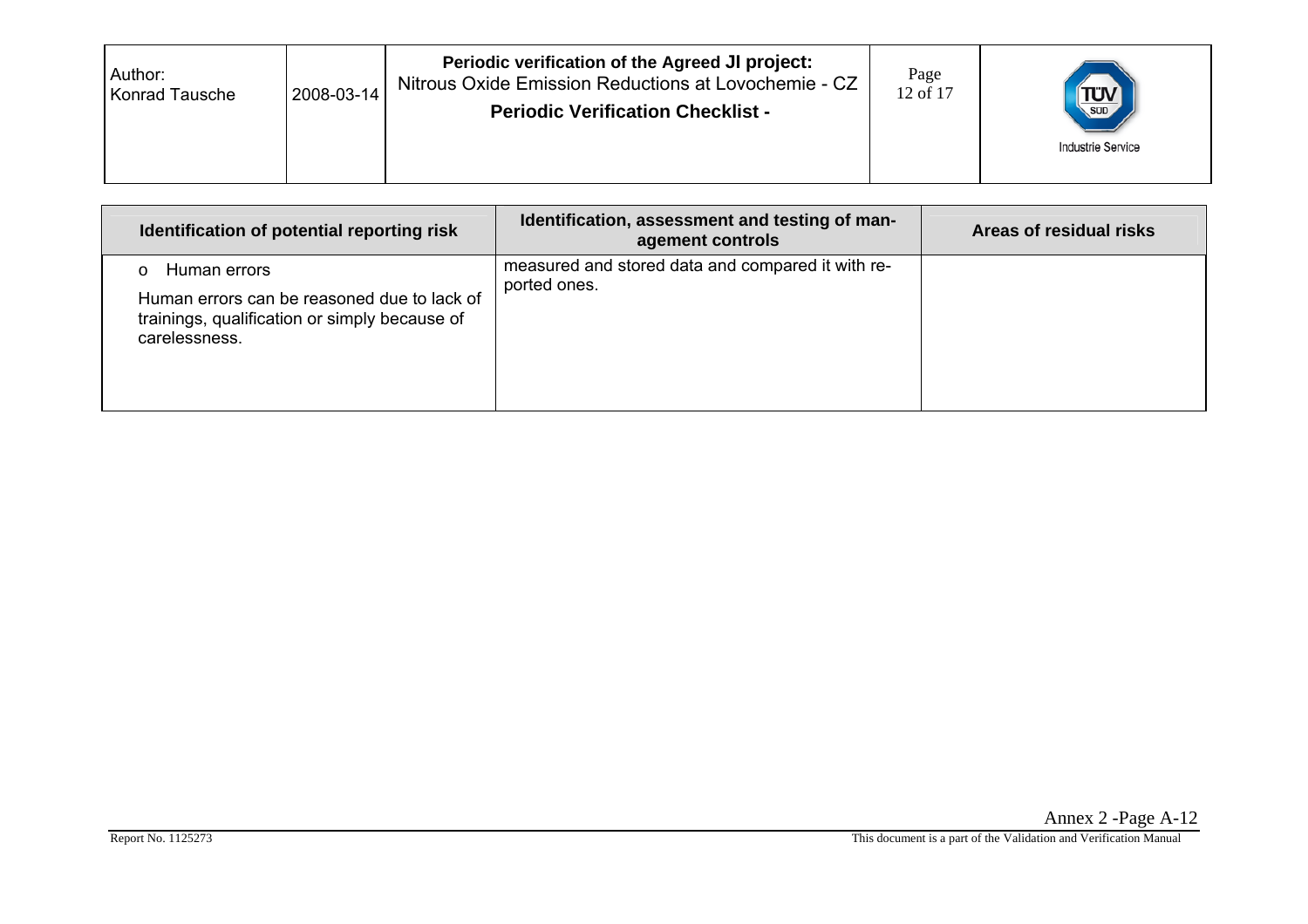| Author:<br><b>Konrad Tausche</b> | 2008-03-14 | Periodic verification of the Agreed JI project:<br>Nitrous Oxide Emission Reductions at Lovochemie - CZ<br><b>Periodic Verification Checklist -</b> | Page<br>12 of 17 | <b>TÜV</b><br>SUD<br><b>Industrie Service</b> |
|----------------------------------|------------|-----------------------------------------------------------------------------------------------------------------------------------------------------|------------------|-----------------------------------------------|
|----------------------------------|------------|-----------------------------------------------------------------------------------------------------------------------------------------------------|------------------|-----------------------------------------------|

| Identification of potential reporting risk                                                                                    | Identification, assessment and testing of man-<br>agement controls | Areas of residual risks |
|-------------------------------------------------------------------------------------------------------------------------------|--------------------------------------------------------------------|-------------------------|
| Human errors<br>Human errors can be reasoned due to lack of<br>trainings, qualification or simply because of<br>carelessness. | measured and stored data and compared it with re-<br>ported ones.  |                         |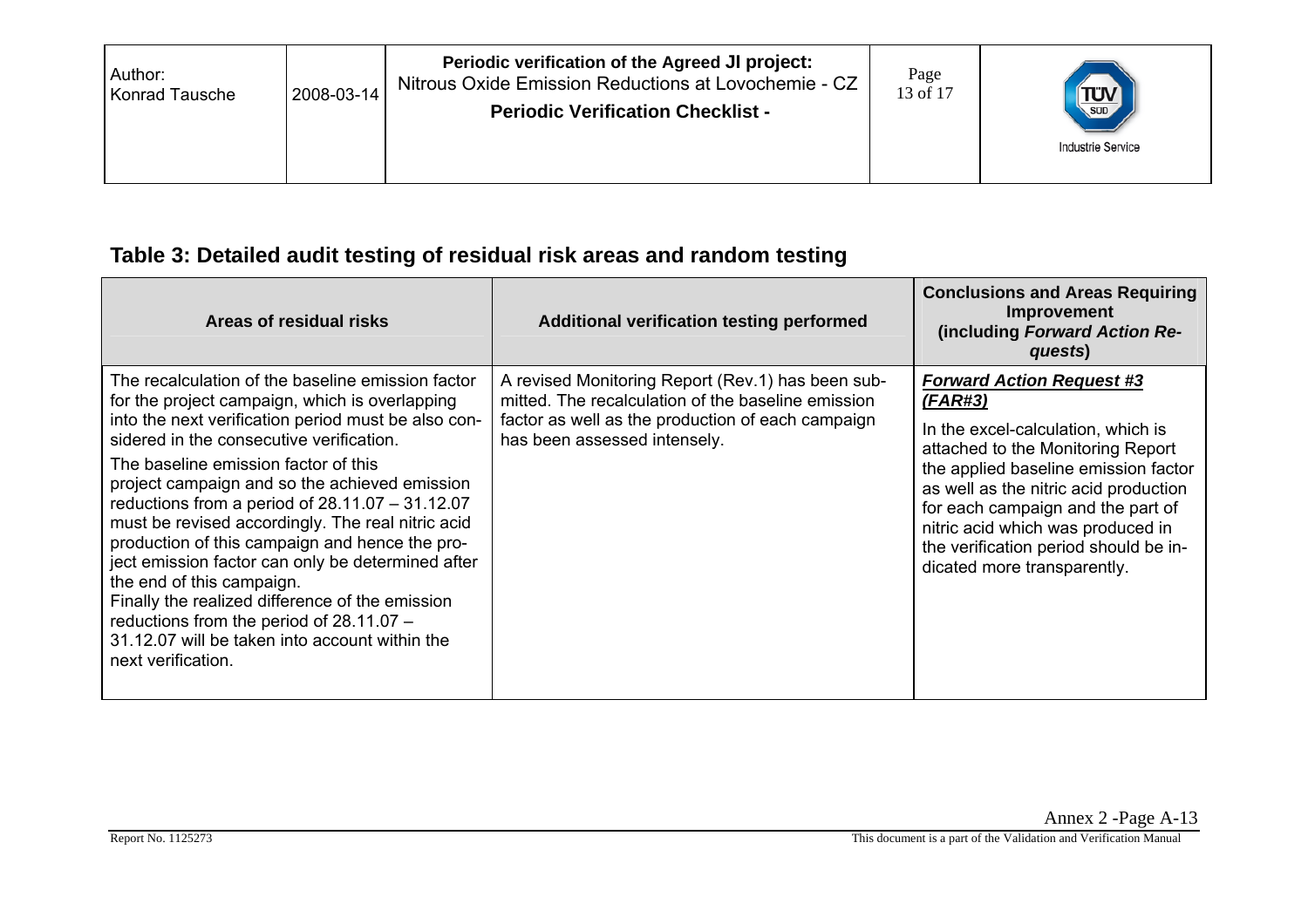| Author:<br>Konrad Tausche | 2008-03-14 | Periodic verification of the Agreed JI project:<br>Nitrous Oxide Emission Reductions at Lovochemie - CZ<br><b>Periodic Verification Checklist -</b> | Page<br>13 of 17 | $\frac{1}{\sqrt{\frac{1}{500}}}$<br><b>Industrie Service</b> |
|---------------------------|------------|-----------------------------------------------------------------------------------------------------------------------------------------------------|------------------|--------------------------------------------------------------|
|                           |            |                                                                                                                                                     |                  |                                                              |

## **Table 3: Detailed audit testing of residual risk areas and random testing**

| Areas of residual risks                                                                                                                                                                                                                                                                                                                                                                                                                                                                                                                                                                                                                                                                                                | Additional verification testing performed                                                                                                                                                    | <b>Conclusions and Areas Requiring</b><br>Improvement<br>(including Forward Action Re-<br>quests)                                                                                                                                                                                                                                                         |
|------------------------------------------------------------------------------------------------------------------------------------------------------------------------------------------------------------------------------------------------------------------------------------------------------------------------------------------------------------------------------------------------------------------------------------------------------------------------------------------------------------------------------------------------------------------------------------------------------------------------------------------------------------------------------------------------------------------------|----------------------------------------------------------------------------------------------------------------------------------------------------------------------------------------------|-----------------------------------------------------------------------------------------------------------------------------------------------------------------------------------------------------------------------------------------------------------------------------------------------------------------------------------------------------------|
| The recalculation of the baseline emission factor<br>for the project campaign, which is overlapping<br>into the next verification period must be also con-<br>sidered in the consecutive verification.<br>The baseline emission factor of this<br>project campaign and so the achieved emission<br>reductions from a period of $28.11.07 - 31.12.07$<br>must be revised accordingly. The real nitric acid<br>production of this campaign and hence the pro-<br>ject emission factor can only be determined after<br>the end of this campaign.<br>Finally the realized difference of the emission<br>reductions from the period of $28.11.07 -$<br>31.12.07 will be taken into account within the<br>next verification. | A revised Monitoring Report (Rev.1) has been sub-<br>mitted. The recalculation of the baseline emission<br>factor as well as the production of each campaign<br>has been assessed intensely. | <b>Forward Action Request #3</b><br>(FAR#3)<br>In the excel-calculation, which is<br>attached to the Monitoring Report<br>the applied baseline emission factor<br>as well as the nitric acid production<br>for each campaign and the part of<br>nitric acid which was produced in<br>the verification period should be in-<br>dicated more transparently. |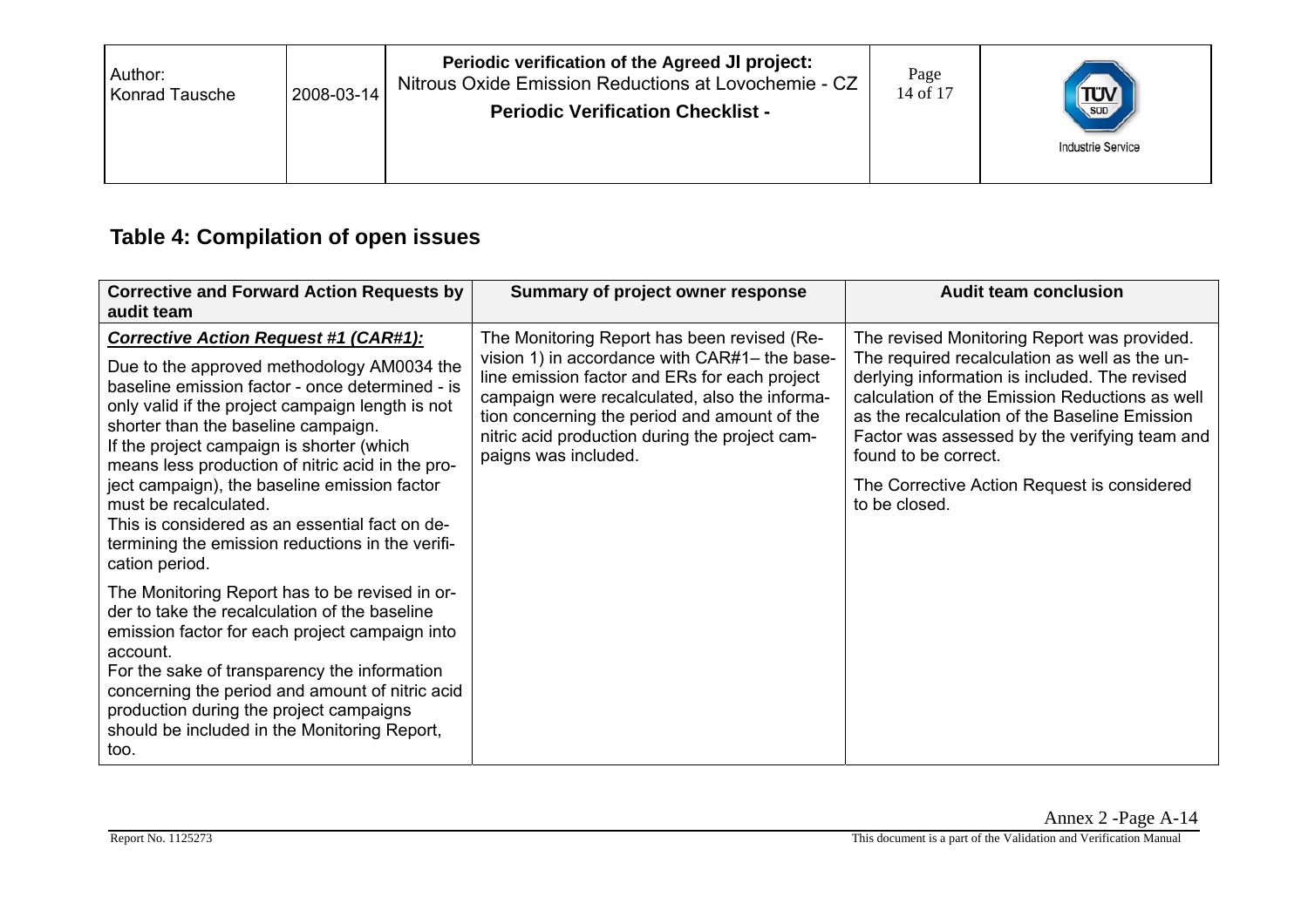| Periodic verification of the Agreed JI project:<br>Author:<br>Nitrous Oxide Emission Reductions at Lovochemie - CZ<br>2008-03-14<br>Konrad Tausche<br><b>Periodic Verification Checklist -</b> | Page<br>14 of 17 | SUD<br><b>Industrie Service</b> |
|------------------------------------------------------------------------------------------------------------------------------------------------------------------------------------------------|------------------|---------------------------------|
|------------------------------------------------------------------------------------------------------------------------------------------------------------------------------------------------|------------------|---------------------------------|

## **Table 4: Compilation of open issues**

| <b>Corrective and Forward Action Requests by</b><br>audit team                                                                                                                                                                                                                                                                                                      | Summary of project owner response                                                                                                                                                                                                                                                                                        | <b>Audit team conclusion</b>                                                                                                                                                                                                                                                                                              |
|---------------------------------------------------------------------------------------------------------------------------------------------------------------------------------------------------------------------------------------------------------------------------------------------------------------------------------------------------------------------|--------------------------------------------------------------------------------------------------------------------------------------------------------------------------------------------------------------------------------------------------------------------------------------------------------------------------|---------------------------------------------------------------------------------------------------------------------------------------------------------------------------------------------------------------------------------------------------------------------------------------------------------------------------|
| <b>Corrective Action Request #1 (CAR#1):</b><br>Due to the approved methodology AM0034 the<br>baseline emission factor - once determined - is<br>only valid if the project campaign length is not<br>shorter than the baseline campaign.<br>If the project campaign is shorter (which<br>means less production of nitric acid in the pro-                           | The Monitoring Report has been revised (Re-<br>vision 1) in accordance with CAR#1– the base-<br>line emission factor and ERs for each project<br>campaign were recalculated, also the informa-<br>tion concerning the period and amount of the<br>nitric acid production during the project cam-<br>paigns was included. | The revised Monitoring Report was provided.<br>The required recalculation as well as the un-<br>derlying information is included. The revised<br>calculation of the Emission Reductions as well<br>as the recalculation of the Baseline Emission<br>Factor was assessed by the verifying team and<br>found to be correct. |
| ject campaign), the baseline emission factor<br>must be recalculated.<br>This is considered as an essential fact on de-<br>termining the emission reductions in the verifi-<br>cation period.                                                                                                                                                                       |                                                                                                                                                                                                                                                                                                                          | The Corrective Action Request is considered<br>to be closed.                                                                                                                                                                                                                                                              |
| The Monitoring Report has to be revised in or-<br>der to take the recalculation of the baseline<br>emission factor for each project campaign into<br>account.<br>For the sake of transparency the information<br>concerning the period and amount of nitric acid<br>production during the project campaigns<br>should be included in the Monitoring Report,<br>too. |                                                                                                                                                                                                                                                                                                                          |                                                                                                                                                                                                                                                                                                                           |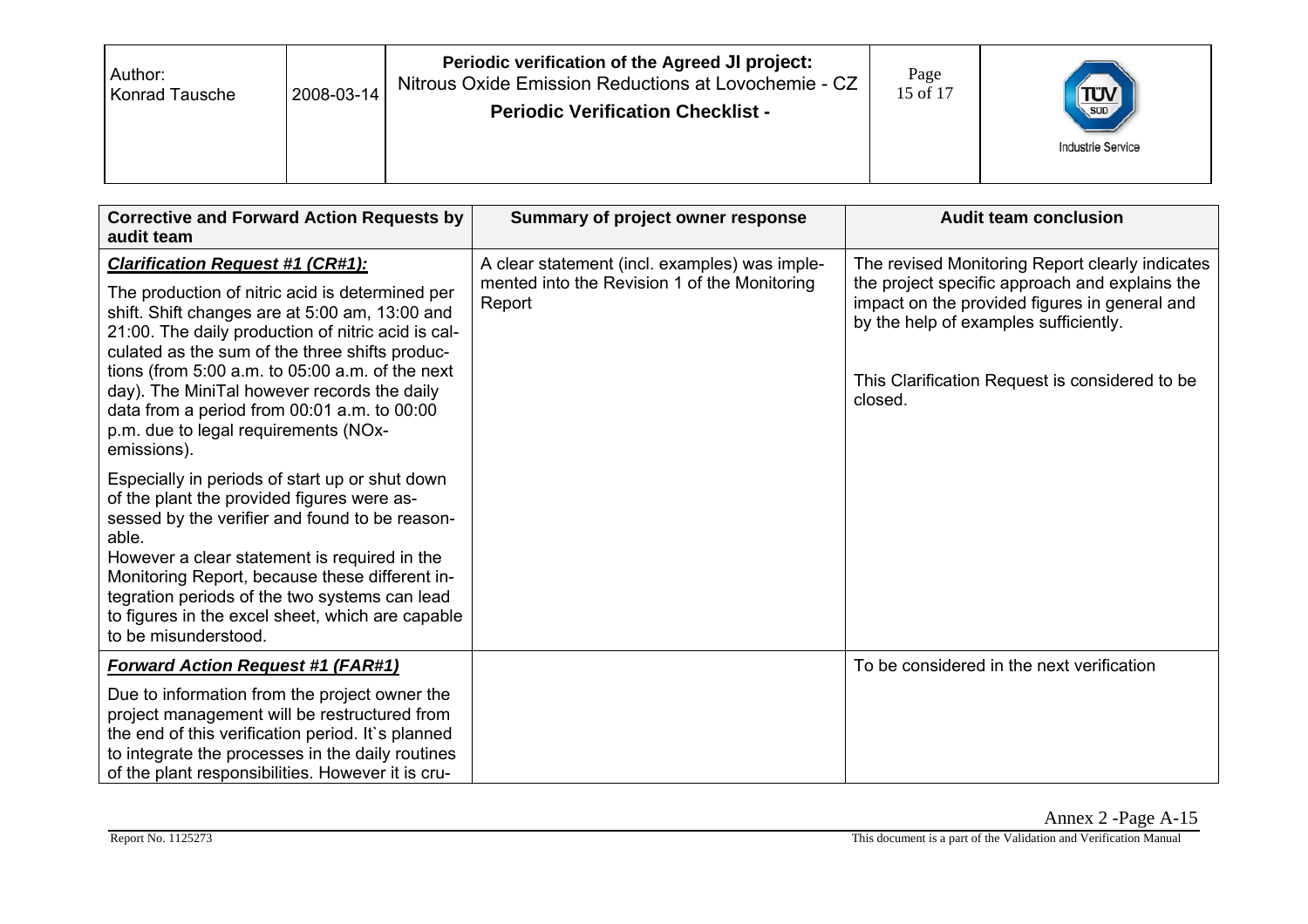| Author:<br>2008-03-14<br><b>Konrad Tausche</b> | Periodic verification of the Agreed JI project:<br>Nitrous Oxide Emission Reductions at Lovochemie - CZ<br><b>Periodic Verification Checklist -</b> | Page<br>15 of 17 | <b>TUV</b><br><b>Industrie Service</b> |
|------------------------------------------------|-----------------------------------------------------------------------------------------------------------------------------------------------------|------------------|----------------------------------------|
|------------------------------------------------|-----------------------------------------------------------------------------------------------------------------------------------------------------|------------------|----------------------------------------|

| <b>Corrective and Forward Action Requests by</b><br>audit team                                                                                                                                                                                                                                                                                                                                                                                                   | Summary of project owner response                                                                       | <b>Audit team conclusion</b>                                                                                                                                                                                                                             |
|------------------------------------------------------------------------------------------------------------------------------------------------------------------------------------------------------------------------------------------------------------------------------------------------------------------------------------------------------------------------------------------------------------------------------------------------------------------|---------------------------------------------------------------------------------------------------------|----------------------------------------------------------------------------------------------------------------------------------------------------------------------------------------------------------------------------------------------------------|
| <b>Clarification Request #1 (CR#1):</b><br>The production of nitric acid is determined per<br>shift. Shift changes are at 5:00 am, 13:00 and<br>21:00. The daily production of nitric acid is cal-<br>culated as the sum of the three shifts produc-<br>tions (from $5:00$ a.m. to $05:00$ a.m. of the next<br>day). The MiniTal however records the daily<br>data from a period from 00:01 a.m. to 00:00<br>p.m. due to legal requirements (NOx-<br>emissions). | A clear statement (incl. examples) was imple-<br>mented into the Revision 1 of the Monitoring<br>Report | The revised Monitoring Report clearly indicates<br>the project specific approach and explains the<br>impact on the provided figures in general and<br>by the help of examples sufficiently.<br>This Clarification Request is considered to be<br>closed. |
| Especially in periods of start up or shut down<br>of the plant the provided figures were as-<br>sessed by the verifier and found to be reason-<br>able.<br>However a clear statement is required in the<br>Monitoring Report, because these different in-<br>tegration periods of the two systems can lead<br>to figures in the excel sheet, which are capable<br>to be misunderstood.                                                                           |                                                                                                         |                                                                                                                                                                                                                                                          |
| <b>Forward Action Request #1 (FAR#1)</b><br>Due to information from the project owner the<br>project management will be restructured from<br>the end of this verification period. It's planned<br>to integrate the processes in the daily routines<br>of the plant responsibilities. However it is cru-                                                                                                                                                          |                                                                                                         | To be considered in the next verification                                                                                                                                                                                                                |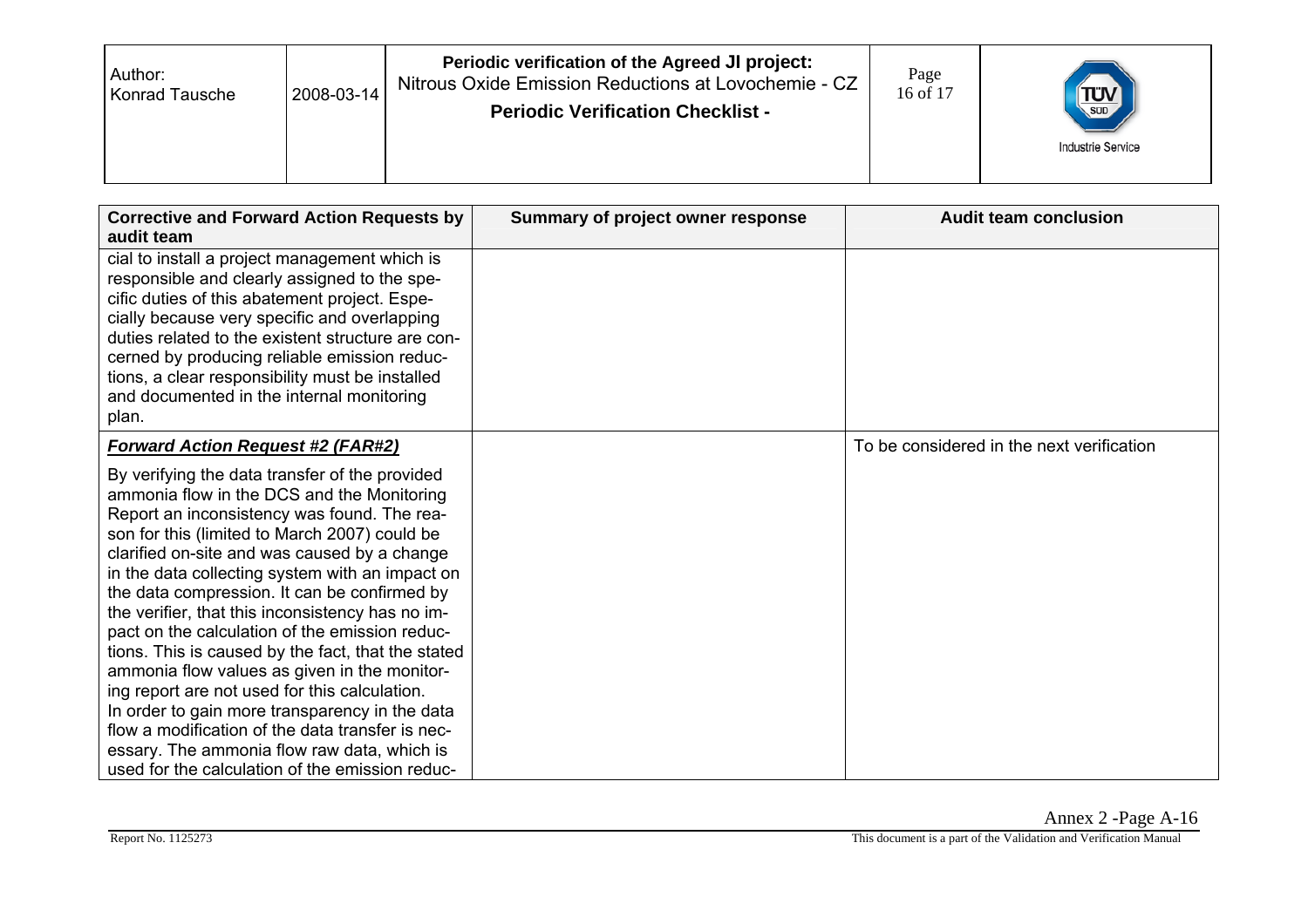| Periodic verification of the Agreed JI project:<br>Page<br>Author:<br>Nitrous Oxide Emission Reductions at Lovochemie - CZ<br>2008-03-14<br>16 of 17<br><b>Konrad Tausche</b><br><b>Periodic Verification Checklist -</b> | <b>TUV</b><br><b>Industrie Service</b> |
|---------------------------------------------------------------------------------------------------------------------------------------------------------------------------------------------------------------------------|----------------------------------------|
|---------------------------------------------------------------------------------------------------------------------------------------------------------------------------------------------------------------------------|----------------------------------------|

| <b>Corrective and Forward Action Requests by</b>                                                                                                                                                                                                                                                                                                                                                                                                                                                                                                                                                                                                                                                                                                                                                                     | Summary of project owner response | <b>Audit team conclusion</b>              |
|----------------------------------------------------------------------------------------------------------------------------------------------------------------------------------------------------------------------------------------------------------------------------------------------------------------------------------------------------------------------------------------------------------------------------------------------------------------------------------------------------------------------------------------------------------------------------------------------------------------------------------------------------------------------------------------------------------------------------------------------------------------------------------------------------------------------|-----------------------------------|-------------------------------------------|
| audit team                                                                                                                                                                                                                                                                                                                                                                                                                                                                                                                                                                                                                                                                                                                                                                                                           |                                   |                                           |
| cial to install a project management which is<br>responsible and clearly assigned to the spe-<br>cific duties of this abatement project. Espe-<br>cially because very specific and overlapping<br>duties related to the existent structure are con-<br>cerned by producing reliable emission reduc-<br>tions, a clear responsibility must be installed<br>and documented in the internal monitoring<br>plan.                                                                                                                                                                                                                                                                                                                                                                                                         |                                   |                                           |
| <b>Forward Action Request #2 (FAR#2)</b>                                                                                                                                                                                                                                                                                                                                                                                                                                                                                                                                                                                                                                                                                                                                                                             |                                   | To be considered in the next verification |
| By verifying the data transfer of the provided<br>ammonia flow in the DCS and the Monitoring<br>Report an inconsistency was found. The rea-<br>son for this (limited to March 2007) could be<br>clarified on-site and was caused by a change<br>in the data collecting system with an impact on<br>the data compression. It can be confirmed by<br>the verifier, that this inconsistency has no im-<br>pact on the calculation of the emission reduc-<br>tions. This is caused by the fact, that the stated<br>ammonia flow values as given in the monitor-<br>ing report are not used for this calculation.<br>In order to gain more transparency in the data<br>flow a modification of the data transfer is nec-<br>essary. The ammonia flow raw data, which is<br>used for the calculation of the emission reduc- |                                   |                                           |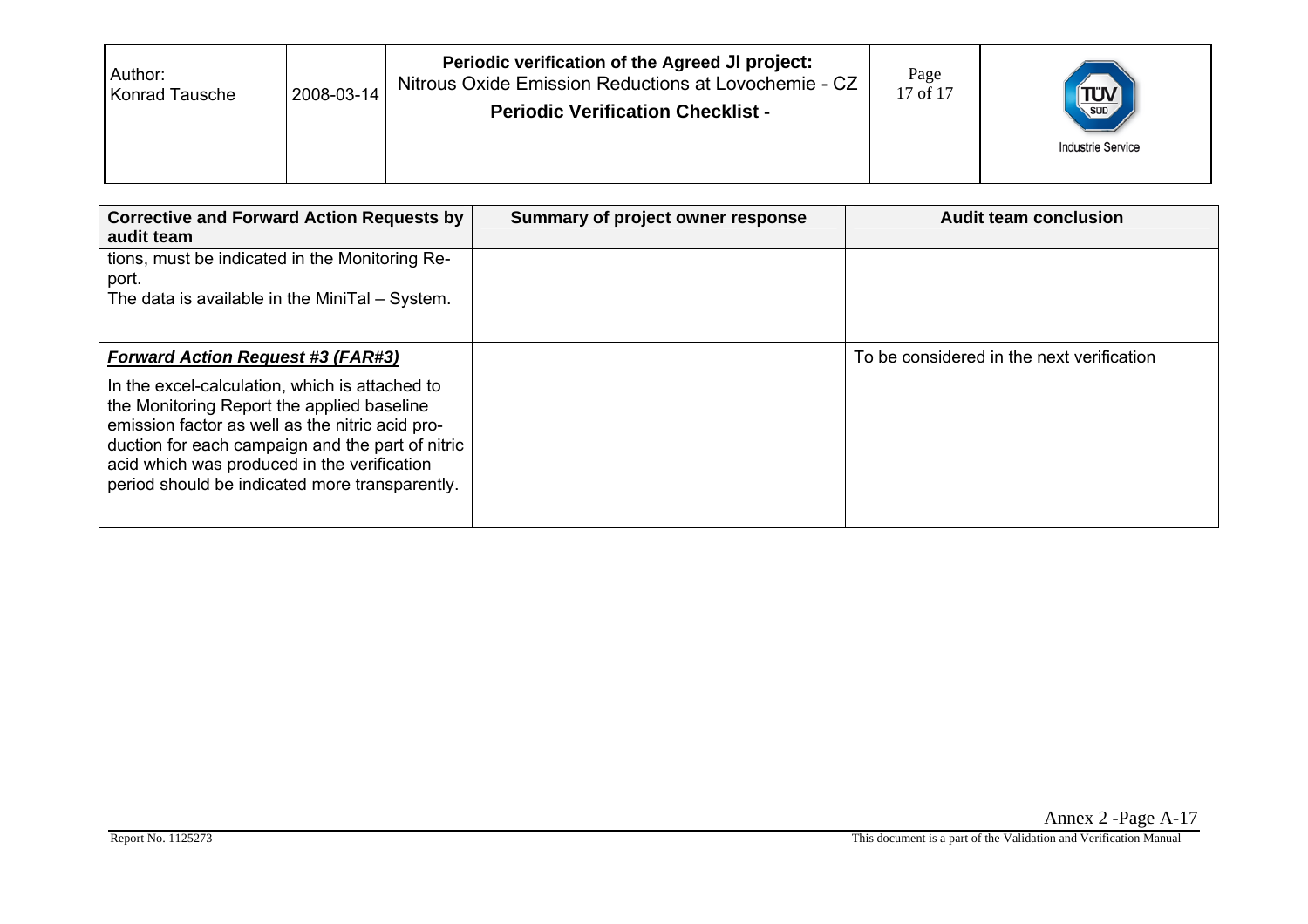| Author:<br>Konrad Tausche | 2008-03-14 | Periodic verification of the Agreed JI project:<br>Nitrous Oxide Emission Reductions at Lovochemie - CZ<br><b>Periodic Verification Checklist -</b> | Page<br>17 of 17 | $T_{\text{SUD}}$<br><b>Industrie Service</b> |
|---------------------------|------------|-----------------------------------------------------------------------------------------------------------------------------------------------------|------------------|----------------------------------------------|
|---------------------------|------------|-----------------------------------------------------------------------------------------------------------------------------------------------------|------------------|----------------------------------------------|

| <b>Corrective and Forward Action Requests by</b><br>audit team                                                                                                                                                                                                                                       | Summary of project owner response | <b>Audit team conclusion</b>              |
|------------------------------------------------------------------------------------------------------------------------------------------------------------------------------------------------------------------------------------------------------------------------------------------------------|-----------------------------------|-------------------------------------------|
| tions, must be indicated in the Monitoring Re-<br>port.<br>The data is available in the MiniTal - System.                                                                                                                                                                                            |                                   |                                           |
| <b>Forward Action Request #3 (FAR#3)</b>                                                                                                                                                                                                                                                             |                                   | To be considered in the next verification |
| In the excel-calculation, which is attached to<br>the Monitoring Report the applied baseline<br>emission factor as well as the nitric acid pro-<br>duction for each campaign and the part of nitric<br>acid which was produced in the verification<br>period should be indicated more transparently. |                                   |                                           |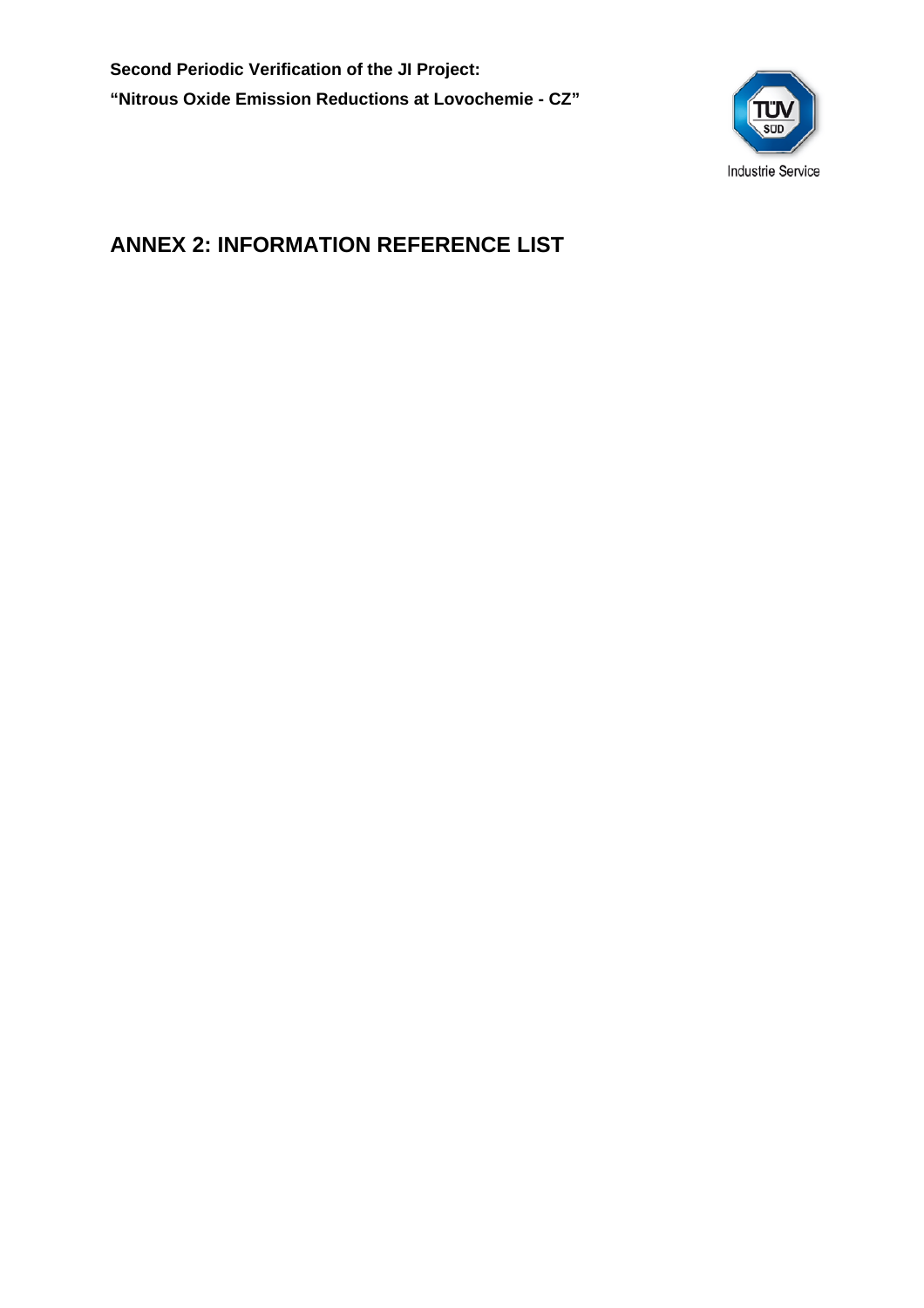**Second Periodic Verification of the JI Project: "Nitrous Oxide Emission Reductions at Lovochemie - CZ"** 

![](_page_39_Picture_1.jpeg)

## **ANNEX 2: INFORMATION REFERENCE LIST**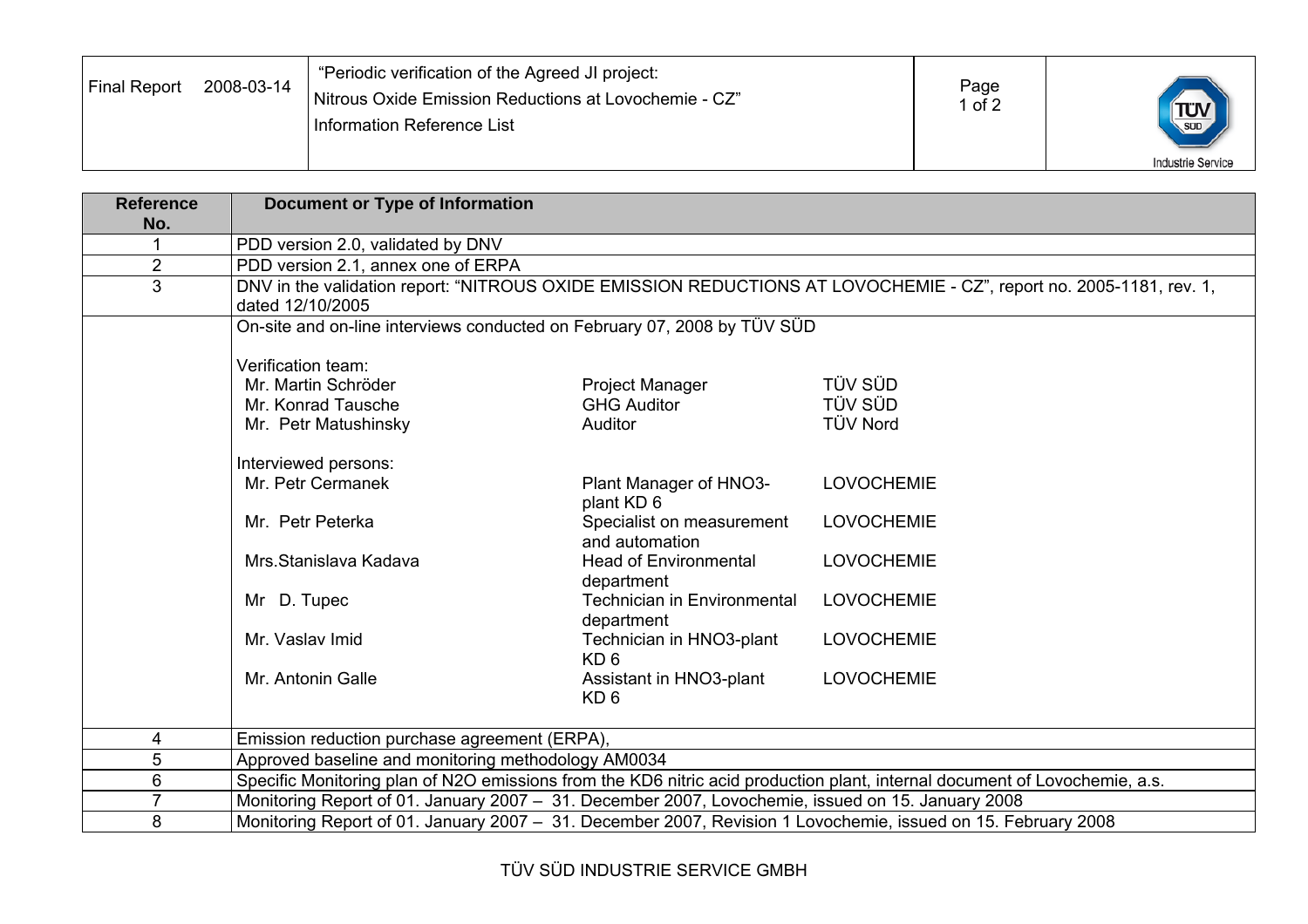| Final Report | 2008-03-14 | "Periodic verification of the Agreed JI project:<br>Nitrous Oxide Emission Reductions at Lovochemie - CZ"<br>Information Reference List | Page<br>of 2 | $\frac{1}{\text{SUD}}$   |
|--------------|------------|-----------------------------------------------------------------------------------------------------------------------------------------|--------------|--------------------------|
|              |            |                                                                                                                                         |              | <b>Industrie Service</b> |

| <b>Reference</b> | <b>Document or Type of Information</b>                                                                        |                                                  |                                                                                                                            |
|------------------|---------------------------------------------------------------------------------------------------------------|--------------------------------------------------|----------------------------------------------------------------------------------------------------------------------------|
| No.              |                                                                                                               |                                                  |                                                                                                                            |
|                  | PDD version 2.0, validated by DNV                                                                             |                                                  |                                                                                                                            |
| $\overline{2}$   | PDD version 2.1, annex one of ERPA                                                                            |                                                  |                                                                                                                            |
| 3                | dated 12/10/2005                                                                                              |                                                  | DNV in the validation report: "NITROUS OXIDE EMISSION REDUCTIONS AT LOVOCHEMIE - CZ", report no. 2005-1181, rev. 1,        |
|                  | On-site and on-line interviews conducted on February 07, 2008 by TÜV SÜD                                      |                                                  |                                                                                                                            |
|                  | Verification team:                                                                                            |                                                  |                                                                                                                            |
|                  | Mr. Martin Schröder                                                                                           | Project Manager                                  | TÜV SÜD                                                                                                                    |
|                  | Mr. Konrad Tausche                                                                                            | <b>GHG Auditor</b>                               | <b>TÜV SÜD</b>                                                                                                             |
|                  | Mr. Petr Matushinsky                                                                                          | Auditor                                          | <b>TÜV Nord</b>                                                                                                            |
|                  | Interviewed persons:                                                                                          |                                                  |                                                                                                                            |
|                  | Mr. Petr Cermanek                                                                                             | Plant Manager of HNO3-<br>plant KD 6             | <b>LOVOCHEMIE</b>                                                                                                          |
|                  | Mr. Petr Peterka                                                                                              | Specialist on measurement<br>and automation      | <b>LOVOCHEMIE</b>                                                                                                          |
|                  | Mrs. Stanislava Kadava                                                                                        | <b>Head of Environmental</b><br>department       | <b>LOVOCHEMIE</b>                                                                                                          |
|                  | Mr D. Tupec                                                                                                   | <b>Technician in Environmental</b><br>department | <b>LOVOCHEMIE</b>                                                                                                          |
|                  | Mr. Vaslav Imid                                                                                               | Technician in HNO3-plant<br>KD <sub>6</sub>      | <b>LOVOCHEMIE</b>                                                                                                          |
|                  | Mr. Antonin Galle                                                                                             | Assistant in HNO3-plant<br>KD <sub>6</sub>       | <b>LOVOCHEMIE</b>                                                                                                          |
| 4                | Emission reduction purchase agreement (ERPA),                                                                 |                                                  |                                                                                                                            |
| 5                | Approved baseline and monitoring methodology AM0034                                                           |                                                  |                                                                                                                            |
| 6                |                                                                                                               |                                                  | Specific Monitoring plan of N2O emissions from the KD6 nitric acid production plant, internal document of Lovochemie, a.s. |
| $\overline{7}$   | Monitoring Report of 01. January 2007 - 31. December 2007, Lovochemie, issued on 15. January 2008             |                                                  |                                                                                                                            |
| 8                | Monitoring Report of 01. January 2007 - 31. December 2007, Revision 1 Lovochemie, issued on 15. February 2008 |                                                  |                                                                                                                            |